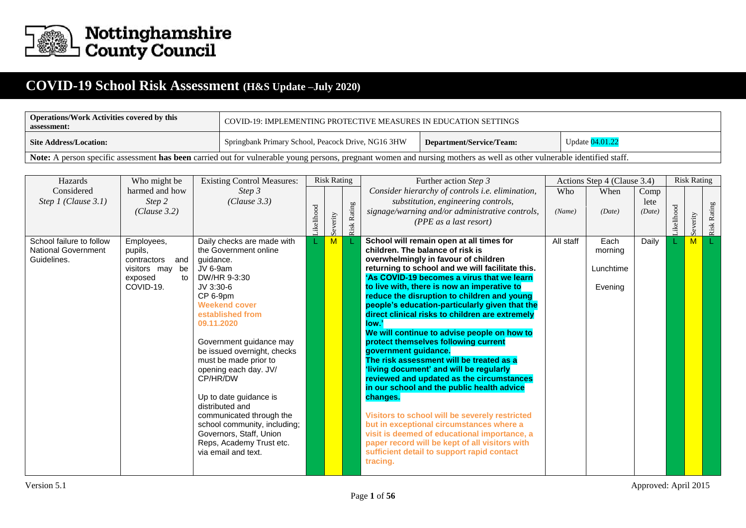

## **COVID-19 School Risk Assessment (H&S Update –July 2020)**

| <b>Operations/Work Activities covered by this</b><br>assessment:                                                                                                       | COVID-19: IMPLEMENTING PROTECTIVE MEASURES IN EDUCATION SETTINGS |                                             |  |  |  |  |  |  |  |  |  |  |
|------------------------------------------------------------------------------------------------------------------------------------------------------------------------|------------------------------------------------------------------|---------------------------------------------|--|--|--|--|--|--|--|--|--|--|
| <b>Site Address/Location:</b>                                                                                                                                          | Springbank Primary School, Peacock Drive, NG16 3HW               | Update 04.01.22<br>Department/Service/Team: |  |  |  |  |  |  |  |  |  |  |
| Note: A person specific assessment has been carried out for vulnerable young persons, pregnant women and nursing mothers as well as other vulnerable identified staff. |                                                                  |                                             |  |  |  |  |  |  |  |  |  |  |

| Hazards                    | Who might be               | <b>Existing Control Measures:</b>                    |            | <b>Risk Rating</b> |             | Further action Step 3                                                                          |           | Actions Step 4 (Clause 3.4) |        |           | <b>Risk Rating</b> |             |
|----------------------------|----------------------------|------------------------------------------------------|------------|--------------------|-------------|------------------------------------------------------------------------------------------------|-----------|-----------------------------|--------|-----------|--------------------|-------------|
| Considered                 | harmed and how             | Step 3                                               |            |                    |             | Consider hierarchy of controls i.e. elimination,                                               | Who       | When                        | Comp   |           |                    |             |
| Step 1 (Clause $3.1$ )     | Step 2                     | (Clause 3.3)                                         |            |                    |             | substitution, engineering controls,                                                            |           |                             | lete   |           |                    |             |
|                            | (Clause 3.2)               |                                                      |            |                    |             | signage/warning and/or administrative controls,                                                | (Name)    | (Date)                      | (Date) |           |                    |             |
|                            |                            |                                                      | Likelihood | Severity           | Risk Rating | (PPE as a last resort)                                                                         |           |                             |        | ikelihood | Severity           | Risk Rating |
| School failure to follow   | Employees,                 | Daily checks are made with                           |            | M                  |             | School will remain open at all times for                                                       | All staff | Each                        | Daily  |           | M                  |             |
| <b>National Government</b> | pupils,                    | the Government online                                |            |                    |             | children. The balance of risk is                                                               |           | morning                     |        |           |                    |             |
| Guidelines.                | and<br>contractors         | quidance.                                            |            |                    |             | overwhelmingly in favour of children                                                           |           |                             |        |           |                    |             |
|                            | visitors may<br>be         | JV 6-9am<br>DW/HR 9-3:30                             |            |                    |             | returning to school and we will facilitate this.<br>'As COVID-19 becomes a virus that we learn |           | Lunchtime                   |        |           |                    |             |
|                            | exposed<br>to<br>COVID-19. | JV 3:30-6                                            |            |                    |             | to live with, there is now an imperative to                                                    |           | Evening                     |        |           |                    |             |
|                            |                            | CP 6-9pm                                             |            |                    |             | reduce the disruption to children and young                                                    |           |                             |        |           |                    |             |
|                            |                            | <b>Weekend cover</b>                                 |            |                    |             | people's education-particularly given that the                                                 |           |                             |        |           |                    |             |
|                            |                            | established from                                     |            |                    |             | direct clinical risks to children are extremely                                                |           |                             |        |           |                    |             |
|                            |                            | 09.11.2020                                           |            |                    |             | low.'                                                                                          |           |                             |        |           |                    |             |
|                            |                            |                                                      |            |                    |             | We will continue to advise people on how to                                                    |           |                             |        |           |                    |             |
|                            |                            | Government guidance may                              |            |                    |             | protect themselves following current                                                           |           |                             |        |           |                    |             |
|                            |                            | be issued overnight, checks<br>must be made prior to |            |                    |             | government guidance.<br>The risk assessment will be treated as a                               |           |                             |        |           |                    |             |
|                            |                            | opening each day. JV/                                |            |                    |             | 'living document' and will be regularly                                                        |           |                             |        |           |                    |             |
|                            |                            | CP/HR/DW                                             |            |                    |             | reviewed and updated as the circumstances                                                      |           |                             |        |           |                    |             |
|                            |                            |                                                      |            |                    |             | in our school and the public health advice                                                     |           |                             |        |           |                    |             |
|                            |                            | Up to date guidance is                               |            |                    |             | changes.                                                                                       |           |                             |        |           |                    |             |
|                            |                            | distributed and                                      |            |                    |             |                                                                                                |           |                             |        |           |                    |             |
|                            |                            | communicated through the                             |            |                    |             | Visitors to school will be severely restricted                                                 |           |                             |        |           |                    |             |
|                            |                            | school community, including;                         |            |                    |             | but in exceptional circumstances where a                                                       |           |                             |        |           |                    |             |
|                            |                            | Governors, Staff, Union<br>Reps, Academy Trust etc.  |            |                    |             | visit is deemed of educational importance, a<br>paper record will be kept of all visitors with |           |                             |        |           |                    |             |
|                            |                            | via email and text.                                  |            |                    |             | sufficient detail to support rapid contact                                                     |           |                             |        |           |                    |             |
|                            |                            |                                                      |            |                    |             | tracing.                                                                                       |           |                             |        |           |                    |             |
|                            |                            |                                                      |            |                    |             |                                                                                                |           |                             |        |           |                    |             |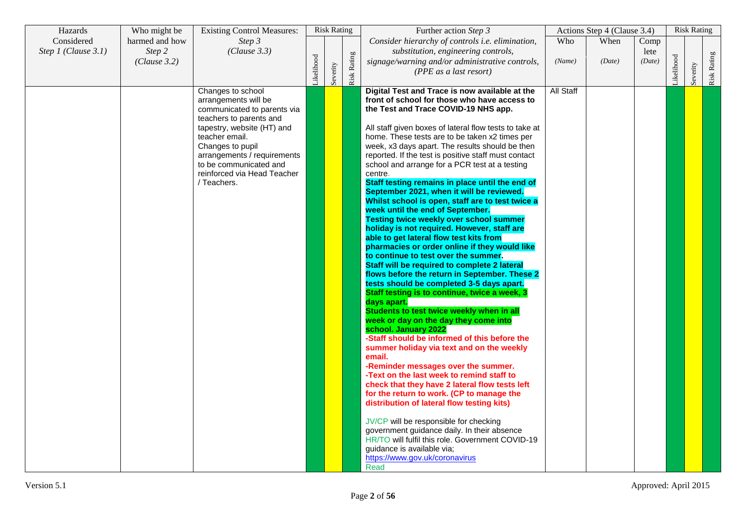| Hazards                           | Who might be                             | <b>Existing Control Measures:</b>                                                                                                                                                                                                                                              |           | <b>Risk Rating</b> |                    | Further action Step 3                                                                                                                                                                                                                                                                                                                                                                                                                                                                                                                                                                                                                                                                                                                                                                                                                                                                                                                                                                                                                                                                                                                                                                                                                                                                                                                                                                                                                                                                                                                                                                                                                                                                                                                            |               | Actions Step 4 (Clause 3.4) |                        |           | <b>Risk Rating</b> |             |
|-----------------------------------|------------------------------------------|--------------------------------------------------------------------------------------------------------------------------------------------------------------------------------------------------------------------------------------------------------------------------------|-----------|--------------------|--------------------|--------------------------------------------------------------------------------------------------------------------------------------------------------------------------------------------------------------------------------------------------------------------------------------------------------------------------------------------------------------------------------------------------------------------------------------------------------------------------------------------------------------------------------------------------------------------------------------------------------------------------------------------------------------------------------------------------------------------------------------------------------------------------------------------------------------------------------------------------------------------------------------------------------------------------------------------------------------------------------------------------------------------------------------------------------------------------------------------------------------------------------------------------------------------------------------------------------------------------------------------------------------------------------------------------------------------------------------------------------------------------------------------------------------------------------------------------------------------------------------------------------------------------------------------------------------------------------------------------------------------------------------------------------------------------------------------------------------------------------------------------|---------------|-----------------------------|------------------------|-----------|--------------------|-------------|
| Considered<br>Step 1 (Clause 3.1) | harmed and how<br>Step 2<br>(Clause 3.2) | Step 3<br>(Clause 3.3)                                                                                                                                                                                                                                                         | ikelihood | Severity           | <b>Risk Rating</b> | Consider hierarchy of controls i.e. elimination,<br>substitution, engineering controls,<br>signage/warning and/or administrative controls,<br>(PPE as a last resort)                                                                                                                                                                                                                                                                                                                                                                                                                                                                                                                                                                                                                                                                                                                                                                                                                                                                                                                                                                                                                                                                                                                                                                                                                                                                                                                                                                                                                                                                                                                                                                             | Who<br>(Name) | When<br>(Date)              | Comp<br>lete<br>(Date) | ikelihood | Severity           | Risk Rating |
|                                   |                                          | Changes to school<br>arrangements will be<br>communicated to parents via<br>teachers to parents and<br>tapestry, website (HT) and<br>teacher email.<br>Changes to pupil<br>arrangements / requirements<br>to be communicated and<br>reinforced via Head Teacher<br>/ Teachers. |           |                    |                    | Digital Test and Trace is now available at the<br>front of school for those who have access to<br>the Test and Trace COVID-19 NHS app.<br>All staff given boxes of lateral flow tests to take at<br>home. These tests are to be taken x2 times per<br>week, x3 days apart. The results should be then<br>reported. If the test is positive staff must contact<br>school and arrange for a PCR test at a testing<br>centre.<br>Staff testing remains in place until the end of<br>September 2021, when it will be reviewed.<br>Whilst school is open, staff are to test twice a<br>week until the end of September.<br><b>Testing twice weekly over school summer</b><br>holiday is not required. However, staff are<br>able to get lateral flow test kits from<br>pharmacies or order online if they would like<br>to continue to test over the summer.<br>Staff will be required to complete 2 lateral<br>flows before the return in September. These 2<br>tests should be completed 3-5 days apart.<br>Staff testing is to continue, twice a week, 3<br>days apart.<br>Students to test twice weekly when in all<br>week or day on the day they come into<br>school. January 2022<br>-Staff should be informed of this before the<br>summer holiday via text and on the weekly<br>email.<br>-Reminder messages over the summer.<br>-Text on the last week to remind staff to<br>check that they have 2 lateral flow tests left<br>for the return to work. (CP to manage the<br>distribution of lateral flow testing kits)<br>JV/CP will be responsible for checking<br>government guidance daily. In their absence<br>HR/TO will fulfil this role. Government COVID-19<br>guidance is available via;<br>https://www.gov.uk/coronavirus<br>Read | All Staff     |                             |                        |           |                    |             |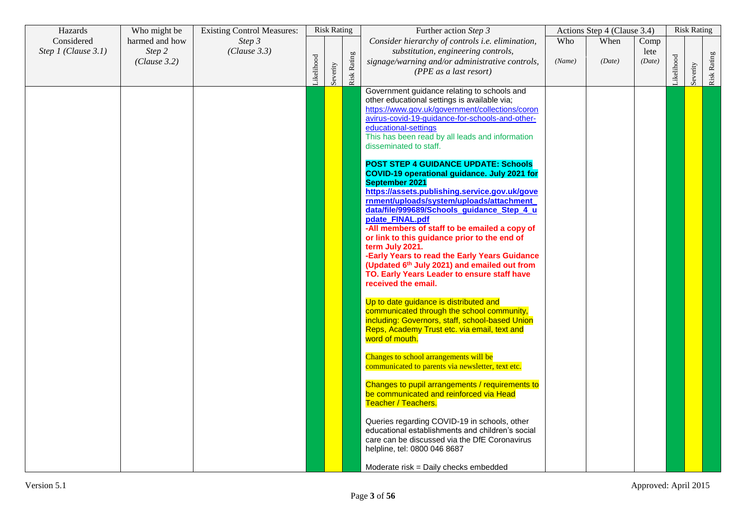| Hazards                           | Who might be                             | <b>Existing Control Measures:</b> |            | <b>Risk Rating</b> |                    | Further action Step 3                                                                                                                                                                                                                                                                                                                                                                                                                                                                                                                                                                                                                                                                                                                                                                                                                                                                                                                                                                                                                                                                                                                                                                                                                                                                                                                                                                                                                                                                                  |               | Actions Step 4 (Clause 3.4) |                        |           | <b>Risk Rating</b> |             |
|-----------------------------------|------------------------------------------|-----------------------------------|------------|--------------------|--------------------|--------------------------------------------------------------------------------------------------------------------------------------------------------------------------------------------------------------------------------------------------------------------------------------------------------------------------------------------------------------------------------------------------------------------------------------------------------------------------------------------------------------------------------------------------------------------------------------------------------------------------------------------------------------------------------------------------------------------------------------------------------------------------------------------------------------------------------------------------------------------------------------------------------------------------------------------------------------------------------------------------------------------------------------------------------------------------------------------------------------------------------------------------------------------------------------------------------------------------------------------------------------------------------------------------------------------------------------------------------------------------------------------------------------------------------------------------------------------------------------------------------|---------------|-----------------------------|------------------------|-----------|--------------------|-------------|
| Considered<br>Step 1 (Clause 3.1) | harmed and how<br>Step 2<br>(Clause 3.2) | Step 3<br>(Clause 3.3)            | Likelihood | Severity           | <b>Risk Rating</b> | Consider hierarchy of controls i.e. elimination,<br>substitution, engineering controls,<br>signage/warning and/or administrative controls,<br>(PPE as a last resort)                                                                                                                                                                                                                                                                                                                                                                                                                                                                                                                                                                                                                                                                                                                                                                                                                                                                                                                                                                                                                                                                                                                                                                                                                                                                                                                                   | Who<br>(Name) | When<br>(Date)              | Comp<br>lete<br>(Date) | ikelihood | Severity           | Risk Rating |
|                                   |                                          |                                   |            |                    |                    | Government guidance relating to schools and<br>other educational settings is available via;<br>https://www.gov.uk/government/collections/coron<br>avirus-covid-19-guidance-for-schools-and-other-<br>educational-settings<br>This has been read by all leads and information<br>disseminated to staff.<br><b>POST STEP 4 GUIDANCE UPDATE: Schools</b><br>COVID-19 operational guidance. July 2021 for<br>September 2021<br>https://assets.publishing.service.gov.uk/gove<br>rnment/uploads/system/uploads/attachment<br>data/file/999689/Schools_quidance_Step_4_u<br>pdate_FINAL.pdf<br>-All members of staff to be emailed a copy of<br>or link to this guidance prior to the end of<br>term July 2021.<br>-Early Years to read the Early Years Guidance<br>(Updated 6th July 2021) and emailed out from<br>TO. Early Years Leader to ensure staff have<br>received the email.<br>Up to date guidance is distributed and<br>communicated through the school community,<br>including: Governors, staff, school-based Union<br>Reps, Academy Trust etc. via email, text and<br>word of mouth.<br>Changes to school arrangements will be<br>communicated to parents via newsletter, text etc.<br>Changes to pupil arrangements / requirements to<br>be communicated and reinforced via Head<br>Teacher / Teachers.<br>Queries regarding COVID-19 in schools, other<br>educational establishments and children's social<br>care can be discussed via the DfE Coronavirus<br>helpline, tel: 0800 046 8687 |               |                             |                        |           |                    |             |
|                                   |                                          |                                   |            |                    |                    | Moderate risk = Daily checks embedded                                                                                                                                                                                                                                                                                                                                                                                                                                                                                                                                                                                                                                                                                                                                                                                                                                                                                                                                                                                                                                                                                                                                                                                                                                                                                                                                                                                                                                                                  |               |                             |                        |           |                    |             |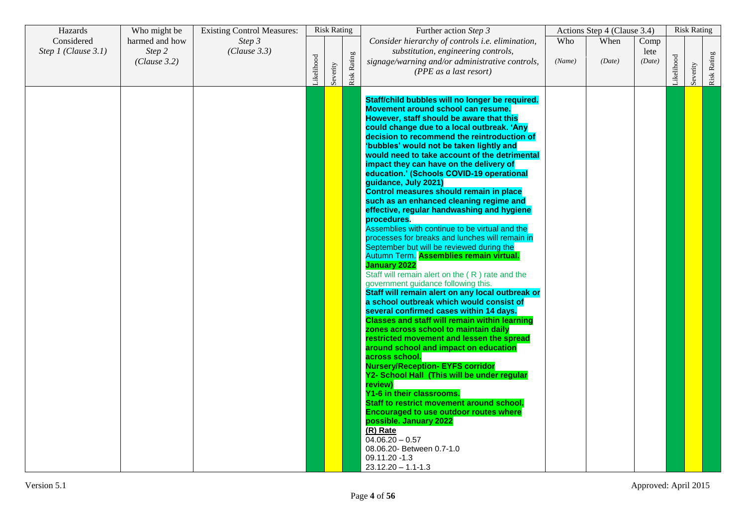| Hazards                           | Who might be                             | <b>Existing Control Measures:</b> |           | <b>Risk Rating</b> |                    | Further action Step 3                                                                                                                                                                                                                                                                                                                                                                                                                                                                                                                                                                                                                                                                                                                                                                                                                                                                                                                                                                                                                                                                                                                                                                                                                                                                                                                                                                                                                                                                                                                                                                                                                          |               | Actions Step 4 (Clause 3.4) |                        |           | <b>Risk Rating</b> |             |
|-----------------------------------|------------------------------------------|-----------------------------------|-----------|--------------------|--------------------|------------------------------------------------------------------------------------------------------------------------------------------------------------------------------------------------------------------------------------------------------------------------------------------------------------------------------------------------------------------------------------------------------------------------------------------------------------------------------------------------------------------------------------------------------------------------------------------------------------------------------------------------------------------------------------------------------------------------------------------------------------------------------------------------------------------------------------------------------------------------------------------------------------------------------------------------------------------------------------------------------------------------------------------------------------------------------------------------------------------------------------------------------------------------------------------------------------------------------------------------------------------------------------------------------------------------------------------------------------------------------------------------------------------------------------------------------------------------------------------------------------------------------------------------------------------------------------------------------------------------------------------------|---------------|-----------------------------|------------------------|-----------|--------------------|-------------|
| Considered<br>Step 1 (Clause 3.1) | harmed and how<br>Step 2<br>(Clause 3.2) | Step 3<br>(Clause 3.3)            | ikelihood | Severity           | <b>Risk Rating</b> | Consider hierarchy of controls i.e. elimination,<br>substitution, engineering controls,<br>signage/warning and/or administrative controls,<br>(PPE as a last resort)                                                                                                                                                                                                                                                                                                                                                                                                                                                                                                                                                                                                                                                                                                                                                                                                                                                                                                                                                                                                                                                                                                                                                                                                                                                                                                                                                                                                                                                                           | Who<br>(Name) | When<br>(Date)              | Comp<br>lete<br>(Date) | ikelihood | erity              | Risk Rating |
|                                   |                                          |                                   |           |                    |                    | Staff/child bubbles will no longer be required.<br>Movement around school can resume.<br>However, staff should be aware that this<br>could change due to a local outbreak. 'Any<br>decision to recommend the reintroduction of<br>'bubbles' would not be taken lightly and<br>would need to take account of the detrimental<br>impact they can have on the delivery of<br>education.' (Schools COVID-19 operational<br>guidance, July 2021)<br>Control measures should remain in place<br>such as an enhanced cleaning regime and<br>effective, regular handwashing and hygiene<br>procedures.<br>Assemblies with continue to be virtual and the<br>processes for breaks and lunches will remain in<br>September but will be reviewed during the<br>Autumn Term. Assemblies remain virtual.<br><b>January 2022</b><br>Staff will remain alert on the (R) rate and the<br>government guidance following this.<br>Staff will remain alert on any local outbreak or<br>a school outbreak which would consist of<br>several confirmed cases within 14 days.<br><b>Classes and staff will remain within learning</b><br>zones across school to maintain daily<br>restricted movement and lessen the spread<br>around school and impact on education<br>across school.<br><b>Nursery/Reception- EYFS corridor</b><br>Y2- School Hall (This will be under regular<br>review)<br>Y1-6 in their classrooms.<br>Staff to restrict movement around school.<br><b>Encouraged to use outdoor routes where</b><br>possible. January 2022<br>(R) Rate<br>$\overline{04.06.20} - 0.57$<br>08.06.20- Between 0.7-1.0<br>09.11.20 -1.3<br>$23.12.20 - 1.1 - 1.3$ |               |                             |                        |           | Sev                |             |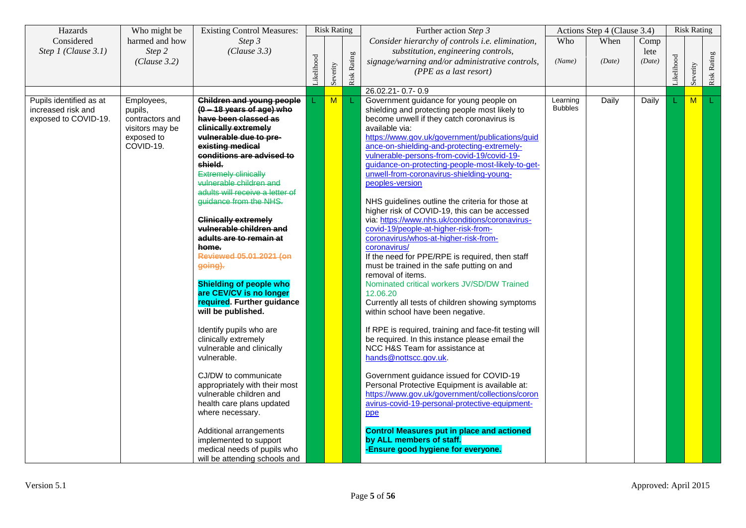| Hazards                                                               | Who might be                                                                           | <b>Existing Control Measures:</b>                                                                                                                                                                                                                                                                                                                                                                                                                                                                                                                                                                                                                                                                                                                                                                                                                |            | <b>Risk Rating</b>      |             | Further action Step 3                                                                                                                                                                                                                                                                                                                                                                                                                                                                                                                                                                                                                                                                                                                                                                                                                                                                                                                                                                                                                                                                                                                                                                                                                                                                                                                                                                                 |                            | Actions Step 4 (Clause 3.4) |              |           | <b>Risk Rating</b> |             |
|-----------------------------------------------------------------------|----------------------------------------------------------------------------------------|--------------------------------------------------------------------------------------------------------------------------------------------------------------------------------------------------------------------------------------------------------------------------------------------------------------------------------------------------------------------------------------------------------------------------------------------------------------------------------------------------------------------------------------------------------------------------------------------------------------------------------------------------------------------------------------------------------------------------------------------------------------------------------------------------------------------------------------------------|------------|-------------------------|-------------|-------------------------------------------------------------------------------------------------------------------------------------------------------------------------------------------------------------------------------------------------------------------------------------------------------------------------------------------------------------------------------------------------------------------------------------------------------------------------------------------------------------------------------------------------------------------------------------------------------------------------------------------------------------------------------------------------------------------------------------------------------------------------------------------------------------------------------------------------------------------------------------------------------------------------------------------------------------------------------------------------------------------------------------------------------------------------------------------------------------------------------------------------------------------------------------------------------------------------------------------------------------------------------------------------------------------------------------------------------------------------------------------------------|----------------------------|-----------------------------|--------------|-----------|--------------------|-------------|
| Considered<br>Step 1 (Clause 3.1)                                     | harmed and how<br>Step 2                                                               | Step 3<br>(Clause 3.3)                                                                                                                                                                                                                                                                                                                                                                                                                                                                                                                                                                                                                                                                                                                                                                                                                           |            |                         |             | Consider hierarchy of controls i.e. elimination,<br>substitution, engineering controls,                                                                                                                                                                                                                                                                                                                                                                                                                                                                                                                                                                                                                                                                                                                                                                                                                                                                                                                                                                                                                                                                                                                                                                                                                                                                                                               | Who                        | When                        | Comp<br>lete |           |                    |             |
|                                                                       | (Clause 3.2)                                                                           |                                                                                                                                                                                                                                                                                                                                                                                                                                                                                                                                                                                                                                                                                                                                                                                                                                                  | Likelihood | Severity                | Risk Rating | signage/warning and/or administrative controls,<br>(PPE as a last resort)                                                                                                                                                                                                                                                                                                                                                                                                                                                                                                                                                                                                                                                                                                                                                                                                                                                                                                                                                                                                                                                                                                                                                                                                                                                                                                                             | (Name)                     | (Date)                      | (Date)       | ikelihood | Severity           | Risk Rating |
|                                                                       |                                                                                        |                                                                                                                                                                                                                                                                                                                                                                                                                                                                                                                                                                                                                                                                                                                                                                                                                                                  |            |                         |             | 26.02.21 - 0.7 - 0.9                                                                                                                                                                                                                                                                                                                                                                                                                                                                                                                                                                                                                                                                                                                                                                                                                                                                                                                                                                                                                                                                                                                                                                                                                                                                                                                                                                                  |                            |                             |              |           |                    |             |
| Pupils identified as at<br>increased risk and<br>exposed to COVID-19. | Employees,<br>pupils,<br>contractors and<br>visitors may be<br>exposed to<br>COVID-19. | <b>Children and young people</b><br>$(0 - 18$ years of age) who<br>have been classed as<br>clinically extremely<br>vulnerable due to pre-<br>existing medical<br>conditions are advised to<br>shield.<br><b>Extremely clinically</b><br>vulnerable children and<br>adults will receive a letter of<br>guidance from the NHS.<br><b>Clinically extremely</b><br>vulnerable children and<br>adults are to remain at<br>home.<br>Reviewed 05.01.2021 (on<br>going).<br><b>Shielding of people who</b><br>are CEV/CV is no longer<br>required. Further guidance<br>will be published.<br>Identify pupils who are<br>clinically extremely<br>vulnerable and clinically<br>vulnerable.<br>CJ/DW to communicate<br>appropriately with their most<br>vulnerable children and<br>health care plans updated<br>where necessary.<br>Additional arrangements |            | $\overline{\mathsf{M}}$ |             | Government guidance for young people on<br>shielding and protecting people most likely to<br>become unwell if they catch coronavirus is<br>available via:<br>https://www.gov.uk/government/publications/guid<br>ance-on-shielding-and-protecting-extremely-<br>vulnerable-persons-from-covid-19/covid-19-<br>guidance-on-protecting-people-most-likely-to-get-<br>unwell-from-coronavirus-shielding-young-<br>peoples-version<br>NHS guidelines outline the criteria for those at<br>higher risk of COVID-19, this can be accessed<br>via: https://www.nhs.uk/conditions/coronavirus-<br>covid-19/people-at-higher-risk-from-<br>coronavirus/whos-at-higher-risk-from-<br>coronavirus/<br>If the need for PPE/RPE is required, then staff<br>must be trained in the safe putting on and<br>removal of items.<br>Nominated critical workers JV/SD/DW Trained<br>12.06.20<br>Currently all tests of children showing symptoms<br>within school have been negative.<br>If RPE is required, training and face-fit testing will<br>be required. In this instance please email the<br>NCC H&S Team for assistance at<br>hands@nottscc.gov.uk.<br>Government guidance issued for COVID-19<br>Personal Protective Equipment is available at:<br>https://www.gov.uk/government/collections/coron<br>avirus-covid-19-personal-protective-equipment-<br>ppe<br><b>Control Measures put in place and actioned</b> | Learning<br><b>Bubbles</b> | Daily                       | Daily        |           | M                  | T.          |
|                                                                       |                                                                                        | implemented to support<br>medical needs of pupils who<br>will be attending schools and                                                                                                                                                                                                                                                                                                                                                                                                                                                                                                                                                                                                                                                                                                                                                           |            |                         |             | by ALL members of staff.<br>-Ensure good hygiene for everyone.                                                                                                                                                                                                                                                                                                                                                                                                                                                                                                                                                                                                                                                                                                                                                                                                                                                                                                                                                                                                                                                                                                                                                                                                                                                                                                                                        |                            |                             |              |           |                    |             |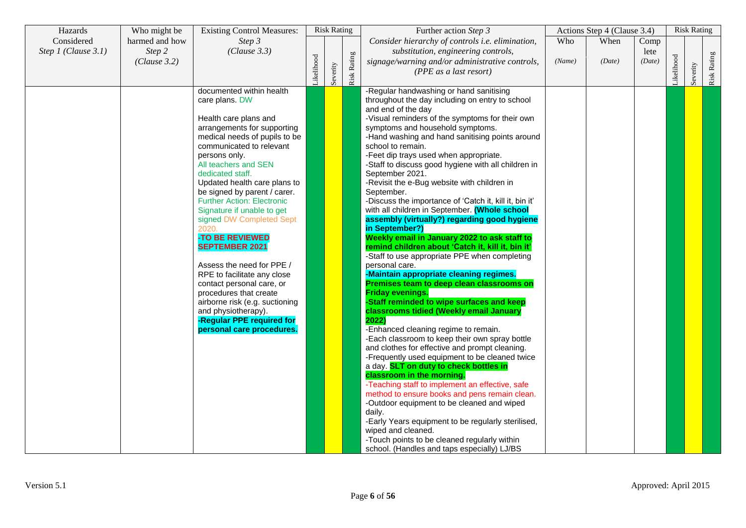| Hazards               | Who might be           | <b>Existing Control Measures:</b>                                                                                                                                                                                                                                                                                                                                                                                                                                                                                                                                                                                                                                                      |            | <b>Risk Rating</b> |             | Further action Step 3                                                                                                                                                                                                                                                                                                                                                                                                                                                                                                                                                                                                                                                                                                                                                                                                                                                                                                                                                                                                                                                                                                                                                                                                                                                                                                                                                                                                                                                                                                                                                                                                                                |        | Actions Step 4 (Clause 3.4) |                |           | <b>Risk Rating</b> |             |
|-----------------------|------------------------|----------------------------------------------------------------------------------------------------------------------------------------------------------------------------------------------------------------------------------------------------------------------------------------------------------------------------------------------------------------------------------------------------------------------------------------------------------------------------------------------------------------------------------------------------------------------------------------------------------------------------------------------------------------------------------------|------------|--------------------|-------------|------------------------------------------------------------------------------------------------------------------------------------------------------------------------------------------------------------------------------------------------------------------------------------------------------------------------------------------------------------------------------------------------------------------------------------------------------------------------------------------------------------------------------------------------------------------------------------------------------------------------------------------------------------------------------------------------------------------------------------------------------------------------------------------------------------------------------------------------------------------------------------------------------------------------------------------------------------------------------------------------------------------------------------------------------------------------------------------------------------------------------------------------------------------------------------------------------------------------------------------------------------------------------------------------------------------------------------------------------------------------------------------------------------------------------------------------------------------------------------------------------------------------------------------------------------------------------------------------------------------------------------------------------|--------|-----------------------------|----------------|-----------|--------------------|-------------|
| Considered            | harmed and how         | Step 3                                                                                                                                                                                                                                                                                                                                                                                                                                                                                                                                                                                                                                                                                 |            |                    |             | Consider hierarchy of controls i.e. elimination,                                                                                                                                                                                                                                                                                                                                                                                                                                                                                                                                                                                                                                                                                                                                                                                                                                                                                                                                                                                                                                                                                                                                                                                                                                                                                                                                                                                                                                                                                                                                                                                                     | Who    | When                        | Comp           |           |                    |             |
| Step $1$ (Clause 3.1) | Step 2<br>(Clause 3.2) | (Clause 3.3)                                                                                                                                                                                                                                                                                                                                                                                                                                                                                                                                                                                                                                                                           | Likelihood | Severity           | Risk Rating | substitution, engineering controls,<br>signage/warning and/or administrative controls,<br>(PPE as a last resort)                                                                                                                                                                                                                                                                                                                                                                                                                                                                                                                                                                                                                                                                                                                                                                                                                                                                                                                                                                                                                                                                                                                                                                                                                                                                                                                                                                                                                                                                                                                                     | (Name) | (Date)                      | lete<br>(Date) | ikelihood | Severity           | Risk Rating |
|                       |                        | documented within health<br>care plans. DW<br>Health care plans and<br>arrangements for supporting<br>medical needs of pupils to be<br>communicated to relevant<br>persons only.<br>All teachers and SEN<br>dedicated staff.<br>Updated health care plans to<br>be signed by parent / carer.<br><b>Further Action: Electronic</b><br>Signature if unable to get<br>signed DW Completed Sept<br>2020.<br>-TO BE REVIEWED<br><b>SEPTEMBER 2021</b><br>Assess the need for PPE /<br>RPE to facilitate any close<br>contact personal care, or<br>procedures that create<br>airborne risk (e.g. suctioning<br>and physiotherapy).<br>-Regular PPE required for<br>personal care procedures. |            |                    |             | -Regular handwashing or hand sanitising<br>throughout the day including on entry to school<br>and end of the day<br>-Visual reminders of the symptoms for their own<br>symptoms and household symptoms.<br>-Hand washing and hand sanitising points around<br>school to remain.<br>-Feet dip trays used when appropriate.<br>-Staff to discuss good hygiene with all children in<br>September 2021.<br>-Revisit the e-Bug website with children in<br>September.<br>-Discuss the importance of 'Catch it, kill it, bin it'<br>with all children in September. (Whole school<br>assembly (virtually?) regarding good hygiene<br>in September?)<br>Weekly email in January 2022 to ask staff to<br>remind children about 'Catch it, kill it, bin it'<br>-Staff to use appropriate PPE when completing<br>personal care.<br>-Maintain appropriate cleaning regimes.<br>Premises team to deep clean classrooms on<br><b>Friday evenings.</b><br>Staff reminded to wipe surfaces and keep<br>classrooms tidied (Weekly email January<br>2022)<br>-Enhanced cleaning regime to remain.<br>-Each classroom to keep their own spray bottle<br>and clothes for effective and prompt cleaning.<br>-Frequently used equipment to be cleaned twice<br>a day. SLT on duty to check bottles in<br>classroom in the morning.<br>-Teaching staff to implement an effective, safe<br>method to ensure books and pens remain clean.<br>-Outdoor equipment to be cleaned and wiped<br>daily.<br>-Early Years equipment to be regularly sterilised,<br>wiped and cleaned.<br>-Touch points to be cleaned regularly within<br>school. (Handles and taps especially) LJ/BS |        |                             |                |           |                    |             |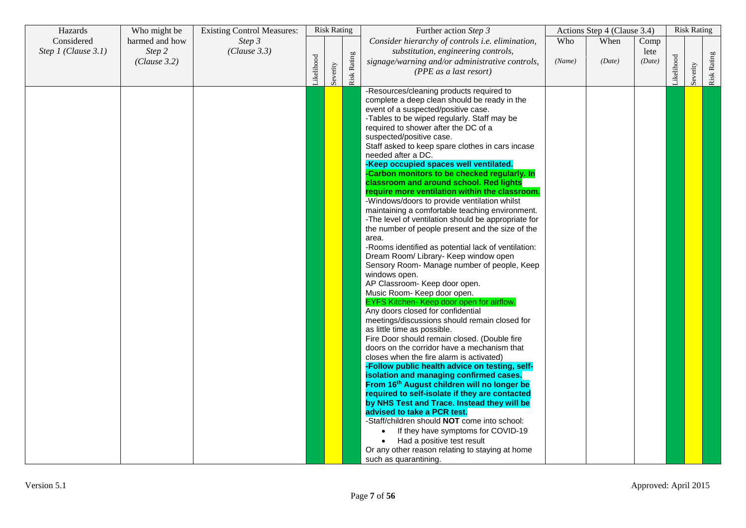| Hazards             | Who might be   | <b>Existing Control Measures:</b> |           | <b>Risk Rating</b> |             | Further action Step 3                                                                         |        | Actions Step 4 (Clause 3.4) |        |            | <b>Risk Rating</b> |             |
|---------------------|----------------|-----------------------------------|-----------|--------------------|-------------|-----------------------------------------------------------------------------------------------|--------|-----------------------------|--------|------------|--------------------|-------------|
| Considered          | harmed and how | Step 3                            |           |                    |             | Consider hierarchy of controls i.e. elimination,                                              | Who    | When                        | Comp   |            |                    |             |
| Step 1 (Clause 3.1) | Step 2         | (Clause 3.3)                      |           |                    |             | substitution, engineering controls,                                                           |        |                             | lete   |            |                    |             |
|                     | (Clause 3.2)   |                                   |           |                    |             | signage/warning and/or administrative controls,                                               | (Name) | (Date)                      | (Date) |            |                    |             |
|                     |                |                                   |           |                    |             | (PPE as a last resort)                                                                        |        |                             |        |            |                    |             |
|                     |                |                                   | ikelihood | Severity           | Risk Rating |                                                                                               |        |                             |        | Likelihood | Severity           | Risk Rating |
|                     |                |                                   |           |                    |             | -Resources/cleaning products required to                                                      |        |                             |        |            |                    |             |
|                     |                |                                   |           |                    |             | complete a deep clean should be ready in the                                                  |        |                             |        |            |                    |             |
|                     |                |                                   |           |                    |             | event of a suspected/positive case.                                                           |        |                             |        |            |                    |             |
|                     |                |                                   |           |                    |             | -Tables to be wiped regularly. Staff may be                                                   |        |                             |        |            |                    |             |
|                     |                |                                   |           |                    |             | required to shower after the DC of a                                                          |        |                             |        |            |                    |             |
|                     |                |                                   |           |                    |             | suspected/positive case.                                                                      |        |                             |        |            |                    |             |
|                     |                |                                   |           |                    |             | Staff asked to keep spare clothes in cars incase                                              |        |                             |        |            |                    |             |
|                     |                |                                   |           |                    |             | needed after a DC.                                                                            |        |                             |        |            |                    |             |
|                     |                |                                   |           |                    |             | -Keep occupied spaces well ventilated.                                                        |        |                             |        |            |                    |             |
|                     |                |                                   |           |                    |             | -Carbon monitors to be checked regularly. In                                                  |        |                             |        |            |                    |             |
|                     |                |                                   |           |                    |             | classroom and around school. Red lights                                                       |        |                             |        |            |                    |             |
|                     |                |                                   |           |                    |             | require more ventilation within the classroom.                                                |        |                             |        |            |                    |             |
|                     |                |                                   |           |                    |             | -Windows/doors to provide ventilation whilst                                                  |        |                             |        |            |                    |             |
|                     |                |                                   |           |                    |             | maintaining a comfortable teaching environment.                                               |        |                             |        |            |                    |             |
|                     |                |                                   |           |                    |             | -The level of ventilation should be appropriate for                                           |        |                             |        |            |                    |             |
|                     |                |                                   |           |                    |             | the number of people present and the size of the                                              |        |                             |        |            |                    |             |
|                     |                |                                   |           |                    |             | area.                                                                                         |        |                             |        |            |                    |             |
|                     |                |                                   |           |                    |             | -Rooms identified as potential lack of ventilation:                                           |        |                             |        |            |                    |             |
|                     |                |                                   |           |                    |             | Dream Room/ Library- Keep window open                                                         |        |                             |        |            |                    |             |
|                     |                |                                   |           |                    |             | Sensory Room- Manage number of people, Keep                                                   |        |                             |        |            |                    |             |
|                     |                |                                   |           |                    |             | windows open.                                                                                 |        |                             |        |            |                    |             |
|                     |                |                                   |           |                    |             | AP Classroom- Keep door open.                                                                 |        |                             |        |            |                    |             |
|                     |                |                                   |           |                    |             | Music Room- Keep door open.                                                                   |        |                             |        |            |                    |             |
|                     |                |                                   |           |                    |             | EYFS Kitchen- Keep door open for airflow.                                                     |        |                             |        |            |                    |             |
|                     |                |                                   |           |                    |             | Any doors closed for confidential                                                             |        |                             |        |            |                    |             |
|                     |                |                                   |           |                    |             | meetings/discussions should remain closed for                                                 |        |                             |        |            |                    |             |
|                     |                |                                   |           |                    |             | as little time as possible.                                                                   |        |                             |        |            |                    |             |
|                     |                |                                   |           |                    |             | Fire Door should remain closed. (Double fire                                                  |        |                             |        |            |                    |             |
|                     |                |                                   |           |                    |             | doors on the corridor have a mechanism that                                                   |        |                             |        |            |                    |             |
|                     |                |                                   |           |                    |             | closes when the fire alarm is activated)                                                      |        |                             |        |            |                    |             |
|                     |                |                                   |           |                    |             | -Follow public health advice on testing, self-                                                |        |                             |        |            |                    |             |
|                     |                |                                   |           |                    |             | isolation and managing confirmed cases.                                                       |        |                             |        |            |                    |             |
|                     |                |                                   |           |                    |             | From 16th August children will no longer be                                                   |        |                             |        |            |                    |             |
|                     |                |                                   |           |                    |             | required to self-isolate if they are contacted<br>by NHS Test and Trace. Instead they will be |        |                             |        |            |                    |             |
|                     |                |                                   |           |                    |             | advised to take a PCR test.                                                                   |        |                             |        |            |                    |             |
|                     |                |                                   |           |                    |             | -Staff/children should NOT come into school:                                                  |        |                             |        |            |                    |             |
|                     |                |                                   |           |                    |             |                                                                                               |        |                             |        |            |                    |             |
|                     |                |                                   |           |                    |             | If they have symptoms for COVID-19<br>$\bullet$                                               |        |                             |        |            |                    |             |
|                     |                |                                   |           |                    |             | Had a positive test result                                                                    |        |                             |        |            |                    |             |
|                     |                |                                   |           |                    |             | Or any other reason relating to staying at home                                               |        |                             |        |            |                    |             |
|                     |                |                                   |           |                    |             | such as quarantining.                                                                         |        |                             |        |            |                    |             |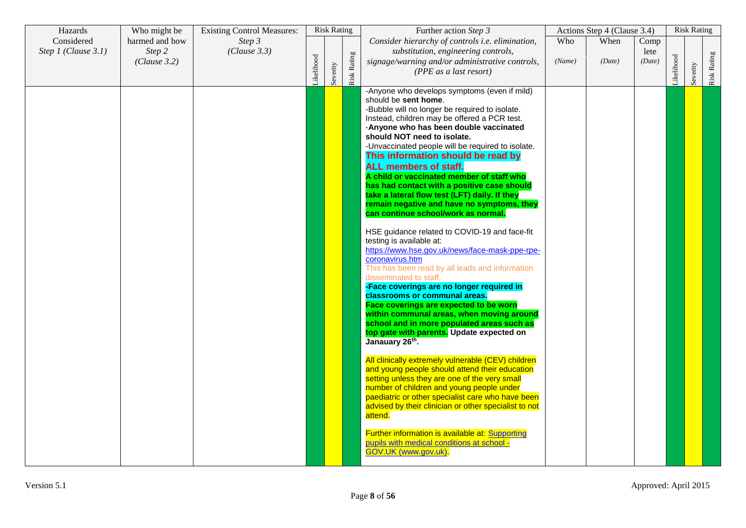| Hazards             | Who might be           | <b>Existing Control Measures:</b> |           | <b>Risk Rating</b> |             | Further action Step 3                                                                                                                                                                                                                                                                                                                                                                                                                                                                                                                                                                                                                                                                                                                                                                                                                                                                                                                                                                                                                                                                                                                                                                                                                                                                                                                                                                                                                                                                                                                                                                 |        | Actions Step 4 (Clause 3.4) |                |           | <b>Risk Rating</b> |             |
|---------------------|------------------------|-----------------------------------|-----------|--------------------|-------------|---------------------------------------------------------------------------------------------------------------------------------------------------------------------------------------------------------------------------------------------------------------------------------------------------------------------------------------------------------------------------------------------------------------------------------------------------------------------------------------------------------------------------------------------------------------------------------------------------------------------------------------------------------------------------------------------------------------------------------------------------------------------------------------------------------------------------------------------------------------------------------------------------------------------------------------------------------------------------------------------------------------------------------------------------------------------------------------------------------------------------------------------------------------------------------------------------------------------------------------------------------------------------------------------------------------------------------------------------------------------------------------------------------------------------------------------------------------------------------------------------------------------------------------------------------------------------------------|--------|-----------------------------|----------------|-----------|--------------------|-------------|
| Considered          | harmed and how         | Step 3                            |           |                    |             | Consider hierarchy of controls i.e. elimination,                                                                                                                                                                                                                                                                                                                                                                                                                                                                                                                                                                                                                                                                                                                                                                                                                                                                                                                                                                                                                                                                                                                                                                                                                                                                                                                                                                                                                                                                                                                                      | Who    | When                        | Comp           |           |                    |             |
| Step 1 (Clause 3.1) | Step 2<br>(Clause 3.2) | (Clause 3.3)                      | ikelihood | Severity           | Risk Rating | substitution, engineering controls,<br>signage/warning and/or administrative controls,<br>(PPE as a last resort)                                                                                                                                                                                                                                                                                                                                                                                                                                                                                                                                                                                                                                                                                                                                                                                                                                                                                                                                                                                                                                                                                                                                                                                                                                                                                                                                                                                                                                                                      | (Name) | (Date)                      | lete<br>(Date) | ikelihood | Severity           | Risk Rating |
|                     |                        |                                   |           |                    |             | -Anyone who develops symptoms (even if mild)<br>should be sent home.<br>-Bubble will no longer be required to isolate.<br>Instead, children may be offered a PCR test.<br>-Anyone who has been double vaccinated<br>should NOT need to isolate.<br>-Unvaccinated people will be required to isolate.<br>This information should be read by<br><b>ALL members of staff.</b><br>A child or vaccinated member of staff who<br>has had contact with a positive case should<br>take a lateral flow test (LFT) daily. If they<br>remain negative and have no symptoms, they<br>can continue school/work as normal.<br>HSE guidance related to COVID-19 and face-fit<br>testing is available at:<br>https://www.hse.gov.uk/news/face-mask-ppe-rpe-<br>coronavirus.htm<br>This has been read by all leads and information<br>disseminated to staff.<br>-Face coverings are no longer required in<br>classrooms or communal areas.<br>Face coverings are expected to be worn<br>within communal areas, when moving around<br>school and in more populated areas such as<br>top gate with parents. Update expected on<br>Janauary 26th.<br>All clinically extremely vulnerable (CEV) children<br>and young people should attend their education<br>setting unless they are one of the very small<br>number of children and young people under<br>paediatric or other specialist care who have been<br>advised by their clinician or other specialist to not<br>attend.<br>Further information is available at: Supporting<br>pupils with medical conditions at school -<br>GOV.UK (www.gov.uk). |        |                             |                |           |                    |             |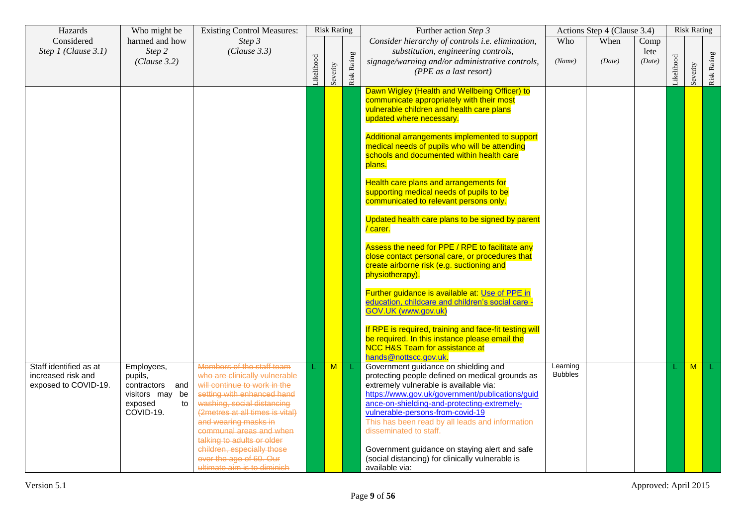| Hazards                                                              | Who might be                                                                              | <b>Existing Control Measures:</b>                                                                                                                                                                                                                                                                                                                                  |           | <b>Risk Rating</b>      |             | Further action Step 3                                                                                                                                                                                                                                                                                                                                                                                                                                                       |                            | Actions Step 4 (Clause 3.4) |                        |           | <b>Risk Rating</b> |             |
|----------------------------------------------------------------------|-------------------------------------------------------------------------------------------|--------------------------------------------------------------------------------------------------------------------------------------------------------------------------------------------------------------------------------------------------------------------------------------------------------------------------------------------------------------------|-----------|-------------------------|-------------|-----------------------------------------------------------------------------------------------------------------------------------------------------------------------------------------------------------------------------------------------------------------------------------------------------------------------------------------------------------------------------------------------------------------------------------------------------------------------------|----------------------------|-----------------------------|------------------------|-----------|--------------------|-------------|
| Considered<br>Step 1 (Clause 3.1)                                    | harmed and how<br>Step 2<br>(Clause 3.2)                                                  | Step 3<br>(Clause 3.3)                                                                                                                                                                                                                                                                                                                                             | ikelihood | Severity                | Risk Rating | Consider hierarchy of controls i.e. elimination,<br>substitution, engineering controls,<br>signage/warning and/or administrative controls,<br>(PPE as a last resort)                                                                                                                                                                                                                                                                                                        | Who<br>(Name)              | When<br>(Date)              | Comp<br>lete<br>(Date) | ikelihood | Severity           | Risk Rating |
|                                                                      |                                                                                           |                                                                                                                                                                                                                                                                                                                                                                    |           |                         |             | Dawn Wigley (Health and Wellbeing Officer) to<br>communicate appropriately with their most<br>vulnerable children and health care plans<br>updated where necessary.                                                                                                                                                                                                                                                                                                         |                            |                             |                        |           |                    |             |
|                                                                      |                                                                                           |                                                                                                                                                                                                                                                                                                                                                                    |           |                         |             | Additional arrangements implemented to support<br>medical needs of pupils who will be attending<br>schools and documented within health care<br>plans.                                                                                                                                                                                                                                                                                                                      |                            |                             |                        |           |                    |             |
|                                                                      |                                                                                           |                                                                                                                                                                                                                                                                                                                                                                    |           |                         |             | Health care plans and arrangements for<br>supporting medical needs of pupils to be<br>communicated to relevant persons only.                                                                                                                                                                                                                                                                                                                                                |                            |                             |                        |           |                    |             |
|                                                                      |                                                                                           |                                                                                                                                                                                                                                                                                                                                                                    |           |                         |             | Updated health care plans to be signed by parent<br>/ carer.                                                                                                                                                                                                                                                                                                                                                                                                                |                            |                             |                        |           |                    |             |
|                                                                      |                                                                                           |                                                                                                                                                                                                                                                                                                                                                                    |           |                         |             | Assess the need for PPE / RPE to facilitate any<br>close contact personal care, or procedures that<br>create airborne risk (e.g. suctioning and<br>physiotherapy).                                                                                                                                                                                                                                                                                                          |                            |                             |                        |           |                    |             |
|                                                                      |                                                                                           |                                                                                                                                                                                                                                                                                                                                                                    |           |                         |             | Further guidance is available at: Use of PPE in<br>education, childcare and children's social care -<br>GOV.UK (www.gov.uk)                                                                                                                                                                                                                                                                                                                                                 |                            |                             |                        |           |                    |             |
|                                                                      |                                                                                           |                                                                                                                                                                                                                                                                                                                                                                    |           |                         |             | If RPE is required, training and face-fit testing will<br>be required. In this instance please email the<br><b>NCC H&amp;S Team for assistance at</b><br>hands@nottscc.gov.uk                                                                                                                                                                                                                                                                                               |                            |                             |                        |           |                    |             |
| Staff identified as at<br>increased risk and<br>exposed to COVID-19. | Employees,<br>pupils,<br>contractors and<br>visitors may be<br>exposed<br>to<br>COVID-19. | Members of the staff team<br>who are clinically vulnerable<br>will continue to work in the<br>setting with enhanced hand<br>washing, social distancing<br>(2metres at all times is vital)<br>and wearing masks in<br>communal areas and when<br>talking to adults or older<br>children, especially those<br>ever the age of 60. Our<br>ultimate aim is to diminish |           | $\overline{\mathsf{M}}$ | L           | Government guidance on shielding and<br>protecting people defined on medical grounds as<br>extremely vulnerable is available via:<br>https://www.gov.uk/government/publications/guid<br>ance-on-shielding-and-protecting-extremely-<br>vulnerable-persons-from-covid-19<br>This has been read by all leads and information<br>disseminated to staff.<br>Government guidance on staying alert and safe<br>(social distancing) for clinically vulnerable is<br>available via: | Learning<br><b>Bubbles</b> |                             |                        |           | M                  |             |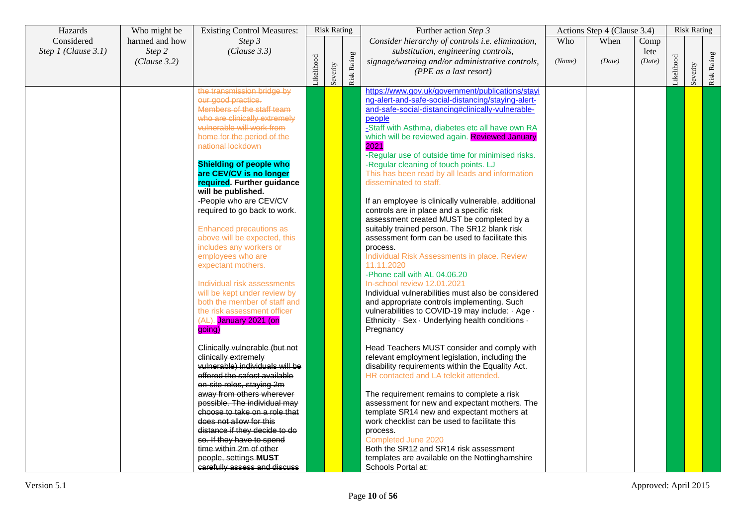| Hazards             | Who might be   | <b>Existing Control Measures:</b>                     |            | <b>Risk Rating</b> |             | Further action Step 3                                                                                |        | Actions Step 4 (Clause 3.4) |        |           | <b>Risk Rating</b> |             |
|---------------------|----------------|-------------------------------------------------------|------------|--------------------|-------------|------------------------------------------------------------------------------------------------------|--------|-----------------------------|--------|-----------|--------------------|-------------|
| Considered          | harmed and how | Step 3                                                |            |                    |             | Consider hierarchy of controls i.e. elimination,                                                     | Who    | When                        | Comp   |           |                    |             |
| Step 1 (Clause 3.1) | Step 2         | (Clause 3.3)                                          |            |                    |             | substitution, engineering controls,                                                                  |        |                             | lete   |           |                    |             |
|                     | (Clause 3.2)   |                                                       |            |                    |             | signage/warning and/or administrative controls,                                                      | (Name) | (Date)                      | (Date) |           |                    |             |
|                     |                |                                                       |            |                    |             | (PPE as a last resort)                                                                               |        |                             |        |           |                    |             |
|                     |                |                                                       | Likelihood | Severity           | Risk Rating |                                                                                                      |        |                             |        | ikelihood | Severity           | Risk Rating |
|                     |                | the transmission bridge by                            |            |                    |             | https://www.gov.uk/government/publications/stayi                                                     |        |                             |        |           |                    |             |
|                     |                | our good practice.                                    |            |                    |             | ng-alert-and-safe-social-distancing/staying-alert-                                                   |        |                             |        |           |                    |             |
|                     |                | Members of the staff team                             |            |                    |             | and-safe-social-distancing#clinically-vulnerable-                                                    |        |                             |        |           |                    |             |
|                     |                | who are clinically extremely                          |            |                    |             | people                                                                                               |        |                             |        |           |                    |             |
|                     |                | vulnerable will work from                             |            |                    |             | -Staff with Asthma, diabetes etc all have own RA                                                     |        |                             |        |           |                    |             |
|                     |                | home for the period of the                            |            |                    |             | which will be reviewed again. Reviewed January                                                       |        |                             |        |           |                    |             |
|                     |                | national lockdown                                     |            |                    |             | 2021                                                                                                 |        |                             |        |           |                    |             |
|                     |                |                                                       |            |                    |             | -Regular use of outside time for minimised risks.                                                    |        |                             |        |           |                    |             |
|                     |                | <b>Shielding of people who</b>                        |            |                    |             | -Regular cleaning of touch points. LJ                                                                |        |                             |        |           |                    |             |
|                     |                | are CEV/CV is no longer                               |            |                    |             | This has been read by all leads and information                                                      |        |                             |        |           |                    |             |
|                     |                | required. Further guidance                            |            |                    |             | disseminated to staff.                                                                               |        |                             |        |           |                    |             |
|                     |                | will be published.                                    |            |                    |             |                                                                                                      |        |                             |        |           |                    |             |
|                     |                | -People who are CEV/CV                                |            |                    |             | If an employee is clinically vulnerable, additional                                                  |        |                             |        |           |                    |             |
|                     |                | required to go back to work.                          |            |                    |             | controls are in place and a specific risk                                                            |        |                             |        |           |                    |             |
|                     |                |                                                       |            |                    |             | assessment created MUST be completed by a                                                            |        |                             |        |           |                    |             |
|                     |                | Enhanced precautions as                               |            |                    |             | suitably trained person. The SR12 blank risk                                                         |        |                             |        |           |                    |             |
|                     |                | above will be expected, this                          |            |                    |             | assessment form can be used to facilitate this                                                       |        |                             |        |           |                    |             |
|                     |                | includes any workers or                               |            |                    |             | process.                                                                                             |        |                             |        |           |                    |             |
|                     |                | employees who are                                     |            |                    |             | Individual Risk Assessments in place. Review                                                         |        |                             |        |           |                    |             |
|                     |                | expectant mothers.                                    |            |                    |             | 11.11.2020                                                                                           |        |                             |        |           |                    |             |
|                     |                |                                                       |            |                    |             | -Phone call with AL 04.06.20                                                                         |        |                             |        |           |                    |             |
|                     |                | Individual risk assessments                           |            |                    |             | In-school review 12.01.2021                                                                          |        |                             |        |           |                    |             |
|                     |                | will be kept under review by                          |            |                    |             | Individual vulnerabilities must also be considered                                                   |        |                             |        |           |                    |             |
|                     |                | both the member of staff and                          |            |                    |             | and appropriate controls implementing. Such                                                          |        |                             |        |           |                    |             |
|                     |                | the risk assessment officer<br>(AL). January 2021 (on |            |                    |             | vulnerabilities to COVID-19 may include: · Age ·<br>Ethnicity · Sex · Underlying health conditions · |        |                             |        |           |                    |             |
|                     |                | going)                                                |            |                    |             | Pregnancy                                                                                            |        |                             |        |           |                    |             |
|                     |                |                                                       |            |                    |             |                                                                                                      |        |                             |        |           |                    |             |
|                     |                | Clinically vulnerable (but not                        |            |                    |             | Head Teachers MUST consider and comply with                                                          |        |                             |        |           |                    |             |
|                     |                | clinically extremely                                  |            |                    |             | relevant employment legislation, including the                                                       |        |                             |        |           |                    |             |
|                     |                | vulnerable) individuals will be                       |            |                    |             | disability requirements within the Equality Act.                                                     |        |                             |        |           |                    |             |
|                     |                | offered the safest available                          |            |                    |             | HR contacted and LA telekit attended.                                                                |        |                             |        |           |                    |             |
|                     |                | on-site roles, staying 2m                             |            |                    |             |                                                                                                      |        |                             |        |           |                    |             |
|                     |                | away from others wherever                             |            |                    |             | The requirement remains to complete a risk                                                           |        |                             |        |           |                    |             |
|                     |                | possible. The individual may                          |            |                    |             | assessment for new and expectant mothers. The                                                        |        |                             |        |           |                    |             |
|                     |                | choose to take on a role that                         |            |                    |             | template SR14 new and expectant mothers at                                                           |        |                             |        |           |                    |             |
|                     |                | does not allow for this                               |            |                    |             | work checklist can be used to facilitate this                                                        |        |                             |        |           |                    |             |
|                     |                | distance if they decide to do                         |            |                    |             | process.                                                                                             |        |                             |        |           |                    |             |
|                     |                | so. If they have to spend                             |            |                    |             | Completed June 2020                                                                                  |        |                             |        |           |                    |             |
|                     |                | time within 2m of other                               |            |                    |             | Both the SR12 and SR14 risk assessment                                                               |        |                             |        |           |                    |             |
|                     |                | people, settings MUST                                 |            |                    |             | templates are available on the Nottinghamshire                                                       |        |                             |        |           |                    |             |
|                     |                | carefully assess and discuss                          |            |                    |             | Schools Portal at:                                                                                   |        |                             |        |           |                    |             |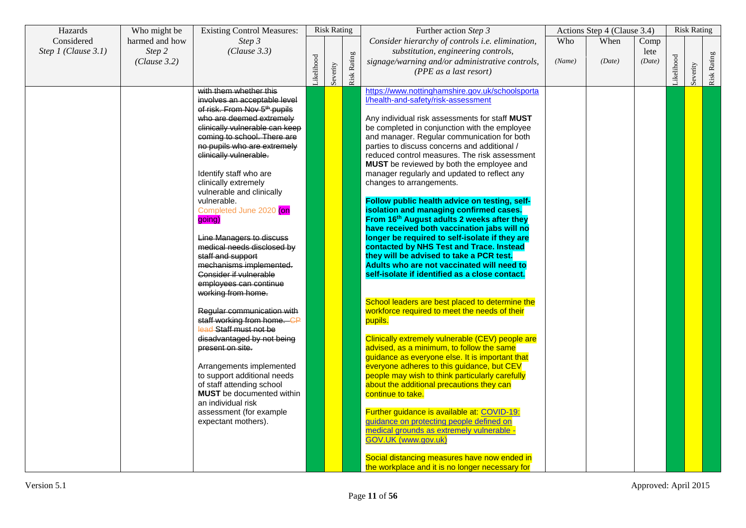| Hazards             | Who might be   | <b>Existing Control Measures:</b>                         |           | <b>Risk Rating</b> |                    | Further action Step 3                                                    |        | Actions Step 4 (Clause 3.4) |        |           | <b>Risk Rating</b> |             |
|---------------------|----------------|-----------------------------------------------------------|-----------|--------------------|--------------------|--------------------------------------------------------------------------|--------|-----------------------------|--------|-----------|--------------------|-------------|
| Considered          | harmed and how | Step 3                                                    |           |                    |                    | Consider hierarchy of controls i.e. elimination,                         | Who    | When                        | Comp   |           |                    |             |
| Step 1 (Clause 3.1) | Step 2         | (Clause 3.3)                                              |           |                    |                    | substitution, engineering controls,                                      |        |                             | lete   |           |                    |             |
|                     | (Clause 3.2)   |                                                           | ikelihood |                    |                    | signage/warning and/or administrative controls,                          | (Name) | (Date)                      | (Date) | ikelihood |                    |             |
|                     |                |                                                           |           |                    |                    | (PPE as a last resort)                                                   |        |                             |        |           |                    |             |
|                     |                |                                                           |           | Severity           | <b>Risk Rating</b> |                                                                          |        |                             |        |           | Severity           | Risk Rating |
|                     |                | with them whether this                                    |           |                    |                    | https://www.nottinghamshire.gov.uk/schoolsporta                          |        |                             |        |           |                    |             |
|                     |                | involves an acceptable level                              |           |                    |                    | l/health-and-safety/risk-assessment                                      |        |                             |        |           |                    |             |
|                     |                | of risk. From Nov 5 <sup>th</sup> pupils                  |           |                    |                    |                                                                          |        |                             |        |           |                    |             |
|                     |                | who are deemed extremely                                  |           |                    |                    | Any individual risk assessments for staff MUST                           |        |                             |        |           |                    |             |
|                     |                | clinically vulnerable can keep                            |           |                    |                    | be completed in conjunction with the employee                            |        |                             |        |           |                    |             |
|                     |                | coming to school. There are                               |           |                    |                    | and manager. Regular communication for both                              |        |                             |        |           |                    |             |
|                     |                | no pupils who are extremely                               |           |                    |                    | parties to discuss concerns and additional /                             |        |                             |        |           |                    |             |
|                     |                | clinically vulnerable.                                    |           |                    |                    | reduced control measures. The risk assessment                            |        |                             |        |           |                    |             |
|                     |                | Identify staff who are                                    |           |                    |                    | MUST be reviewed by both the employee and                                |        |                             |        |           |                    |             |
|                     |                | clinically extremely                                      |           |                    |                    | manager regularly and updated to reflect any<br>changes to arrangements. |        |                             |        |           |                    |             |
|                     |                | vulnerable and clinically                                 |           |                    |                    |                                                                          |        |                             |        |           |                    |             |
|                     |                | vulnerable.                                               |           |                    |                    | Follow public health advice on testing, self-                            |        |                             |        |           |                    |             |
|                     |                | Completed June 2020 (on                                   |           |                    |                    | isolation and managing confirmed cases.                                  |        |                             |        |           |                    |             |
|                     |                | going)                                                    |           |                    |                    | From 16th August adults 2 weeks after they                               |        |                             |        |           |                    |             |
|                     |                |                                                           |           |                    |                    | have received both vaccination jabs will no                              |        |                             |        |           |                    |             |
|                     |                | Line Managers to discuss                                  |           |                    |                    | longer be required to self-isolate if they are                           |        |                             |        |           |                    |             |
|                     |                | medical needs disclosed by                                |           |                    |                    | contacted by NHS Test and Trace. Instead                                 |        |                             |        |           |                    |             |
|                     |                | staff and support                                         |           |                    |                    | they will be advised to take a PCR test.                                 |        |                             |        |           |                    |             |
|                     |                | mechanisms implemented.                                   |           |                    |                    | Adults who are not vaccinated will need to                               |        |                             |        |           |                    |             |
|                     |                | Consider if vulnerable                                    |           |                    |                    | self-isolate if identified as a close contact.                           |        |                             |        |           |                    |             |
|                     |                | employees can continue                                    |           |                    |                    |                                                                          |        |                             |        |           |                    |             |
|                     |                | working from home.                                        |           |                    |                    |                                                                          |        |                             |        |           |                    |             |
|                     |                |                                                           |           |                    |                    | School leaders are best placed to determine the                          |        |                             |        |           |                    |             |
|                     |                | Regular communication with<br>staff working from home. CP |           |                    |                    | workforce required to meet the needs of their<br>pupils.                 |        |                             |        |           |                    |             |
|                     |                | lead Staff must not be                                    |           |                    |                    |                                                                          |        |                             |        |           |                    |             |
|                     |                | disadvantaged by not being                                |           |                    |                    | Clinically extremely vulnerable (CEV) people are                         |        |                             |        |           |                    |             |
|                     |                | present on site.                                          |           |                    |                    | advised, as a minimum, to follow the same                                |        |                             |        |           |                    |             |
|                     |                |                                                           |           |                    |                    | guidance as everyone else. It is important that                          |        |                             |        |           |                    |             |
|                     |                | Arrangements implemented                                  |           |                    |                    | everyone adheres to this guidance, but CEV                               |        |                             |        |           |                    |             |
|                     |                | to support additional needs                               |           |                    |                    | people may wish to think particularly carefully                          |        |                             |        |           |                    |             |
|                     |                | of staff attending school                                 |           |                    |                    | about the additional precautions they can                                |        |                             |        |           |                    |             |
|                     |                | <b>MUST</b> be documented within                          |           |                    |                    | continue to take.                                                        |        |                             |        |           |                    |             |
|                     |                | an individual risk                                        |           |                    |                    |                                                                          |        |                             |        |           |                    |             |
|                     |                | assessment (for example)                                  |           |                    |                    | Further guidance is available at: COVID-19:                              |        |                             |        |           |                    |             |
|                     |                | expectant mothers).                                       |           |                    |                    | guidance on protecting people defined on                                 |        |                             |        |           |                    |             |
|                     |                |                                                           |           |                    |                    | medical grounds as extremely vulnerable -                                |        |                             |        |           |                    |             |
|                     |                |                                                           |           |                    |                    | GOV.UK (www.gov.uk)                                                      |        |                             |        |           |                    |             |
|                     |                |                                                           |           |                    |                    | Social distancing measures have now ended in                             |        |                             |        |           |                    |             |
|                     |                |                                                           |           |                    |                    | the workplace and it is no longer necessary for                          |        |                             |        |           |                    |             |
|                     |                |                                                           |           |                    |                    |                                                                          |        |                             |        |           |                    |             |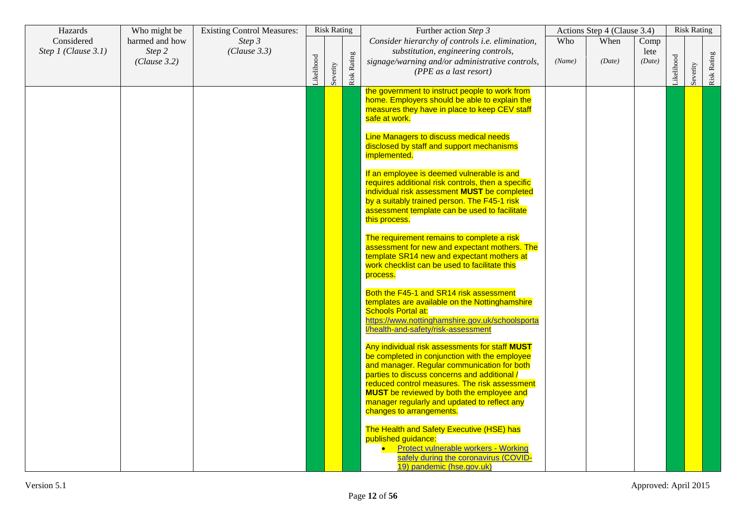| Hazards                           | Who might be                             | <b>Existing Control Measures:</b> |           | <b>Risk Rating</b> |             | Further action Step 3                                                                                                                                                                                                                                                                                                                               |               | Actions Step 4 (Clause 3.4) |                        |           | <b>Risk Rating</b> |                    |
|-----------------------------------|------------------------------------------|-----------------------------------|-----------|--------------------|-------------|-----------------------------------------------------------------------------------------------------------------------------------------------------------------------------------------------------------------------------------------------------------------------------------------------------------------------------------------------------|---------------|-----------------------------|------------------------|-----------|--------------------|--------------------|
| Considered<br>Step 1 (Clause 3.1) | harmed and how<br>Step 2<br>(Clause 3.2) | Step 3<br>(Clause 3.3)            | ikelihood | Severity           | Risk Rating | Consider hierarchy of controls i.e. elimination,<br>substitution, engineering controls,<br>signage/warning and/or administrative controls,<br>(PPE as a last resort)                                                                                                                                                                                | Who<br>(Name) | When<br>(Date)              | Comp<br>lete<br>(Date) | ikelihood | Severity           | <b>Risk Rating</b> |
|                                   |                                          |                                   |           |                    |             | the government to instruct people to work from<br>home. Employers should be able to explain the<br>measures they have in place to keep CEV staff<br>safe at work.                                                                                                                                                                                   |               |                             |                        |           |                    |                    |
|                                   |                                          |                                   |           |                    |             | <b>Line Managers to discuss medical needs</b><br>disclosed by staff and support mechanisms<br>implemented.                                                                                                                                                                                                                                          |               |                             |                        |           |                    |                    |
|                                   |                                          |                                   |           |                    |             | If an employee is deemed vulnerable is and<br>requires additional risk controls, then a specific<br>individual risk assessment MUST be completed<br>by a suitably trained person. The F45-1 risk<br>assessment template can be used to facilitate<br>this process.                                                                                  |               |                             |                        |           |                    |                    |
|                                   |                                          |                                   |           |                    |             | The requirement remains to complete a risk<br>assessment for new and expectant mothers. The<br>template SR14 new and expectant mothers at<br>work checklist can be used to facilitate this<br>process.                                                                                                                                              |               |                             |                        |           |                    |                    |
|                                   |                                          |                                   |           |                    |             | Both the F45-1 and SR14 risk assessment<br>templates are available on the Nottinghamshire<br><b>Schools Portal at:</b><br>https://www.nottinghamshire.gov.uk/schoolsporta<br>l/health-and-safety/risk-assessment                                                                                                                                    |               |                             |                        |           |                    |                    |
|                                   |                                          |                                   |           |                    |             | Any individual risk assessments for staff MUST<br>be completed in conjunction with the employee<br>and manager. Regular communication for both<br>parties to discuss concerns and additional /<br>reduced control measures. The risk assessment<br><b>MUST</b> be reviewed by both the employee and<br>manager regularly and updated to reflect any |               |                             |                        |           |                    |                    |
|                                   |                                          |                                   |           |                    |             | changes to arrangements.<br>The Health and Safety Executive (HSE) has<br>published guidance:<br>• Protect vulnerable workers - Working<br>safely during the coronavirus (COVID-<br>19) pandemic (hse.gov.uk)                                                                                                                                        |               |                             |                        |           |                    |                    |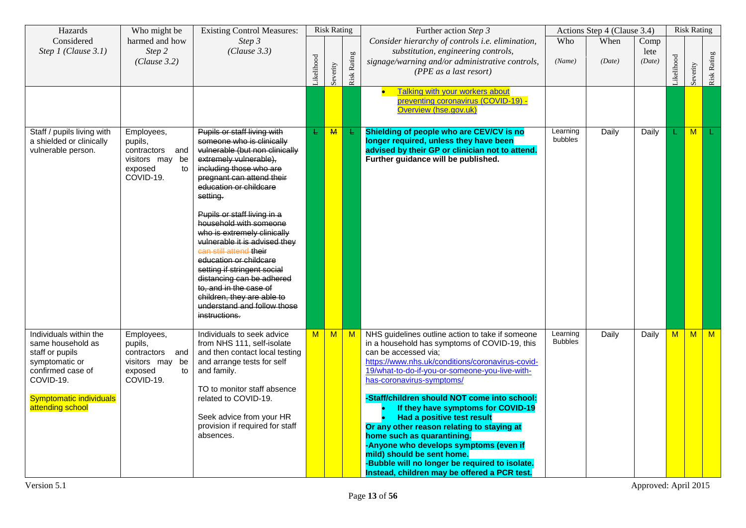| Hazards                                                                                                                                                                  | Who might be                                                                                 | <b>Existing Control Measures:</b>                                                                                                                                                                                                                                                                                                                                                                                                                                                                                                                                   |           | <b>Risk Rating</b> |              | Further action Step 3                                                                                                                                                                                                                                                                                                                                                                                                                                                                                                                                                                                                                  |                            | Actions Step 4 (Clause 3.4) |                        |           | <b>Risk Rating</b> |                |
|--------------------------------------------------------------------------------------------------------------------------------------------------------------------------|----------------------------------------------------------------------------------------------|---------------------------------------------------------------------------------------------------------------------------------------------------------------------------------------------------------------------------------------------------------------------------------------------------------------------------------------------------------------------------------------------------------------------------------------------------------------------------------------------------------------------------------------------------------------------|-----------|--------------------|--------------|----------------------------------------------------------------------------------------------------------------------------------------------------------------------------------------------------------------------------------------------------------------------------------------------------------------------------------------------------------------------------------------------------------------------------------------------------------------------------------------------------------------------------------------------------------------------------------------------------------------------------------------|----------------------------|-----------------------------|------------------------|-----------|--------------------|----------------|
| Considered<br>Step 1 (Clause 3.1)                                                                                                                                        | harmed and how<br>Step 2<br>(Clause 3.2)                                                     | Step 3<br>(Clause 3.3)                                                                                                                                                                                                                                                                                                                                                                                                                                                                                                                                              | ikelihood | Severity           | Risk Rating  | Consider hierarchy of controls i.e. elimination,<br>substitution, engineering controls,<br>signage/warning and/or administrative controls,<br>(PPE as a last resort)                                                                                                                                                                                                                                                                                                                                                                                                                                                                   | Who<br>(Name)              | When<br>(Date)              | Comp<br>lete<br>(Date) | ikelihood | Severity           | Risk Rating    |
|                                                                                                                                                                          |                                                                                              |                                                                                                                                                                                                                                                                                                                                                                                                                                                                                                                                                                     |           |                    |              | <b>Talking with your workers about</b><br>$\bullet$<br>preventing coronavirus (COVID-19) -<br>Overview (hse.gov.uk)                                                                                                                                                                                                                                                                                                                                                                                                                                                                                                                    |                            |                             |                        |           |                    |                |
| Staff / pupils living with<br>a shielded or clinically<br>vulnerable person.                                                                                             | Employees,<br>pupils,<br>contractors and<br>visitors may be<br>to<br>exposed<br>COVID-19.    | Pupils or staff living with<br>someone who is clinically<br>vulnerable (but non clinically<br>extremely vulnerable),<br>including those who are<br>pregnant can attend their<br>education or childcare<br>setting.<br>Pupils or staff living in a<br>household with someone<br>who is extremely clinically<br>vulnerable it is advised they<br>can still attend their<br>education or childcare<br>setting if stringent social<br>distancing can be adhered<br>to, and in the case of<br>children, they are able to<br>understand and follow those<br>instructions. | Ł         | M                  | Ł.           | Shielding of people who are CEV/CV is no<br>longer required, unless they have been<br>advised by their GP or clinician not to attend.<br>Further guidance will be published.                                                                                                                                                                                                                                                                                                                                                                                                                                                           | Learning<br>bubbles        | Daily                       | Daily                  |           | M                  |                |
| Individuals within the<br>same household as<br>staff or pupils<br>symptomatic or<br>confirmed case of<br>COVID-19.<br><b>Symptomatic individuals</b><br>attending school | Employees,<br>pupils,<br>contractors and<br>visitors may<br>be<br>exposed<br>to<br>COVID-19. | Individuals to seek advice<br>from NHS 111, self-isolate<br>and then contact local testing<br>and arrange tests for self<br>and family.<br>TO to monitor staff absence<br>related to COVID-19.<br>Seek advice from your HR<br>provision if required for staff<br>absences.                                                                                                                                                                                                                                                                                          | M         | M                  | $\mathsf{M}$ | NHS guidelines outline action to take if someone<br>in a household has symptoms of COVID-19, this<br>can be accessed via:<br>https://www.nhs.uk/conditions/coronavirus-covid-<br>19/what-to-do-if-you-or-someone-you-live-with-<br>has-coronavirus-symptoms/<br>-Staff/children should NOT come into school:<br>If they have symptoms for COVID-19<br>Had a positive test result<br>Or any other reason relating to staying at<br>home such as quarantining.<br>-Anyone who develops symptoms (even if<br>mild) should be sent home.<br>-Bubble will no longer be required to isolate.<br>Instead, children may be offered a PCR test. | Learning<br><b>Bubbles</b> | Daily                       | Daily                  | M         | M                  | $\blacksquare$ |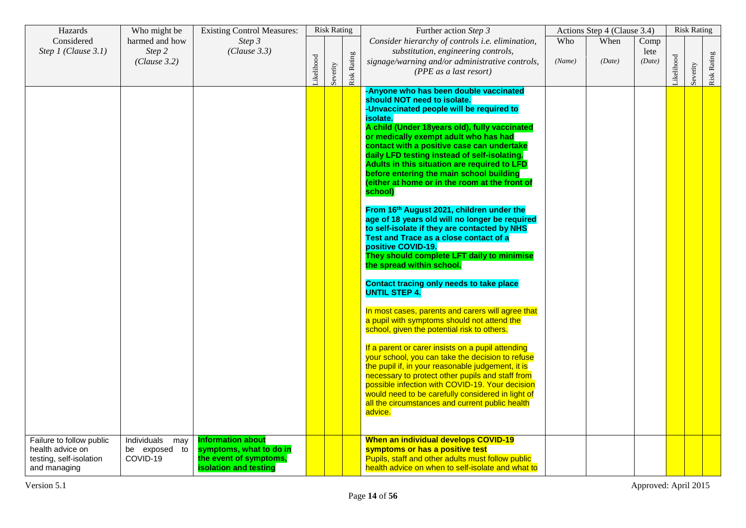| Hazards                                                                                 | Who might be                                    | <b>Existing Control Measures:</b>                                                                             |           | <b>Risk Rating</b> |             | Further action Step 3                                                                                                                                                                                                                                                                                                                                                                                                                                                                                                                                                                                                                                                                                                                                                                                                                                                                                                                                                                                                                                                                                                                                                                                                                                                                                                                                                                          |        | Actions Step 4 (Clause 3.4) |              | <b>Risk Rating</b> |             |
|-----------------------------------------------------------------------------------------|-------------------------------------------------|---------------------------------------------------------------------------------------------------------------|-----------|--------------------|-------------|------------------------------------------------------------------------------------------------------------------------------------------------------------------------------------------------------------------------------------------------------------------------------------------------------------------------------------------------------------------------------------------------------------------------------------------------------------------------------------------------------------------------------------------------------------------------------------------------------------------------------------------------------------------------------------------------------------------------------------------------------------------------------------------------------------------------------------------------------------------------------------------------------------------------------------------------------------------------------------------------------------------------------------------------------------------------------------------------------------------------------------------------------------------------------------------------------------------------------------------------------------------------------------------------------------------------------------------------------------------------------------------------|--------|-----------------------------|--------------|--------------------|-------------|
| Considered<br>Step 1 (Clause 3.1)                                                       | harmed and how<br>Step 2                        | Step 3<br>(Clause 3.3)                                                                                        |           |                    |             | Consider hierarchy of controls i.e. elimination,<br>substitution, engineering controls,                                                                                                                                                                                                                                                                                                                                                                                                                                                                                                                                                                                                                                                                                                                                                                                                                                                                                                                                                                                                                                                                                                                                                                                                                                                                                                        | Who    | When                        | Comp<br>lete |                    |             |
|                                                                                         | (Clause 3.2)                                    |                                                                                                               | ikelihood | Severity           | Risk Rating | signage/warning and/or administrative controls,<br>(PPE as a last resort)                                                                                                                                                                                                                                                                                                                                                                                                                                                                                                                                                                                                                                                                                                                                                                                                                                                                                                                                                                                                                                                                                                                                                                                                                                                                                                                      | (Name) | (Date)                      | (Date)       | Severity           | Risk Rating |
|                                                                                         |                                                 |                                                                                                               |           |                    |             | -Anyone who has been double vaccinated<br>should NOT need to isolate.<br>-Unvaccinated people will be required to<br>isolate.<br>A child (Under 18years old), fully vaccinated<br>or medically exempt adult who has had<br>contact with a positive case can undertake<br>daily LFD testing instead of self-isolating.<br>Adults in this situation are required to LFD<br>before entering the main school building<br>(either at home or in the room at the front of<br>school)<br>From 16th August 2021, children under the<br>age of 18 years old will no longer be required<br>to self-isolate if they are contacted by NHS<br>Test and Trace as a close contact of a<br>positive COVID-19.<br>They should complete LFT daily to minimise<br>the spread within school.<br><b>Contact tracing only needs to take place</b><br><b>UNTIL STEP 4.</b><br>In most cases, parents and carers will agree that<br>a pupil with symptoms should not attend the<br>school, given the potential risk to others.<br>If a parent or carer insists on a pupil attending<br>your school, you can take the decision to refuse<br>the pupil if, in your reasonable judgement, it is<br>necessary to protect other pupils and staff from<br>possible infection with COVID-19. Your decision<br>would need to be carefully considered in light of<br>all the circumstances and current public health<br>advice. |        |                             |              |                    |             |
| Failure to follow public<br>health advice on<br>testing, self-isolation<br>and managing | Individuals<br>may<br>be exposed to<br>COVID-19 | <b>Information about</b><br>symptoms, what to do in<br>the event of symptoms,<br><b>isolation and testing</b> |           |                    |             | When an individual develops COVID-19<br>symptoms or has a positive test<br>Pupils, staff and other adults must follow public<br>health advice on when to self-isolate and what to                                                                                                                                                                                                                                                                                                                                                                                                                                                                                                                                                                                                                                                                                                                                                                                                                                                                                                                                                                                                                                                                                                                                                                                                              |        |                             |              |                    |             |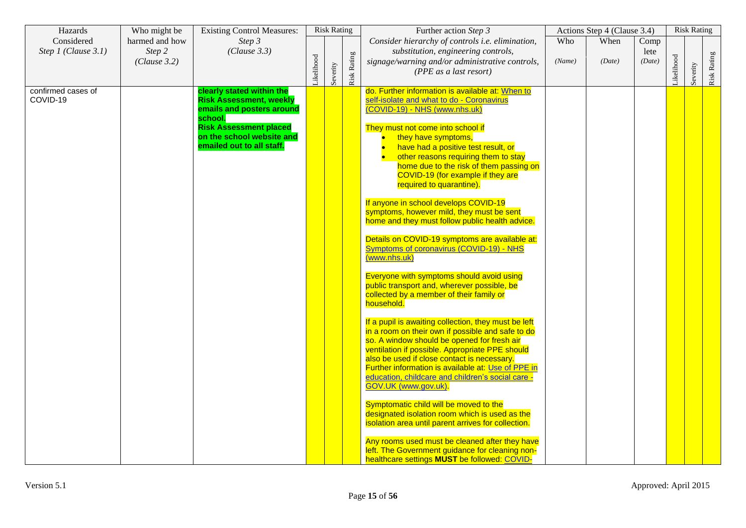| Hazards                           | Who might be                             | <b>Existing Control Measures:</b>                                                                                                                                                              |           | <b>Risk Rating</b> |                    | Further action Step 3                                                                                                                                                                                                                                                                                                                                                                                                                                                                                                                                                                                                                                                                                                                                                                                                                                                                                                                                                                                                                                                                                                                                                                                                                                                                                                                                                                                                                                                                                              |               | Actions Step 4 (Clause 3.4) |                        |           | <b>Risk Rating</b> |                    |
|-----------------------------------|------------------------------------------|------------------------------------------------------------------------------------------------------------------------------------------------------------------------------------------------|-----------|--------------------|--------------------|--------------------------------------------------------------------------------------------------------------------------------------------------------------------------------------------------------------------------------------------------------------------------------------------------------------------------------------------------------------------------------------------------------------------------------------------------------------------------------------------------------------------------------------------------------------------------------------------------------------------------------------------------------------------------------------------------------------------------------------------------------------------------------------------------------------------------------------------------------------------------------------------------------------------------------------------------------------------------------------------------------------------------------------------------------------------------------------------------------------------------------------------------------------------------------------------------------------------------------------------------------------------------------------------------------------------------------------------------------------------------------------------------------------------------------------------------------------------------------------------------------------------|---------------|-----------------------------|------------------------|-----------|--------------------|--------------------|
| Considered<br>Step 1 (Clause 3.1) | harmed and how<br>Step 2<br>(Clause 3.2) | Step 3<br>(Clause 3.3)                                                                                                                                                                         | ikelihood | Severity           | <b>Risk Rating</b> | Consider hierarchy of controls i.e. elimination,<br>substitution, engineering controls,<br>signage/warning and/or administrative controls,<br>(PPE as a last resort)                                                                                                                                                                                                                                                                                                                                                                                                                                                                                                                                                                                                                                                                                                                                                                                                                                                                                                                                                                                                                                                                                                                                                                                                                                                                                                                                               | Who<br>(Name) | When<br>(Date)              | Comp<br>lete<br>(Date) | ikelihood | Severity           | <b>Risk Rating</b> |
| confirmed cases of<br>COVID-19    |                                          | clearly stated within the<br><b>Risk Assessment, weekly</b><br>emails and posters around<br>school.<br><b>Risk Assessment placed</b><br>on the school website and<br>emailed out to all staff. |           |                    |                    | do. Further information is available at: When to<br>self-isolate and what to do - Coronavirus<br>(COVID-19) - NHS (www.nhs.uk)<br>They must not come into school if<br>they have symptoms,<br>have had a positive test result, or<br>other reasons requiring them to stay<br>home due to the risk of them passing on<br>COVID-19 (for example if they are<br>required to quarantine).<br>If anyone in school develops COVID-19<br>symptoms, however mild, they must be sent<br>home and they must follow public health advice.<br>Details on COVID-19 symptoms are available at:<br><b>Symptoms of coronavirus (COVID-19) - NHS</b><br>(www.nhs.uk)<br>Everyone with symptoms should avoid using<br>public transport and, wherever possible, be<br>collected by a member of their family or<br>household.<br>If a pupil is awaiting collection, they must be left<br>in a room on their own if possible and safe to do<br>so. A window should be opened for fresh air<br>ventilation if possible. Appropriate PPE should<br>also be used if close contact is necessary.<br>Further information is available at: Use of PPE in<br>education, childcare and children's social care -<br>GOV.UK (www.gov.uk).<br>Symptomatic child will be moved to the<br>designated isolation room which is used as the<br>isolation area until parent arrives for collection.<br>Any rooms used must be cleaned after they have<br>left. The Government guidance for cleaning non-<br>healthcare settings MUST be followed: COVID- |               |                             |                        |           |                    |                    |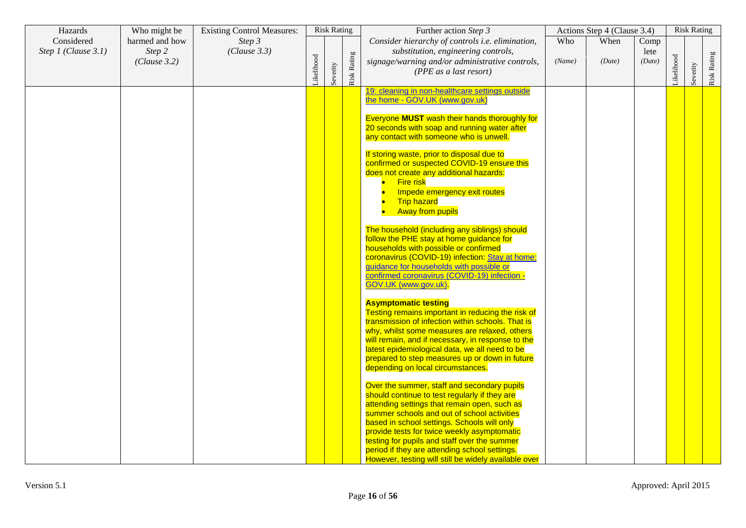| Hazards             | Who might be           | <b>Existing Control Measures:</b> |           | <b>Risk Rating</b> |             | Further action Step 3                                                                                                                                                                                                                                                                                                                                                                                                                              |        | Actions Step 4 (Clause 3.4) |                |           | <b>Risk Rating</b> |             |
|---------------------|------------------------|-----------------------------------|-----------|--------------------|-------------|----------------------------------------------------------------------------------------------------------------------------------------------------------------------------------------------------------------------------------------------------------------------------------------------------------------------------------------------------------------------------------------------------------------------------------------------------|--------|-----------------------------|----------------|-----------|--------------------|-------------|
| Considered          | harmed and how         | Step 3                            |           |                    |             | Consider hierarchy of controls i.e. elimination,                                                                                                                                                                                                                                                                                                                                                                                                   | Who    | When                        | Comp           |           |                    |             |
| Step 1 (Clause 3.1) | Step 2<br>(Clause 3.2) | (Clause 3.3)                      | ikelihood | Severity           | Risk Rating | substitution, engineering controls,<br>signage/warning and/or administrative controls,<br>(PPE as a last resort)                                                                                                                                                                                                                                                                                                                                   | (Name) | (Date)                      | lete<br>(Date) | ikelihood | Severity           | Risk Rating |
|                     |                        |                                   |           |                    |             | 19: cleaning in non-healthcare settings outside<br>the home - GOV.UK (www.gov.uk)                                                                                                                                                                                                                                                                                                                                                                  |        |                             |                |           |                    |             |
|                     |                        |                                   |           |                    |             | Everyone MUST wash their hands thoroughly for<br>20 seconds with soap and running water after<br>any contact with someone who is unwell.                                                                                                                                                                                                                                                                                                           |        |                             |                |           |                    |             |
|                     |                        |                                   |           |                    |             | If storing waste, prior to disposal due to<br>confirmed or suspected COVID-19 ensure this<br>does not create any additional hazards:<br><b>Fire risk</b><br>Impede emergency exit routes<br><b>Trip hazard</b><br><b>Away from pupils</b>                                                                                                                                                                                                          |        |                             |                |           |                    |             |
|                     |                        |                                   |           |                    |             | The household (including any siblings) should<br>follow the PHE stay at home guidance for<br>households with possible or confirmed<br>coronavirus (COVID-19) infection: Stay at home:<br>guidance for households with possible or<br>confirmed coronavirus (COVID-19) infection -<br>GOV.UK (www.gov.uk)                                                                                                                                           |        |                             |                |           |                    |             |
|                     |                        |                                   |           |                    |             | <b>Asymptomatic testing</b><br>Testing remains important in reducing the risk of<br>transmission of infection within schools. That is<br>why, whilst some measures are relaxed, others<br>will remain, and if necessary, in response to the<br>latest epidemiological data, we all need to be<br>prepared to step measures up or down in future<br>depending on local circumstances.                                                               |        |                             |                |           |                    |             |
|                     |                        |                                   |           |                    |             | Over the summer, staff and secondary pupils<br>should continue to test regularly if they are<br>attending settings that remain open, such as<br>summer schools and out of school activities<br>based in school settings. Schools will only<br>provide tests for twice weekly asymptomatic<br>testing for pupils and staff over the summer<br>period if they are attending school settings.<br>However, testing will still be widely available over |        |                             |                |           |                    |             |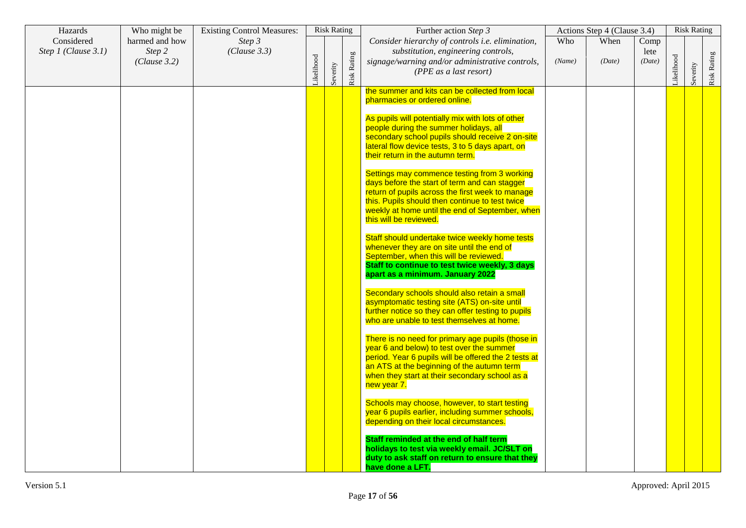| Hazards                           | Who might be                             | <b>Existing Control Measures:</b> |           | <b>Risk Rating</b> |             | Further action Step 3                                                                                                                                                                                                                                                             |               | Actions Step 4 (Clause 3.4) |                        |           | <b>Risk Rating</b> |             |
|-----------------------------------|------------------------------------------|-----------------------------------|-----------|--------------------|-------------|-----------------------------------------------------------------------------------------------------------------------------------------------------------------------------------------------------------------------------------------------------------------------------------|---------------|-----------------------------|------------------------|-----------|--------------------|-------------|
| Considered<br>Step 1 (Clause 3.1) | harmed and how<br>Step 2<br>(Clause 3.2) | Step 3<br>(Clause 3.3)            |           |                    |             | Consider hierarchy of controls i.e. elimination,<br>substitution, engineering controls,<br>signage/warning and/or administrative controls,                                                                                                                                        | Who<br>(Name) | When<br>(Date)              | Comp<br>lete<br>(Date) |           |                    |             |
|                                   |                                          |                                   | ikelihood | Severity           | Risk Rating | (PPE as a last resort)                                                                                                                                                                                                                                                            |               |                             |                        | ikelihood | Severity           | Risk Rating |
|                                   |                                          |                                   |           |                    |             | the summer and kits can be collected from local<br>pharmacies or ordered online.                                                                                                                                                                                                  |               |                             |                        |           |                    |             |
|                                   |                                          |                                   |           |                    |             | As pupils will potentially mix with lots of other<br>people during the summer holidays, all<br>secondary school pupils should receive 2 on-site<br>lateral flow device tests, 3 to 5 days apart, on<br>their return in the autumn term.                                           |               |                             |                        |           |                    |             |
|                                   |                                          |                                   |           |                    |             | Settings may commence testing from 3 working<br>days before the start of term and can stagger<br>return of pupils across the first week to manage<br>this. Pupils should then continue to test twice<br>weekly at home until the end of September, when<br>this will be reviewed. |               |                             |                        |           |                    |             |
|                                   |                                          |                                   |           |                    |             | Staff should undertake twice weekly home tests<br>whenever they are on site until the end of<br>September, when this will be reviewed.<br>Staff to continue to test twice weekly, 3 days<br>apart as a minimum. January 2022                                                      |               |                             |                        |           |                    |             |
|                                   |                                          |                                   |           |                    |             | Secondary schools should also retain a small<br>asymptomatic testing site (ATS) on-site until<br>further notice so they can offer testing to pupils<br>who are unable to test themselves at home.                                                                                 |               |                             |                        |           |                    |             |
|                                   |                                          |                                   |           |                    |             | There is no need for primary age pupils (those in<br>year 6 and below) to test over the summer<br>period. Year 6 pupils will be offered the 2 tests at<br>an ATS at the beginning of the autumn term<br>when they start at their secondary school as a<br>new year 7.             |               |                             |                        |           |                    |             |
|                                   |                                          |                                   |           |                    |             | Schools may choose, however, to start testing<br>year 6 pupils earlier, including summer schools,<br>depending on their local circumstances.                                                                                                                                      |               |                             |                        |           |                    |             |
|                                   |                                          |                                   |           |                    |             | Staff reminded at the end of half term<br>holidays to test via weekly email. JC/SLT on<br>duty to ask staff on return to ensure that they<br>have done a LFT.                                                                                                                     |               |                             |                        |           |                    |             |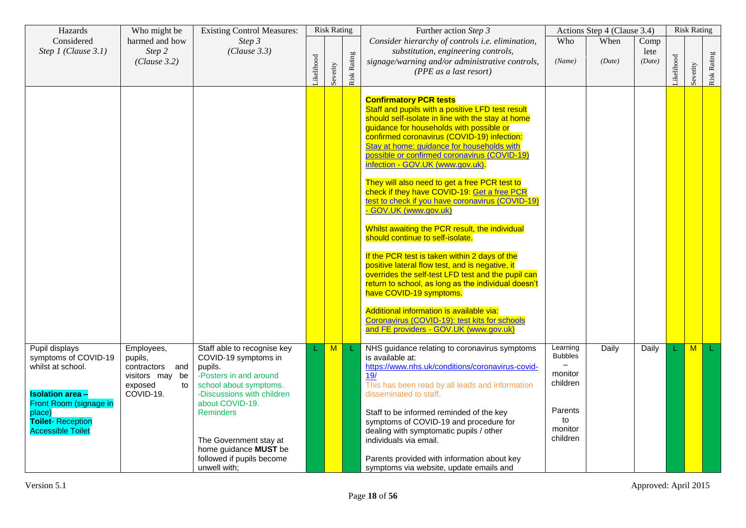| Hazards                                                                                                          | Who might be                                                                              | <b>Existing Control Measures:</b>                                                                                                                                   |           | <b>Risk Rating</b> |             | Further action Step 3                                                                                                                                                                                                                                                                                                                                               |                                                   | Actions Step 4 (Clause 3.4) |                        |           | <b>Risk Rating</b> |             |
|------------------------------------------------------------------------------------------------------------------|-------------------------------------------------------------------------------------------|---------------------------------------------------------------------------------------------------------------------------------------------------------------------|-----------|--------------------|-------------|---------------------------------------------------------------------------------------------------------------------------------------------------------------------------------------------------------------------------------------------------------------------------------------------------------------------------------------------------------------------|---------------------------------------------------|-----------------------------|------------------------|-----------|--------------------|-------------|
| Considered<br>Step 1 (Clause 3.1)                                                                                | harmed and how<br>Step 2<br>(Clause 3.2)                                                  | Step 3<br>(Clause 3.3)                                                                                                                                              | ikelihood | Severity           | Risk Rating | Consider hierarchy of controls i.e. elimination,<br>substitution, engineering controls,<br>signage/warning and/or administrative controls,<br>(PPE as a last resort)                                                                                                                                                                                                | Who<br>(Name)                                     | When<br>(Date)              | Comp<br>lete<br>(Date) | ikelihood | Severity           | Risk Rating |
|                                                                                                                  |                                                                                           |                                                                                                                                                                     |           |                    |             | <b>Confirmatory PCR tests</b><br>Staff and pupils with a positive LFD test result<br>should self-isolate in line with the stay at home<br>guidance for households with possible or<br>confirmed coronavirus (COVID-19) infection:<br>Stay at home: guidance for households with<br>possible or confirmed coronavirus (COVID-19)<br>infection - GOV.UK (www.gov.uk). |                                                   |                             |                        |           |                    |             |
|                                                                                                                  |                                                                                           |                                                                                                                                                                     |           |                    |             | They will also need to get a free PCR test to<br>check if they have COVID-19: Get a free PCR<br>test to check if you have coronavirus (COVID-19)<br>- GOV.UK (www.gov.uk)                                                                                                                                                                                           |                                                   |                             |                        |           |                    |             |
|                                                                                                                  |                                                                                           |                                                                                                                                                                     |           |                    |             | Whilst awaiting the PCR result, the individual<br>should continue to self-isolate.                                                                                                                                                                                                                                                                                  |                                                   |                             |                        |           |                    |             |
|                                                                                                                  |                                                                                           |                                                                                                                                                                     |           |                    |             | If the PCR test is taken within 2 days of the<br>positive lateral flow test, and is negative, it<br>overrides the self-test LFD test and the pupil can<br>return to school, as long as the individual doesn't<br>have COVID-19 symptoms.                                                                                                                            |                                                   |                             |                        |           |                    |             |
|                                                                                                                  |                                                                                           |                                                                                                                                                                     |           |                    |             | Additional information is available via:<br>Coronavirus (COVID-19): test kits for schools<br>and FE providers - GOV.UK (www.gov.uk)                                                                                                                                                                                                                                 |                                                   |                             |                        |           |                    |             |
| Pupil displays<br>symptoms of COVID-19<br>whilst at school.<br><b>Isolation area -</b><br>Front Room (signage in | Employees,<br>pupils,<br>contractors and<br>visitors may be<br>exposed<br>to<br>COVID-19. | Staff able to recognise key<br>COVID-19 symptoms in<br>pupils.<br>-Posters in and around<br>school about symptoms.<br>-Discussions with children<br>about COVID-19. |           | M                  |             | NHS guidance relating to coronavirus symptoms<br>is available at:<br>https://www.nhs.uk/conditions/coronavirus-covid-<br>19/<br>This has been read by all leads and information<br>disseminated to staff.                                                                                                                                                           | Learning<br><b>Bubbles</b><br>monitor<br>children | Daily                       | Daily                  |           | M                  |             |
| place)<br><b>Toilet-Reception</b><br><b>Accessible Toilet</b>                                                    |                                                                                           | <b>Reminders</b><br>The Government stay at<br>home guidance MUST be<br>followed if pupils become                                                                    |           |                    |             | Staff to be informed reminded of the key<br>symptoms of COVID-19 and procedure for<br>dealing with symptomatic pupils / other<br>individuals via email.<br>Parents provided with information about key                                                                                                                                                              | Parents<br>to<br>monitor<br>children              |                             |                        |           |                    |             |
|                                                                                                                  |                                                                                           | unwell with;                                                                                                                                                        |           |                    |             | symptoms via website, update emails and                                                                                                                                                                                                                                                                                                                             |                                                   |                             |                        |           |                    |             |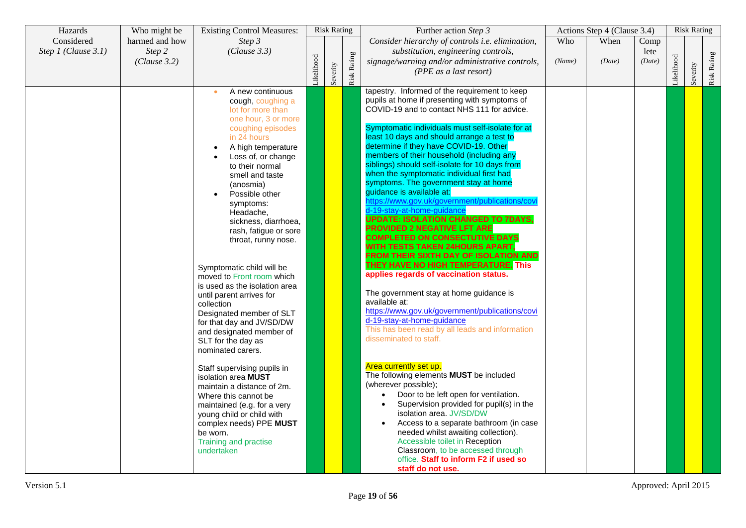| Hazards             | Who might be           | <b>Existing Control Measures:</b>                                                                                                                                                                                                                                                                                                                                                                                                                                                                                                                                                                                                                                                                                                                                                                                                                                                |           | <b>Risk Rating</b> |                    | Further action Step 3                                                                                                                                                                                                                                                                                                                                                                                                                                                                                                                                                                                                                                                                                                                                                                                                                                                                                                                                                                                                                                                                                                                                                                                                                                                                                                                                                                                                                                                                                                                                                         |        | Actions Step 4 (Clause 3.4) |                |           | <b>Risk Rating</b> |             |
|---------------------|------------------------|----------------------------------------------------------------------------------------------------------------------------------------------------------------------------------------------------------------------------------------------------------------------------------------------------------------------------------------------------------------------------------------------------------------------------------------------------------------------------------------------------------------------------------------------------------------------------------------------------------------------------------------------------------------------------------------------------------------------------------------------------------------------------------------------------------------------------------------------------------------------------------|-----------|--------------------|--------------------|-------------------------------------------------------------------------------------------------------------------------------------------------------------------------------------------------------------------------------------------------------------------------------------------------------------------------------------------------------------------------------------------------------------------------------------------------------------------------------------------------------------------------------------------------------------------------------------------------------------------------------------------------------------------------------------------------------------------------------------------------------------------------------------------------------------------------------------------------------------------------------------------------------------------------------------------------------------------------------------------------------------------------------------------------------------------------------------------------------------------------------------------------------------------------------------------------------------------------------------------------------------------------------------------------------------------------------------------------------------------------------------------------------------------------------------------------------------------------------------------------------------------------------------------------------------------------------|--------|-----------------------------|----------------|-----------|--------------------|-------------|
| Considered          | harmed and how         | Step 3                                                                                                                                                                                                                                                                                                                                                                                                                                                                                                                                                                                                                                                                                                                                                                                                                                                                           |           |                    |                    | Consider hierarchy of controls i.e. elimination,                                                                                                                                                                                                                                                                                                                                                                                                                                                                                                                                                                                                                                                                                                                                                                                                                                                                                                                                                                                                                                                                                                                                                                                                                                                                                                                                                                                                                                                                                                                              | Who    | When                        | Comp           |           |                    |             |
| Step 1 (Clause 3.1) | Step 2<br>(Clause 3.2) | (Clause 3.3)                                                                                                                                                                                                                                                                                                                                                                                                                                                                                                                                                                                                                                                                                                                                                                                                                                                                     | ikelihood | Severity           | <b>Risk Rating</b> | substitution, engineering controls,<br>signage/warning and/or administrative controls,<br>(PPE as a last resort)                                                                                                                                                                                                                                                                                                                                                                                                                                                                                                                                                                                                                                                                                                                                                                                                                                                                                                                                                                                                                                                                                                                                                                                                                                                                                                                                                                                                                                                              | (Name) | (Date)                      | lete<br>(Date) | ikelihood | Severity           | Risk Rating |
|                     |                        | A new continuous<br>$\bullet$<br>cough, coughing a<br>lot for more than<br>one hour, 3 or more<br>coughing episodes<br>in 24 hours<br>A high temperature<br>Loss of, or change<br>to their normal<br>smell and taste<br>(anosmia)<br>Possible other<br>symptoms:<br>Headache,<br>sickness, diarrhoea,<br>rash, fatigue or sore<br>throat, runny nose.<br>Symptomatic child will be<br>moved to Front room which<br>is used as the isolation area<br>until parent arrives for<br>collection<br>Designated member of SLT<br>for that day and JV/SD/DW<br>and designated member of<br>SLT for the day as<br>nominated carers.<br>Staff supervising pupils in<br>isolation area MUST<br>maintain a distance of 2m.<br>Where this cannot be<br>maintained (e.g. for a very<br>young child or child with<br>complex needs) PPE MUST<br>be worn.<br>Training and practise<br>undertaken |           |                    |                    | tapestry. Informed of the requirement to keep<br>pupils at home if presenting with symptoms of<br>COVID-19 and to contact NHS 111 for advice.<br>Symptomatic individuals must self-isolate for at<br>least 10 days and should arrange a test to<br>determine if they have COVID-19. Other<br>members of their household (including any<br>siblings) should self-isolate for 10 days from<br>when the symptomatic individual first had<br>symptoms. The government stay at home<br>guidance is available at:<br>https://www.gov.uk/government/publications/cov<br>d-19-stav-at-home-quidance<br><b>UPDATE: ISOLATION CHANGED TO 7DAYS,</b><br><b>PROVIDED 2 NEGATIVE LFT ARE</b><br><b>COMPLETED ON CONSECTUTIVE DAYS</b><br>WITH TESTS TAKEN 24HOURS APART,<br>FROM THEIR SIXTH DAY OF ISOLATION AND<br>THEY HAVE NO HIGH TEMPERATURE. This<br>applies regards of vaccination status.<br>The government stay at home guidance is<br>available at:<br>https://www.gov.uk/government/publications/covi<br>d-19-stay-at-home-guidance<br>This has been read by all leads and information<br>disseminated to staff.<br>Area currently set up.<br>The following elements MUST be included<br>(wherever possible);<br>Door to be left open for ventilation.<br>$\bullet$<br>Supervision provided for pupil(s) in the<br>$\bullet$<br>isolation area. JV/SD/DW<br>Access to a separate bathroom (in case<br>needed whilst awaiting collection).<br>Accessible toilet in Reception<br>Classroom, to be accessed through<br>office. Staff to inform F2 if used so<br>staff do not use. |        |                             |                |           |                    |             |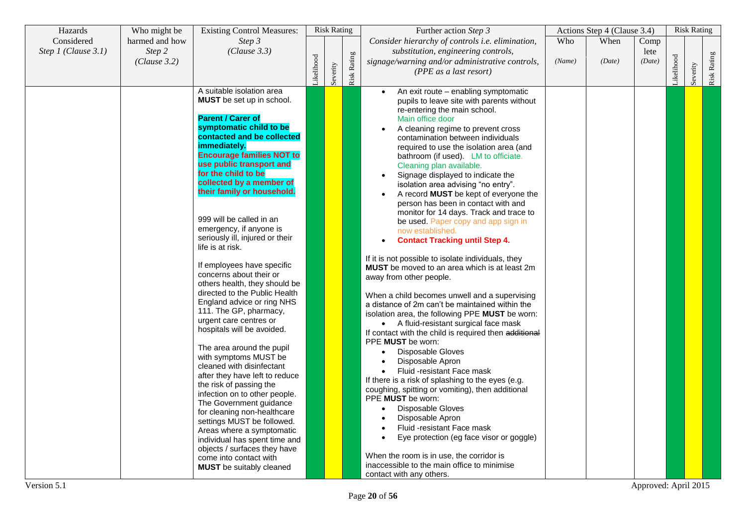| Hazards               | Who might be           | <b>Existing Control Measures:</b>                                                                                                     |           | <b>Risk Rating</b> |             | Further action Step 3                                                                                                                                                                       |        | Actions Step 4 (Clause 3.4) |                |           | <b>Risk Rating</b> |             |
|-----------------------|------------------------|---------------------------------------------------------------------------------------------------------------------------------------|-----------|--------------------|-------------|---------------------------------------------------------------------------------------------------------------------------------------------------------------------------------------------|--------|-----------------------------|----------------|-----------|--------------------|-------------|
| Considered            | harmed and how         | Step 3                                                                                                                                |           |                    |             | Consider hierarchy of controls i.e. elimination,                                                                                                                                            | Who    | When                        | Comp           |           |                    |             |
| Step $1$ (Clause 3.1) | Step 2<br>(Clause 3.2) | (Clause 3.3)                                                                                                                          |           |                    |             | substitution, engineering controls,<br>signage/warning and/or administrative controls,                                                                                                      | (Name) | (Date)                      | lete<br>(Date) |           |                    |             |
|                       |                        |                                                                                                                                       | ikelihood | Severity           | Risk Rating | (PPE as a last resort)                                                                                                                                                                      |        |                             |                | ikelihood | Severity           | Risk Rating |
|                       |                        | A suitable isolation area<br>MUST be set up in school.                                                                                |           |                    |             | An exit route - enabling symptomatic<br>pupils to leave site with parents without<br>re-entering the main school.                                                                           |        |                             |                |           |                    |             |
|                       |                        | <b>Parent / Carer of</b><br>symptomatic child to be<br>contacted and be collected<br>immediately.<br><b>Encourage families NOT to</b> |           |                    |             | Main office door<br>A cleaning regime to prevent cross<br>$\bullet$<br>contamination between individuals<br>required to use the isolation area (and<br>bathroom (if used). LM to officiate. |        |                             |                |           |                    |             |
|                       |                        | use public transport and<br>for the child to be<br>collected by a member of<br>their family or household.                             |           |                    |             | Cleaning plan available.<br>Signage displayed to indicate the<br>isolation area advising "no entry".<br>A record <b>MUST</b> be kept of everyone the<br>person has been in contact with and |        |                             |                |           |                    |             |
|                       |                        | 999 will be called in an<br>emergency, if anyone is<br>seriously ill, injured or their<br>life is at risk.                            |           |                    |             | monitor for 14 days. Track and trace to<br>be used. Paper copy and app sign in<br>now established.<br><b>Contact Tracking until Step 4.</b>                                                 |        |                             |                |           |                    |             |
|                       |                        | If employees have specific<br>concerns about their or<br>others health, they should be<br>directed to the Public Health               |           |                    |             | If it is not possible to isolate individuals, they<br><b>MUST</b> be moved to an area which is at least 2m<br>away from other people.<br>When a child becomes unwell and a supervising      |        |                             |                |           |                    |             |
|                       |                        | England advice or ring NHS<br>111. The GP, pharmacy,<br>urgent care centres or<br>hospitals will be avoided.                          |           |                    |             | a distance of 2m can't be maintained within the<br>isolation area, the following PPE MUST be worn:<br>• A fluid-resistant surgical face mask                                                |        |                             |                |           |                    |             |
|                       |                        | The area around the pupil<br>with symptoms MUST be                                                                                    |           |                    |             | If contact with the child is required then additional<br>PPE <b>MUST</b> be worn:<br>Disposable Gloves<br>Disposable Apron<br>$\bullet$                                                     |        |                             |                |           |                    |             |
|                       |                        | cleaned with disinfectant<br>after they have left to reduce<br>the risk of passing the<br>infection on to other people.               |           |                    |             | Fluid -resistant Face mask<br>If there is a risk of splashing to the eyes (e.g.<br>coughing, spitting or vomiting), then additional                                                         |        |                             |                |           |                    |             |
|                       |                        | The Government guidance<br>for cleaning non-healthcare<br>settings MUST be followed.<br>Areas where a symptomatic                     |           |                    |             | PPE <b>MUST</b> be worn:<br>Disposable Gloves<br>$\bullet$<br>Disposable Apron<br>Fluid -resistant Face mask                                                                                |        |                             |                |           |                    |             |
|                       |                        | individual has spent time and<br>objects / surfaces they have<br>come into contact with                                               |           |                    |             | Eye protection (eg face visor or goggle)<br>When the room is in use, the corridor is                                                                                                        |        |                             |                |           |                    |             |
|                       |                        | <b>MUST</b> be suitably cleaned                                                                                                       |           |                    |             | inaccessible to the main office to minimise<br>contact with any others.                                                                                                                     |        |                             |                |           |                    |             |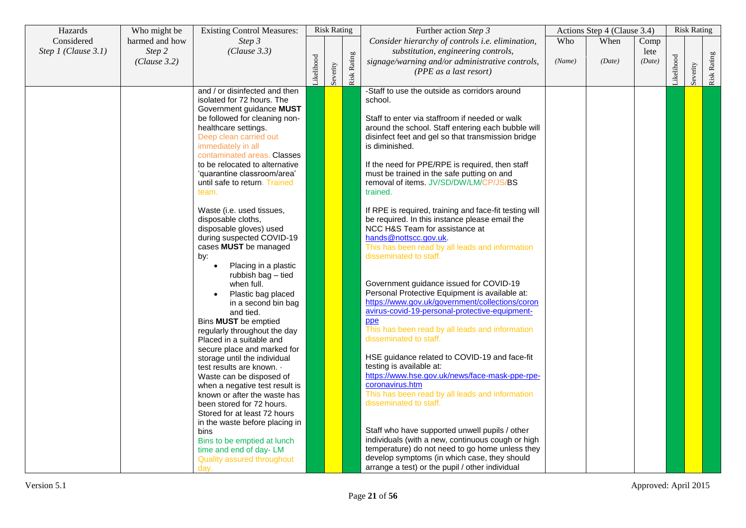| Hazards             | Who might be   | <b>Existing Control Measures:</b>                     |           | <b>Risk Rating</b> |             | Further action Step 3                                  |        | Actions Step 4 (Clause 3.4) |        |           | <b>Risk Rating</b> |             |
|---------------------|----------------|-------------------------------------------------------|-----------|--------------------|-------------|--------------------------------------------------------|--------|-----------------------------|--------|-----------|--------------------|-------------|
| Considered          | harmed and how | Step 3                                                |           |                    |             | Consider hierarchy of controls i.e. elimination,       | Who    | When                        | Comp   |           |                    |             |
| Step 1 (Clause 3.1) | Step 2         | (Clause 3.3)                                          |           |                    |             | substitution, engineering controls,                    |        |                             | lete   |           |                    |             |
|                     | (Clause 3.2)   |                                                       | ikelihood |                    |             | signage/warning and/or administrative controls,        | (Name) | (Date)                      | (Date) |           |                    |             |
|                     |                |                                                       |           |                    |             | (PPE as a last resort)                                 |        |                             |        |           |                    |             |
|                     |                |                                                       |           | Severity           | Risk Rating |                                                        |        |                             |        | ikelihood | Severity           | Risk Rating |
|                     |                | and / or disinfected and then                         |           |                    |             | -Staff to use the outside as corridors around          |        |                             |        |           |                    |             |
|                     |                | isolated for 72 hours. The                            |           |                    |             | school.                                                |        |                             |        |           |                    |             |
|                     |                | Government guidance MUST                              |           |                    |             |                                                        |        |                             |        |           |                    |             |
|                     |                | be followed for cleaning non-                         |           |                    |             | Staff to enter via staffroom if needed or walk         |        |                             |        |           |                    |             |
|                     |                | healthcare settings.                                  |           |                    |             | around the school. Staff entering each bubble will     |        |                             |        |           |                    |             |
|                     |                | Deep clean carried out                                |           |                    |             | disinfect feet and gel so that transmission bridge     |        |                             |        |           |                    |             |
|                     |                | immediately in all                                    |           |                    |             | is diminished.                                         |        |                             |        |           |                    |             |
|                     |                | contaminated areas. Classes                           |           |                    |             |                                                        |        |                             |        |           |                    |             |
|                     |                | to be relocated to alternative                        |           |                    |             | If the need for PPE/RPE is required, then staff        |        |                             |        |           |                    |             |
|                     |                | 'quarantine classroom/area'                           |           |                    |             | must be trained in the safe putting on and             |        |                             |        |           |                    |             |
|                     |                | until safe to return. Trained                         |           |                    |             | removal of items. JV/SD/DW/LM/CP/JS/BS                 |        |                             |        |           |                    |             |
|                     |                | team.                                                 |           |                    |             | trained.                                               |        |                             |        |           |                    |             |
|                     |                | Waste (i.e. used tissues,                             |           |                    |             | If RPE is required, training and face-fit testing will |        |                             |        |           |                    |             |
|                     |                | disposable cloths,                                    |           |                    |             | be required. In this instance please email the         |        |                             |        |           |                    |             |
|                     |                | disposable gloves) used                               |           |                    |             | NCC H&S Team for assistance at                         |        |                             |        |           |                    |             |
|                     |                | during suspected COVID-19                             |           |                    |             | hands@nottscc.gov.uk.                                  |        |                             |        |           |                    |             |
|                     |                | cases MUST be managed                                 |           |                    |             | This has been read by all leads and information        |        |                             |        |           |                    |             |
|                     |                | by:                                                   |           |                    |             | disseminated to staff.                                 |        |                             |        |           |                    |             |
|                     |                | Placing in a plastic                                  |           |                    |             |                                                        |        |                             |        |           |                    |             |
|                     |                | rubbish bag - tied                                    |           |                    |             |                                                        |        |                             |        |           |                    |             |
|                     |                | when full.                                            |           |                    |             | Government guidance issued for COVID-19                |        |                             |        |           |                    |             |
|                     |                | Plastic bag placed                                    |           |                    |             | Personal Protective Equipment is available at:         |        |                             |        |           |                    |             |
|                     |                | in a second bin bag                                   |           |                    |             | https://www.gov.uk/government/collections/coron        |        |                             |        |           |                    |             |
|                     |                | and tied.                                             |           |                    |             | avirus-covid-19-personal-protective-equipment-         |        |                             |        |           |                    |             |
|                     |                | Bins MUST be emptied                                  |           |                    |             | ppe                                                    |        |                             |        |           |                    |             |
|                     |                | regularly throughout the day                          |           |                    |             | This has been read by all leads and information        |        |                             |        |           |                    |             |
|                     |                | Placed in a suitable and                              |           |                    |             | disseminated to staff.                                 |        |                             |        |           |                    |             |
|                     |                | secure place and marked for                           |           |                    |             | HSE guidance related to COVID-19 and face-fit          |        |                             |        |           |                    |             |
|                     |                | storage until the individual                          |           |                    |             | testing is available at:                               |        |                             |        |           |                    |             |
|                     |                | test results are known. .<br>Waste can be disposed of |           |                    |             | https://www.hse.gov.uk/news/face-mask-ppe-rpe-         |        |                             |        |           |                    |             |
|                     |                | when a negative test result is                        |           |                    |             | coronavirus.htm                                        |        |                             |        |           |                    |             |
|                     |                | known or after the waste has                          |           |                    |             | This has been read by all leads and information        |        |                             |        |           |                    |             |
|                     |                | been stored for 72 hours.                             |           |                    |             | disseminated to staff.                                 |        |                             |        |           |                    |             |
|                     |                | Stored for at least 72 hours                          |           |                    |             |                                                        |        |                             |        |           |                    |             |
|                     |                | in the waste before placing in                        |           |                    |             |                                                        |        |                             |        |           |                    |             |
|                     |                | bins                                                  |           |                    |             | Staff who have supported unwell pupils / other         |        |                             |        |           |                    |             |
|                     |                | Bins to be emptied at lunch                           |           |                    |             | individuals (with a new, continuous cough or high      |        |                             |        |           |                    |             |
|                     |                | time and end of day-LM                                |           |                    |             | temperature) do not need to go home unless they        |        |                             |        |           |                    |             |
|                     |                | Quality assured throughout                            |           |                    |             | develop symptoms (in which case, they should           |        |                             |        |           |                    |             |
|                     |                | day.                                                  |           |                    |             | arrange a test) or the pupil / other individual        |        |                             |        |           |                    |             |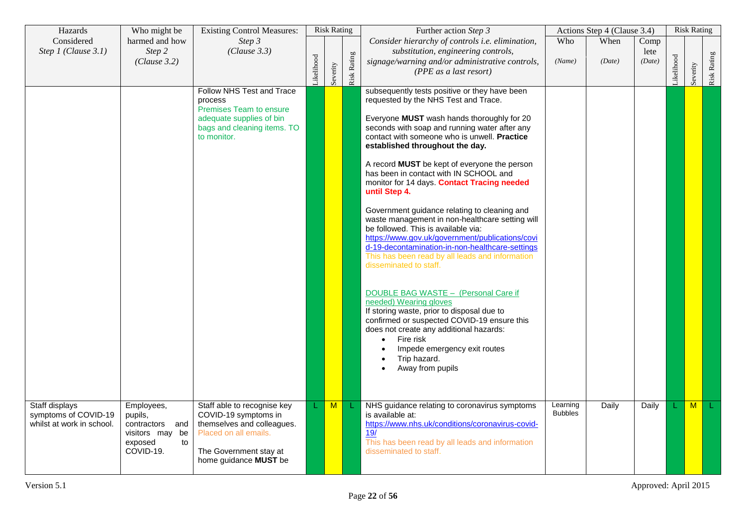| Hazards                                                             | Who might be                                                                              | <b>Existing Control Measures:</b>                                                                                                                             |           | <b>Risk Rating</b> |                    | Further action Step 3                                                                                                                                                                                                                                                                                                                                                                                                                                                                                                                                                                                                                                                                                                                                                                                                                                                                                                                                                                                                                                     |                            | Actions Step 4 (Clause 3.4) |                        |           | <b>Risk Rating</b> |             |
|---------------------------------------------------------------------|-------------------------------------------------------------------------------------------|---------------------------------------------------------------------------------------------------------------------------------------------------------------|-----------|--------------------|--------------------|-----------------------------------------------------------------------------------------------------------------------------------------------------------------------------------------------------------------------------------------------------------------------------------------------------------------------------------------------------------------------------------------------------------------------------------------------------------------------------------------------------------------------------------------------------------------------------------------------------------------------------------------------------------------------------------------------------------------------------------------------------------------------------------------------------------------------------------------------------------------------------------------------------------------------------------------------------------------------------------------------------------------------------------------------------------|----------------------------|-----------------------------|------------------------|-----------|--------------------|-------------|
| Considered<br>Step 1 (Clause 3.1)                                   | harmed and how<br>Step 2<br>(Clause 3.2)                                                  | Step 3<br>(Clause 3.3)                                                                                                                                        | ikelihood | Severity           | <b>Risk Rating</b> | Consider hierarchy of controls i.e. elimination,<br>substitution, engineering controls,<br>signage/warning and/or administrative controls,<br>(PPE as a last resort)                                                                                                                                                                                                                                                                                                                                                                                                                                                                                                                                                                                                                                                                                                                                                                                                                                                                                      | Who<br>(Name)              | When<br>(Date)              | Comp<br>lete<br>(Date) | ikelihood | Severity           | Risk Rating |
|                                                                     |                                                                                           | Follow NHS Test and Trace<br>process<br><b>Premises Team to ensure</b><br>adequate supplies of bin<br>bags and cleaning items. TO<br>to monitor.              |           |                    |                    | subsequently tests positive or they have been<br>requested by the NHS Test and Trace.<br>Everyone MUST wash hands thoroughly for 20<br>seconds with soap and running water after any<br>contact with someone who is unwell. Practice<br>established throughout the day.<br>A record MUST be kept of everyone the person<br>has been in contact with IN SCHOOL and<br>monitor for 14 days. Contact Tracing needed<br>until Step 4.<br>Government guidance relating to cleaning and<br>waste management in non-healthcare setting will<br>be followed. This is available via:<br>https://www.gov.uk/government/publications/covi<br>d-19-decontamination-in-non-healthcare-settings<br>This has been read by all leads and information<br>disseminated to staff.<br>DOUBLE BAG WASTE - (Personal Care if<br>needed) Wearing gloves<br>If storing waste, prior to disposal due to<br>confirmed or suspected COVID-19 ensure this<br>does not create any additional hazards:<br>Fire risk<br>Impede emergency exit routes<br>Trip hazard.<br>Away from pupils |                            |                             |                        |           |                    |             |
| Staff displays<br>symptoms of COVID-19<br>whilst at work in school. | Employees,<br>pupils,<br>contractors and<br>visitors may be<br>exposed<br>to<br>COVID-19. | Staff able to recognise key<br>COVID-19 symptoms in<br>themselves and colleagues.<br>Placed on all emails.<br>The Government stay at<br>home guidance MUST be |           | $\blacksquare$     |                    | NHS guidance relating to coronavirus symptoms<br>is available at:<br>https://www.nhs.uk/conditions/coronavirus-covid-<br>19/<br>This has been read by all leads and information<br>disseminated to staff.                                                                                                                                                                                                                                                                                                                                                                                                                                                                                                                                                                                                                                                                                                                                                                                                                                                 | Learning<br><b>Bubbles</b> | Daily                       | Daily                  |           | M                  |             |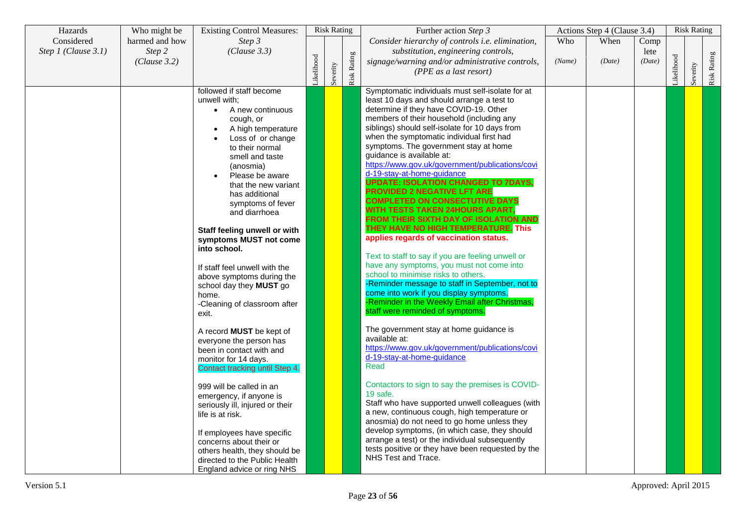| Hazards             | Who might be           | <b>Existing Control Measures:</b>                                                                                                                                                                                                                                                                                                                                 |           | <b>Risk Rating</b> |             | Further action Step 3                                                                                                                                                                                                                                                                                                                                                                                                                                                                                                                                                                                                                                                                                                                                                                      |        | Actions Step 4 (Clause 3.4) |                |           | <b>Risk Rating</b> |             |
|---------------------|------------------------|-------------------------------------------------------------------------------------------------------------------------------------------------------------------------------------------------------------------------------------------------------------------------------------------------------------------------------------------------------------------|-----------|--------------------|-------------|--------------------------------------------------------------------------------------------------------------------------------------------------------------------------------------------------------------------------------------------------------------------------------------------------------------------------------------------------------------------------------------------------------------------------------------------------------------------------------------------------------------------------------------------------------------------------------------------------------------------------------------------------------------------------------------------------------------------------------------------------------------------------------------------|--------|-----------------------------|----------------|-----------|--------------------|-------------|
| Considered          | harmed and how         | Step 3                                                                                                                                                                                                                                                                                                                                                            |           |                    |             | Consider hierarchy of controls i.e. elimination,                                                                                                                                                                                                                                                                                                                                                                                                                                                                                                                                                                                                                                                                                                                                           | Who    | When                        | Comp           |           |                    |             |
| Step 1 (Clause 3.1) | Step 2<br>(Clause 3.2) | (Clause 3.3)                                                                                                                                                                                                                                                                                                                                                      | ikelihood | Severity           | Risk Rating | substitution, engineering controls,<br>signage/warning and/or administrative controls,<br>(PPE as a last resort)                                                                                                                                                                                                                                                                                                                                                                                                                                                                                                                                                                                                                                                                           | (Name) | (Date)                      | lete<br>(Date) | ikelihood | Severity           | Risk Rating |
|                     |                        | followed if staff become<br>unwell with;<br>A new continuous<br>$\bullet$<br>cough, or<br>A high temperature<br>Loss of or change<br>to their normal<br>smell and taste<br>(anosmia)<br>Please be aware<br>that the new variant<br>has additional<br>symptoms of fever<br>and diarrhoea<br>Staff feeling unwell or with<br>symptoms MUST not come<br>into school. |           |                    |             | Symptomatic individuals must self-isolate for at<br>least 10 days and should arrange a test to<br>determine if they have COVID-19. Other<br>members of their household (including any<br>siblings) should self-isolate for 10 days from<br>when the symptomatic individual first had<br>symptoms. The government stay at home<br>guidance is available at:<br>https://www.gov.uk/government/publications/covi<br>d-19-stay-at-home-quidance<br><b>UPDATE: ISOLATION CHANGED TO 7DAYS,</b><br><b>PROVIDED 2 NEGATIVE LFT ARE</b><br><b>COMPLETED ON CONSECTUTIVE DAYS</b><br>WITH TESTS TAKEN 24HOURS APART,<br>FROM THEIR SIXTH DAY OF ISOLATION AND<br>THEY HAVE NO HIGH TEMPERATURE. This<br>applies regards of vaccination status.<br>Text to staff to say if you are feeling unwell or |        |                             |                |           |                    |             |
|                     |                        | If staff feel unwell with the<br>above symptoms during the<br>school day they MUST go<br>home.<br>-Cleaning of classroom after<br>exit.                                                                                                                                                                                                                           |           |                    |             | have any symptoms, you must not come into<br>school to minimise risks to others.<br>-Reminder message to staff in September, not to<br>come into work if you display symptoms.<br>-Reminder in the Weekly Email after Christmas,<br>staff were reminded of symptoms.                                                                                                                                                                                                                                                                                                                                                                                                                                                                                                                       |        |                             |                |           |                    |             |
|                     |                        | A record <b>MUST</b> be kept of<br>everyone the person has<br>been in contact with and<br>monitor for 14 days.<br>Contact tracking until Step 4.                                                                                                                                                                                                                  |           |                    |             | The government stay at home guidance is<br>available at:<br>https://www.gov.uk/government/publications/covi<br>d-19-stay-at-home-guidance<br>Read                                                                                                                                                                                                                                                                                                                                                                                                                                                                                                                                                                                                                                          |        |                             |                |           |                    |             |
|                     |                        | 999 will be called in an<br>emergency, if anyone is<br>seriously ill, injured or their<br>life is at risk.<br>If employees have specific<br>concerns about their or<br>others health, they should be<br>directed to the Public Health<br>England advice or ring NHS                                                                                               |           |                    |             | Contactors to sign to say the premises is COVID-<br>19 safe.<br>Staff who have supported unwell colleagues (with<br>a new, continuous cough, high temperature or<br>anosmia) do not need to go home unless they<br>develop symptoms, (in which case, they should<br>arrange a test) or the individual subsequently<br>tests positive or they have been requested by the<br>NHS Test and Trace.                                                                                                                                                                                                                                                                                                                                                                                             |        |                             |                |           |                    |             |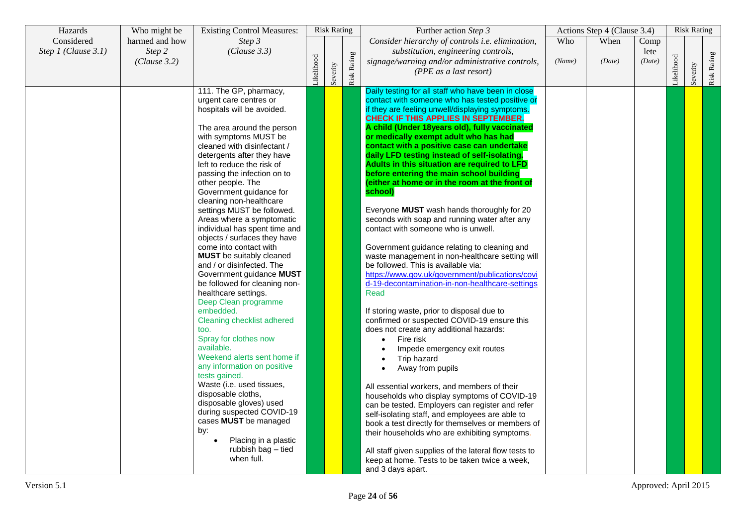| Hazards             | Who might be   | <b>Existing Control Measures:</b>   |           | <b>Risk Rating</b> |                    | Further action Step 3                                                                  |        | Actions Step 4 (Clause 3.4) |        |           | <b>Risk Rating</b> |             |
|---------------------|----------------|-------------------------------------|-----------|--------------------|--------------------|----------------------------------------------------------------------------------------|--------|-----------------------------|--------|-----------|--------------------|-------------|
| Considered          | harmed and how | Step 3                              |           |                    |                    | Consider hierarchy of controls i.e. elimination,                                       | Who    | When                        | Comp   |           |                    |             |
| Step 1 (Clause 3.1) | Step 2         | (Clause 3.3)                        |           |                    |                    | substitution, engineering controls,                                                    |        |                             | lete   |           |                    |             |
|                     | (Clause 3.2)   |                                     |           |                    |                    | signage/warning and/or administrative controls,                                        | (Name) | (Date)                      | (Date) |           |                    |             |
|                     |                |                                     |           |                    |                    | (PPE as a last resort)                                                                 |        |                             |        |           |                    |             |
|                     |                |                                     | ikelihood | Severity           | <b>Risk Rating</b> |                                                                                        |        |                             |        | ikelihood | Severity           | Risk Rating |
|                     |                | 111. The GP, pharmacy,              |           |                    |                    | Daily testing for all staff who have been in close                                     |        |                             |        |           |                    |             |
|                     |                | urgent care centres or              |           |                    |                    | contact with someone who has tested positive or                                        |        |                             |        |           |                    |             |
|                     |                | hospitals will be avoided.          |           |                    |                    | if they are feeling unwell/displaying symptoms.                                        |        |                             |        |           |                    |             |
|                     |                |                                     |           |                    |                    | CHECK IF THIS APPLIES IN SEPTEMBER.                                                    |        |                             |        |           |                    |             |
|                     |                | The area around the person          |           |                    |                    | A child (Under 18years old), fully vaccinated                                          |        |                             |        |           |                    |             |
|                     |                | with symptoms MUST be               |           |                    |                    | or medically exempt adult who has had                                                  |        |                             |        |           |                    |             |
|                     |                | cleaned with disinfectant /         |           |                    |                    | contact with a positive case can undertake                                             |        |                             |        |           |                    |             |
|                     |                | detergents after they have          |           |                    |                    | daily LFD testing instead of self-isolating.                                           |        |                             |        |           |                    |             |
|                     |                | left to reduce the risk of          |           |                    |                    | Adults in this situation are required to LFD                                           |        |                             |        |           |                    |             |
|                     |                | passing the infection on to         |           |                    |                    | before entering the main school building                                               |        |                             |        |           |                    |             |
|                     |                | other people. The                   |           |                    |                    | (either at home or in the room at the front of                                         |        |                             |        |           |                    |             |
|                     |                | Government guidance for             |           |                    |                    | school)                                                                                |        |                             |        |           |                    |             |
|                     |                | cleaning non-healthcare             |           |                    |                    |                                                                                        |        |                             |        |           |                    |             |
|                     |                | settings MUST be followed.          |           |                    |                    | Everyone MUST wash hands thoroughly for 20                                             |        |                             |        |           |                    |             |
|                     |                | Areas where a symptomatic           |           |                    |                    | seconds with soap and running water after any                                          |        |                             |        |           |                    |             |
|                     |                | individual has spent time and       |           |                    |                    | contact with someone who is unwell.                                                    |        |                             |        |           |                    |             |
|                     |                | objects / surfaces they have        |           |                    |                    |                                                                                        |        |                             |        |           |                    |             |
|                     |                | come into contact with              |           |                    |                    | Government guidance relating to cleaning and                                           |        |                             |        |           |                    |             |
|                     |                | <b>MUST</b> be suitably cleaned     |           |                    |                    | waste management in non-healthcare setting will                                        |        |                             |        |           |                    |             |
|                     |                | and / or disinfected. The           |           |                    |                    | be followed. This is available via:                                                    |        |                             |        |           |                    |             |
|                     |                | Government guidance MUST            |           |                    |                    | https://www.gov.uk/government/publications/covi                                        |        |                             |        |           |                    |             |
|                     |                | be followed for cleaning non-       |           |                    |                    | d-19-decontamination-in-non-healthcare-settings                                        |        |                             |        |           |                    |             |
|                     |                | healthcare settings.                |           |                    |                    | Read                                                                                   |        |                             |        |           |                    |             |
|                     |                | Deep Clean programme                |           |                    |                    |                                                                                        |        |                             |        |           |                    |             |
|                     |                | embedded.                           |           |                    |                    | If storing waste, prior to disposal due to                                             |        |                             |        |           |                    |             |
|                     |                | Cleaning checklist adhered          |           |                    |                    | confirmed or suspected COVID-19 ensure this<br>does not create any additional hazards: |        |                             |        |           |                    |             |
|                     |                | too.                                |           |                    |                    |                                                                                        |        |                             |        |           |                    |             |
|                     |                | Spray for clothes now<br>available. |           |                    |                    | Fire risk<br>$\bullet$                                                                 |        |                             |        |           |                    |             |
|                     |                | Weekend alerts sent home if         |           |                    |                    | Impede emergency exit routes                                                           |        |                             |        |           |                    |             |
|                     |                | any information on positive         |           |                    |                    | Trip hazard                                                                            |        |                             |        |           |                    |             |
|                     |                | tests gained.                       |           |                    |                    | Away from pupils                                                                       |        |                             |        |           |                    |             |
|                     |                | Waste (i.e. used tissues,           |           |                    |                    | All essential workers, and members of their                                            |        |                             |        |           |                    |             |
|                     |                | disposable cloths,                  |           |                    |                    | households who display symptoms of COVID-19                                            |        |                             |        |           |                    |             |
|                     |                | disposable gloves) used             |           |                    |                    | can be tested. Employers can register and refer                                        |        |                             |        |           |                    |             |
|                     |                | during suspected COVID-19           |           |                    |                    | self-isolating staff, and employees are able to                                        |        |                             |        |           |                    |             |
|                     |                | cases MUST be managed               |           |                    |                    | book a test directly for themselves or members of                                      |        |                             |        |           |                    |             |
|                     |                | by:                                 |           |                    |                    | their households who are exhibiting symptoms.                                          |        |                             |        |           |                    |             |
|                     |                | Placing in a plastic<br>$\bullet$   |           |                    |                    |                                                                                        |        |                             |        |           |                    |             |
|                     |                | rubbish bag - tied                  |           |                    |                    | All staff given supplies of the lateral flow tests to                                  |        |                             |        |           |                    |             |
|                     |                | when full.                          |           |                    |                    | keep at home. Tests to be taken twice a week,                                          |        |                             |        |           |                    |             |
|                     |                |                                     |           |                    |                    | and 3 days apart.                                                                      |        |                             |        |           |                    |             |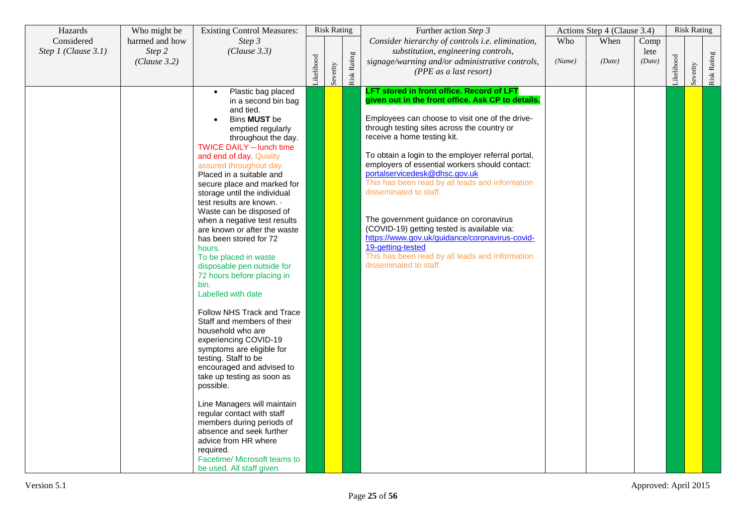| Hazards             | Who might be           | <b>Existing Control Measures:</b>                                                                                                                                                                                                                                                                                                                                                                                                                                                                                                                                                                                                                                                                                                                                                                                                                                                                                                                                                                                                                                 |           | <b>Risk Rating</b> |             | Further action Step 3                                                                                                                                                                                                                                                                                                                                                                                                                                                                                                                                                                                                                                                                              |        | Actions Step 4 (Clause 3.4) |                |            | <b>Risk Rating</b> |             |
|---------------------|------------------------|-------------------------------------------------------------------------------------------------------------------------------------------------------------------------------------------------------------------------------------------------------------------------------------------------------------------------------------------------------------------------------------------------------------------------------------------------------------------------------------------------------------------------------------------------------------------------------------------------------------------------------------------------------------------------------------------------------------------------------------------------------------------------------------------------------------------------------------------------------------------------------------------------------------------------------------------------------------------------------------------------------------------------------------------------------------------|-----------|--------------------|-------------|----------------------------------------------------------------------------------------------------------------------------------------------------------------------------------------------------------------------------------------------------------------------------------------------------------------------------------------------------------------------------------------------------------------------------------------------------------------------------------------------------------------------------------------------------------------------------------------------------------------------------------------------------------------------------------------------------|--------|-----------------------------|----------------|------------|--------------------|-------------|
| Considered          | harmed and how         | Step 3                                                                                                                                                                                                                                                                                                                                                                                                                                                                                                                                                                                                                                                                                                                                                                                                                                                                                                                                                                                                                                                            |           |                    |             | Consider hierarchy of controls i.e. elimination,                                                                                                                                                                                                                                                                                                                                                                                                                                                                                                                                                                                                                                                   | Who    | When                        | Comp           |            |                    |             |
| Step 1 (Clause 3.1) | Step 2<br>(Clause 3.2) | (Clause 3.3)                                                                                                                                                                                                                                                                                                                                                                                                                                                                                                                                                                                                                                                                                                                                                                                                                                                                                                                                                                                                                                                      | ikelihood | Severity           | Risk Rating | substitution, engineering controls,<br>signage/warning and/or administrative controls,<br>(PPE as a last resort)                                                                                                                                                                                                                                                                                                                                                                                                                                                                                                                                                                                   | (Name) | (Date)                      | lete<br>(Date) | Likelihood | Severity           | Risk Rating |
|                     |                        | Plastic bag placed<br>$\bullet$<br>in a second bin bag<br>and tied.<br>Bins MUST be<br>emptied regularly<br>throughout the day.<br><b>TWICE DAILY - lunch time</b><br>and end of day. Quality<br>assured throughout day.<br>Placed in a suitable and<br>secure place and marked for<br>storage until the individual<br>test results are known. .<br>Waste can be disposed of<br>when a negative test results<br>are known or after the waste<br>has been stored for 72<br>hours.<br>To be placed in waste<br>disposable pen outside for<br>72 hours before placing in<br>bin.<br>Labelled with date<br>Follow NHS Track and Trace<br>Staff and members of their<br>household who are<br>experiencing COVID-19<br>symptoms are eligible for<br>testing. Staff to be<br>encouraged and advised to<br>take up testing as soon as<br>possible.<br>Line Managers will maintain<br>regular contact with staff<br>members during periods of<br>absence and seek further<br>advice from HR where<br>required.<br>Facetime/ Microsoft teams to<br>be used. All staff given |           |                    |             | LFT stored in front office. Record of LFT<br>given out in the front office. Ask CP to details.<br>Employees can choose to visit one of the drive-<br>through testing sites across the country or<br>receive a home testing kit.<br>To obtain a login to the employer referral portal,<br>employers of essential workers should contact:<br>portalservicedesk@dhsc.gov.uk<br>This has been read by all leads and information<br>disseminated to staff.<br>The government guidance on coronavirus<br>(COVID-19) getting tested is available via:<br>https://www.gov.uk/guidance/coronavirus-covid-<br>19-getting-tested<br>This has been read by all leads and information<br>disseminated to staff. |        |                             |                |            |                    |             |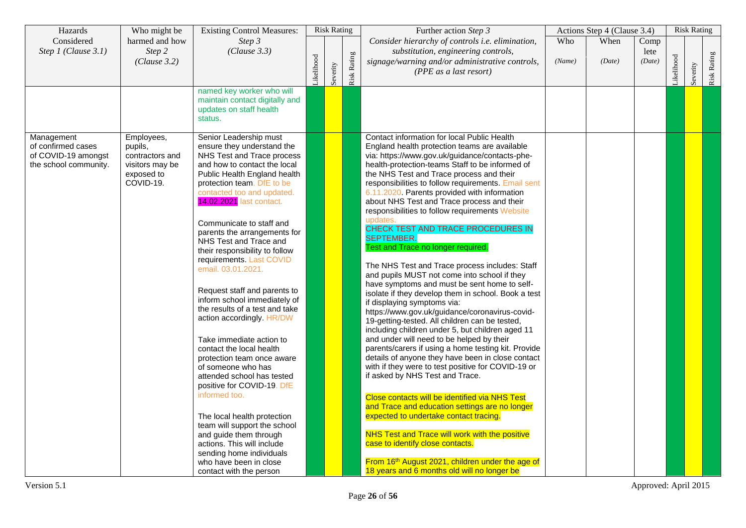| Hazards                                                                                     | Who might be                                                                | <b>Existing Control Measures:</b>                                                                                                                                                                                                                                                                                                                                                                                                                                                                                                                                                                                                                                                                                                                                                                                                                                                                                         |           | <b>Risk Rating</b> |             | Further action Step 3                                                                                                                                                                                                                                                                                                                                                                                                                                                                                                                                                                                                                                                                                                                                                                                                                                                                                                                                                                                                                                                                                                                                                                                                                                                                                                                                                                                                                                                                                                                                              |               | Actions Step 4 (Clause 3.4) |                        |           | <b>Risk Rating</b> |             |
|---------------------------------------------------------------------------------------------|-----------------------------------------------------------------------------|---------------------------------------------------------------------------------------------------------------------------------------------------------------------------------------------------------------------------------------------------------------------------------------------------------------------------------------------------------------------------------------------------------------------------------------------------------------------------------------------------------------------------------------------------------------------------------------------------------------------------------------------------------------------------------------------------------------------------------------------------------------------------------------------------------------------------------------------------------------------------------------------------------------------------|-----------|--------------------|-------------|--------------------------------------------------------------------------------------------------------------------------------------------------------------------------------------------------------------------------------------------------------------------------------------------------------------------------------------------------------------------------------------------------------------------------------------------------------------------------------------------------------------------------------------------------------------------------------------------------------------------------------------------------------------------------------------------------------------------------------------------------------------------------------------------------------------------------------------------------------------------------------------------------------------------------------------------------------------------------------------------------------------------------------------------------------------------------------------------------------------------------------------------------------------------------------------------------------------------------------------------------------------------------------------------------------------------------------------------------------------------------------------------------------------------------------------------------------------------------------------------------------------------------------------------------------------------|---------------|-----------------------------|------------------------|-----------|--------------------|-------------|
| Considered<br>Step 1 (Clause 3.1)                                                           | harmed and how<br>Step 2<br>(Clause 3.2)                                    | Step 3<br>(Clause 3.3)                                                                                                                                                                                                                                                                                                                                                                                                                                                                                                                                                                                                                                                                                                                                                                                                                                                                                                    | ikelihood | Severity           | Risk Rating | Consider hierarchy of controls i.e. elimination,<br>substitution, engineering controls,<br>signage/warning and/or administrative controls,<br>(PPE as a last resort)                                                                                                                                                                                                                                                                                                                                                                                                                                                                                                                                                                                                                                                                                                                                                                                                                                                                                                                                                                                                                                                                                                                                                                                                                                                                                                                                                                                               | Who<br>(Name) | When<br>(Date)              | Comp<br>lete<br>(Date) | ikelihood | Severity           | Risk Rating |
|                                                                                             |                                                                             | named key worker who will<br>maintain contact digitally and<br>updates on staff health<br>status.                                                                                                                                                                                                                                                                                                                                                                                                                                                                                                                                                                                                                                                                                                                                                                                                                         |           |                    |             |                                                                                                                                                                                                                                                                                                                                                                                                                                                                                                                                                                                                                                                                                                                                                                                                                                                                                                                                                                                                                                                                                                                                                                                                                                                                                                                                                                                                                                                                                                                                                                    |               |                             |                        |           |                    |             |
| Management<br>of confirmed cases<br>pupils,<br>of COVID-19 amongst<br>the school community. | Employees,<br>contractors and<br>visitors may be<br>exposed to<br>COVID-19. | Senior Leadership must<br>ensure they understand the<br>NHS Test and Trace process<br>and how to contact the local<br>Public Health England health<br>protection team. DfE to be<br>contacted too and updated.<br>14.02.2021 last contact.<br>Communicate to staff and<br>parents the arrangements for<br>NHS Test and Trace and<br>their responsibility to follow<br>requirements. Last COVID<br>email. 03.01.2021.<br>Request staff and parents to<br>inform school immediately of<br>the results of a test and take<br>action accordingly. HR/DW<br>Take immediate action to<br>contact the local health<br>protection team once aware<br>of someone who has<br>attended school has tested<br>positive for COVID-19. DfE<br>informed too.<br>The local health protection<br>team will support the school<br>and guide them through<br>actions. This will include<br>sending home individuals<br>who have been in close |           |                    |             | Contact information for local Public Health<br>England health protection teams are available<br>via: https://www.gov.uk/guidance/contacts-phe-<br>health-protection-teams Staff to be informed of<br>the NHS Test and Trace process and their<br>responsibilities to follow requirements. Email sent<br>6.11.2020. Parents provided with information<br>about NHS Test and Trace process and their<br>responsibilities to follow requirements Website<br>updates.<br>CHECK TEST AND TRACE PROCEDURES IN<br><b>SEPTEMBER.</b><br>Test and Trace no longer required.<br>The NHS Test and Trace process includes: Staff<br>and pupils MUST not come into school if they<br>have symptoms and must be sent home to self-<br>isolate if they develop them in school. Book a test<br>if displaying symptoms via:<br>https://www.gov.uk/guidance/coronavirus-covid-<br>19-getting-tested. All children can be tested,<br>including children under 5, but children aged 11<br>and under will need to be helped by their<br>parents/carers if using a home testing kit. Provide<br>details of anyone they have been in close contact<br>with if they were to test positive for COVID-19 or<br>if asked by NHS Test and Trace.<br>Close contacts will be identified via NHS Test<br>and Trace and education settings are no longer<br>expected to undertake contact tracing.<br><b>NHS Test and Trace will work with the positive</b><br>case to identify close contacts.<br>From 16th August 2021, children under the age of<br>18 years and 6 months old will no longer be |               |                             |                        |           |                    |             |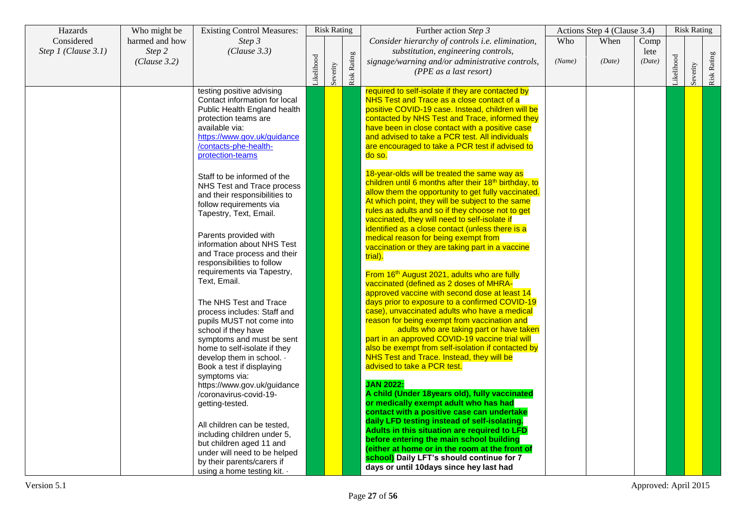| Hazards             | Who might be   | <b>Existing Control Measures:</b>                        |           | <b>Risk Rating</b> |                    | Further action Step 3                                                                    |        | Actions Step 4 (Clause 3.4) |        |           | <b>Risk Rating</b> |             |
|---------------------|----------------|----------------------------------------------------------|-----------|--------------------|--------------------|------------------------------------------------------------------------------------------|--------|-----------------------------|--------|-----------|--------------------|-------------|
| Considered          | harmed and how | Step 3                                                   |           |                    |                    | Consider hierarchy of controls i.e. elimination,                                         | Who    | When                        | Comp   |           |                    |             |
| Step 1 (Clause 3.1) | Step 2         | (Clause 3.3)                                             |           |                    |                    | substitution, engineering controls,                                                      |        |                             | lete   |           |                    |             |
|                     | (Clause 3.2)   |                                                          | ikelihood |                    |                    | signage/warning and/or administrative controls,                                          | (Name) | (Date)                      | (Date) | ikelihood |                    |             |
|                     |                |                                                          |           |                    |                    | (PPE as a last resort)                                                                   |        |                             |        |           |                    |             |
|                     |                |                                                          |           | Severity           | <b>Risk Rating</b> |                                                                                          |        |                             |        |           | Severity           | Risk Rating |
|                     |                | testing positive advising                                |           |                    |                    | required to self-isolate if they are contacted by                                        |        |                             |        |           |                    |             |
|                     |                | Contact information for local                            |           |                    |                    | NHS Test and Trace as a close contact of a                                               |        |                             |        |           |                    |             |
|                     |                | Public Health England health                             |           |                    |                    | positive COVID-19 case. Instead, children will be                                        |        |                             |        |           |                    |             |
|                     |                | protection teams are                                     |           |                    |                    | contacted by NHS Test and Trace, informed they                                           |        |                             |        |           |                    |             |
|                     |                | available via:                                           |           |                    |                    | have been in close contact with a positive case                                          |        |                             |        |           |                    |             |
|                     |                | https://www.gov.uk/guidance                              |           |                    |                    | and advised to take a PCR test. All individuals                                          |        |                             |        |           |                    |             |
|                     |                | /contacts-phe-health-                                    |           |                    |                    | are encouraged to take a PCR test if advised to                                          |        |                             |        |           |                    |             |
|                     |                | protection-teams                                         |           |                    |                    | do so.                                                                                   |        |                             |        |           |                    |             |
|                     |                |                                                          |           |                    |                    | 18-year-olds will be treated the same way as                                             |        |                             |        |           |                    |             |
|                     |                | Staff to be informed of the                              |           |                    |                    | children until 6 months after their 18 <sup>th</sup> birthday, to                        |        |                             |        |           |                    |             |
|                     |                | NHS Test and Trace process                               |           |                    |                    | allow them the opportunity to get fully vaccinated.                                      |        |                             |        |           |                    |             |
|                     |                | and their responsibilities to                            |           |                    |                    | At which point, they will be subject to the same                                         |        |                             |        |           |                    |             |
|                     |                | follow requirements via                                  |           |                    |                    | rules as adults and so if they choose not to get                                         |        |                             |        |           |                    |             |
|                     |                | Tapestry, Text, Email.                                   |           |                    |                    | vaccinated, they will need to self-isolate if                                            |        |                             |        |           |                    |             |
|                     |                |                                                          |           |                    |                    | identified as a close contact (unless there is a                                         |        |                             |        |           |                    |             |
|                     |                | Parents provided with                                    |           |                    |                    | medical reason for being exempt from                                                     |        |                             |        |           |                    |             |
|                     |                | information about NHS Test                               |           |                    |                    | vaccination or they are taking part in a vaccine                                         |        |                             |        |           |                    |             |
|                     |                | and Trace process and their                              |           |                    |                    | trial).                                                                                  |        |                             |        |           |                    |             |
|                     |                | responsibilities to follow<br>requirements via Tapestry, |           |                    |                    |                                                                                          |        |                             |        |           |                    |             |
|                     |                | Text, Email.                                             |           |                    |                    | From 16 <sup>th</sup> August 2021, adults who are fully                                  |        |                             |        |           |                    |             |
|                     |                |                                                          |           |                    |                    | vaccinated (defined as 2 doses of MHRA-<br>approved vaccine with second dose at least 14 |        |                             |        |           |                    |             |
|                     |                | The NHS Test and Trace                                   |           |                    |                    | days prior to exposure to a confirmed COVID-19                                           |        |                             |        |           |                    |             |
|                     |                | process includes: Staff and                              |           |                    |                    | case), unvaccinated adults who have a medical                                            |        |                             |        |           |                    |             |
|                     |                | pupils MUST not come into                                |           |                    |                    | reason for being exempt from vaccination and                                             |        |                             |        |           |                    |             |
|                     |                | school if they have                                      |           |                    |                    | adults who are taking part or have taken                                                 |        |                             |        |           |                    |             |
|                     |                | symptoms and must be sent                                |           |                    |                    | part in an approved COVID-19 vaccine trial will                                          |        |                             |        |           |                    |             |
|                     |                | home to self-isolate if they                             |           |                    |                    | also be exempt from self-isolation if contacted by                                       |        |                             |        |           |                    |             |
|                     |                | develop them in school. $\cdot$                          |           |                    |                    | NHS Test and Trace. Instead, they will be                                                |        |                             |        |           |                    |             |
|                     |                | Book a test if displaying                                |           |                    |                    | advised to take a PCR test.                                                              |        |                             |        |           |                    |             |
|                     |                | symptoms via:                                            |           |                    |                    |                                                                                          |        |                             |        |           |                    |             |
|                     |                | https://www.gov.uk/guidance                              |           |                    |                    | <b>JAN 2022:</b>                                                                         |        |                             |        |           |                    |             |
|                     |                | /coronavirus-covid-19-                                   |           |                    |                    | A child (Under 18years old), fully vaccinated<br>or medically exempt adult who has had   |        |                             |        |           |                    |             |
|                     |                | getting-tested.                                          |           |                    |                    | contact with a positive case can undertake                                               |        |                             |        |           |                    |             |
|                     |                |                                                          |           |                    |                    | daily LFD testing instead of self-isolating.                                             |        |                             |        |           |                    |             |
|                     |                | All children can be tested,                              |           |                    |                    | Adults in this situation are required to LFD                                             |        |                             |        |           |                    |             |
|                     |                | including children under 5,                              |           |                    |                    | before entering the main school building                                                 |        |                             |        |           |                    |             |
|                     |                | but children aged 11 and<br>under will need to be helped |           |                    |                    | (either at home or in the room at the front of                                           |        |                             |        |           |                    |             |
|                     |                | by their parents/carers if                               |           |                    |                    | school) Daily LFT's should continue for 7                                                |        |                             |        |           |                    |             |
|                     |                | using a home testing kit. $\cdot$                        |           |                    |                    | days or until 10days since hey last had                                                  |        |                             |        |           |                    |             |
|                     |                |                                                          |           |                    |                    |                                                                                          |        |                             |        |           |                    |             |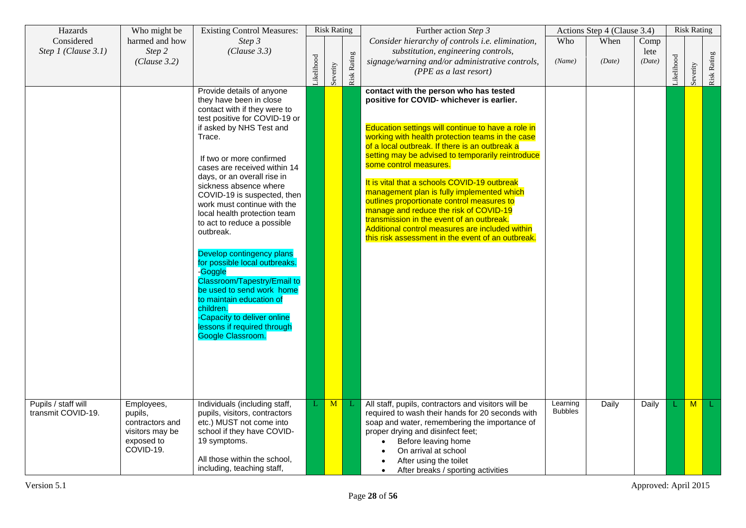| Hazards                                   | Who might be                                                                           | <b>Existing Control Measures:</b>                                                                                                                                                                                                                                                                                                                                                                                                                                                                                                                                                                                                                                                           |           | <b>Risk Rating</b> |             | Further action Step 3                                                                                                                                                                                                                                                                                                                                                                                                                                                                                                                                                                                                                                                     |                            | Actions Step 4 (Clause 3.4) |                        |           | <b>Risk Rating</b> |             |
|-------------------------------------------|----------------------------------------------------------------------------------------|---------------------------------------------------------------------------------------------------------------------------------------------------------------------------------------------------------------------------------------------------------------------------------------------------------------------------------------------------------------------------------------------------------------------------------------------------------------------------------------------------------------------------------------------------------------------------------------------------------------------------------------------------------------------------------------------|-----------|--------------------|-------------|---------------------------------------------------------------------------------------------------------------------------------------------------------------------------------------------------------------------------------------------------------------------------------------------------------------------------------------------------------------------------------------------------------------------------------------------------------------------------------------------------------------------------------------------------------------------------------------------------------------------------------------------------------------------------|----------------------------|-----------------------------|------------------------|-----------|--------------------|-------------|
| Considered<br>Step 1 (Clause 3.1)         | harmed and how<br>Step 2<br>(Clause 3.2)                                               | Step 3<br>(Clause 3.3)                                                                                                                                                                                                                                                                                                                                                                                                                                                                                                                                                                                                                                                                      | ikelihood | Severity           | Risk Rating | Consider hierarchy of controls i.e. elimination,<br>substitution, engineering controls,<br>signage/warning and/or administrative controls,<br>(PPE as a last resort)                                                                                                                                                                                                                                                                                                                                                                                                                                                                                                      | Who<br>(Name)              | When<br>(Date)              | Comp<br>lete<br>(Date) | ikelihood | Severity           | Risk Rating |
|                                           |                                                                                        | Provide details of anyone<br>they have been in close<br>contact with if they were to<br>test positive for COVID-19 or<br>if asked by NHS Test and<br>Trace.<br>If two or more confirmed<br>cases are received within 14<br>days, or an overall rise in<br>sickness absence where<br>COVID-19 is suspected, then<br>work must continue with the<br>local health protection team<br>to act to reduce a possible<br>outbreak.<br>Develop contingency plans<br>for possible local outbreaks.<br>-Goggle<br>Classroom/Tapestry/Email to<br>be used to send work home<br>to maintain education of<br>children.<br>-Capacity to deliver online<br>lessons if required through<br>Google Classroom. |           |                    |             | contact with the person who has tested<br>positive for COVID- whichever is earlier.<br>Education settings will continue to have a role in<br>working with health protection teams in the case<br>of a local outbreak. If there is an outbreak a<br>setting may be advised to temporarily reintroduce<br>some control measures.<br>It is vital that a schools COVID-19 outbreak<br>management plan is fully implemented which<br>outlines proportionate control measures to<br>manage and reduce the risk of COVID-19<br>transmission in the event of an outbreak.<br>Additional control measures are included within<br>this risk assessment in the event of an outbreak. |                            |                             |                        |           |                    |             |
| Pupils / staff will<br>transmit COVID-19. | Employees,<br>pupils,<br>contractors and<br>visitors may be<br>exposed to<br>COVID-19. | Individuals (including staff,<br>pupils, visitors, contractors<br>etc.) MUST not come into<br>school if they have COVID-<br>19 symptoms.<br>All those within the school,<br>including, teaching staff,                                                                                                                                                                                                                                                                                                                                                                                                                                                                                      |           | M                  | L           | All staff, pupils, contractors and visitors will be<br>required to wash their hands for 20 seconds with<br>soap and water, remembering the importance of<br>proper drying and disinfect feet;<br>Before leaving home<br>On arrival at school<br>After using the toilet<br>After breaks / sporting activities<br>$\bullet$                                                                                                                                                                                                                                                                                                                                                 | Learning<br><b>Bubbles</b> | Daily                       | Daily                  |           | M                  | L.          |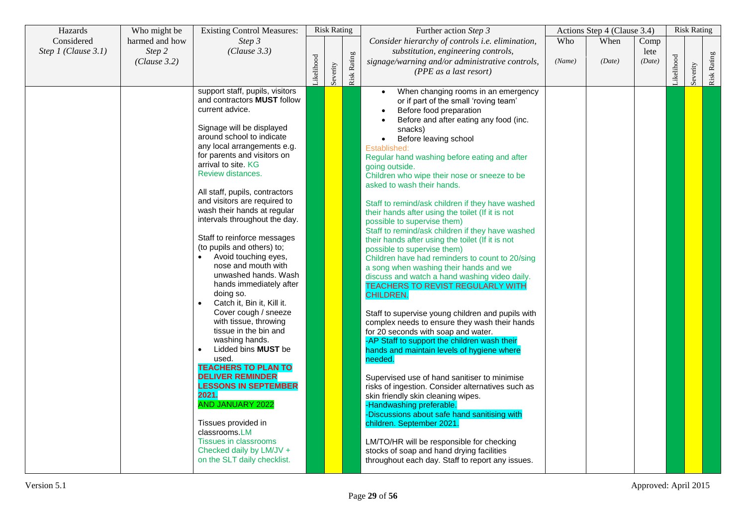| Hazards               | Who might be   | <b>Existing Control Measures:</b>       |           | <b>Risk Rating</b> |             | Further action Step 3                                                     |        | Actions Step 4 (Clause 3.4) |        |           | <b>Risk Rating</b> |             |
|-----------------------|----------------|-----------------------------------------|-----------|--------------------|-------------|---------------------------------------------------------------------------|--------|-----------------------------|--------|-----------|--------------------|-------------|
| Considered            | harmed and how | Step 3                                  |           |                    |             | Consider hierarchy of controls i.e. elimination,                          | Who    | When                        | Comp   |           |                    |             |
| Step $1$ (Clause 3.1) | Step 2         | (Clause 3.3)                            |           |                    |             | substitution, engineering controls,                                       |        |                             | lete   |           |                    |             |
|                       | (Clause 3.2)   |                                         |           |                    |             | signage/warning and/or administrative controls,                           | (Name) | (Date)                      | (Date) |           |                    |             |
|                       |                |                                         |           |                    |             | (PPE as a last resort)                                                    |        |                             |        |           |                    |             |
|                       |                |                                         | ikelihood | Severity           | Risk Rating |                                                                           |        |                             |        | ikelihood | Severity           | Risk Rating |
|                       |                | support staff, pupils, visitors         |           |                    |             | When changing rooms in an emergency<br>$\bullet$                          |        |                             |        |           |                    |             |
|                       |                | and contractors <b>MUST</b> follow      |           |                    |             | or if part of the small 'roving team'                                     |        |                             |        |           |                    |             |
|                       |                | current advice.                         |           |                    |             | Before food preparation                                                   |        |                             |        |           |                    |             |
|                       |                |                                         |           |                    |             | Before and after eating any food (inc.                                    |        |                             |        |           |                    |             |
|                       |                | Signage will be displayed               |           |                    |             | snacks)                                                                   |        |                             |        |           |                    |             |
|                       |                | around school to indicate               |           |                    |             | Before leaving school<br>$\bullet$                                        |        |                             |        |           |                    |             |
|                       |                | any local arrangements e.g.             |           |                    |             | Established:                                                              |        |                             |        |           |                    |             |
|                       |                | for parents and visitors on             |           |                    |             | Regular hand washing before eating and after                              |        |                             |        |           |                    |             |
|                       |                | arrival to site. KG                     |           |                    |             | going outside.                                                            |        |                             |        |           |                    |             |
|                       |                | Review distances.                       |           |                    |             | Children who wipe their nose or sneeze to be                              |        |                             |        |           |                    |             |
|                       |                |                                         |           |                    |             | asked to wash their hands.                                                |        |                             |        |           |                    |             |
|                       |                | All staff, pupils, contractors          |           |                    |             |                                                                           |        |                             |        |           |                    |             |
|                       |                | and visitors are required to            |           |                    |             | Staff to remind/ask children if they have washed                          |        |                             |        |           |                    |             |
|                       |                | wash their hands at regular             |           |                    |             | their hands after using the toilet (If it is not                          |        |                             |        |           |                    |             |
|                       |                | intervals throughout the day.           |           |                    |             | possible to supervise them)                                               |        |                             |        |           |                    |             |
|                       |                |                                         |           |                    |             | Staff to remind/ask children if they have washed                          |        |                             |        |           |                    |             |
|                       |                | Staff to reinforce messages             |           |                    |             | their hands after using the toilet (If it is not                          |        |                             |        |           |                    |             |
|                       |                | (to pupils and others) to;              |           |                    |             | possible to supervise them)                                               |        |                             |        |           |                    |             |
|                       |                | Avoid touching eyes,                    |           |                    |             | Children have had reminders to count to 20/sing                           |        |                             |        |           |                    |             |
|                       |                | nose and mouth with                     |           |                    |             | a song when washing their hands and we                                    |        |                             |        |           |                    |             |
|                       |                | unwashed hands. Wash                    |           |                    |             | discuss and watch a hand washing video daily.                             |        |                             |        |           |                    |             |
|                       |                | hands immediately after                 |           |                    |             | TEACHERS TO REVIST REGULARLY WITH                                         |        |                             |        |           |                    |             |
|                       |                | doing so.                               |           |                    |             | <b>CHILDREN.</b>                                                          |        |                             |        |           |                    |             |
|                       |                | Catch it, Bin it, Kill it.              |           |                    |             |                                                                           |        |                             |        |           |                    |             |
|                       |                | Cover cough / sneeze                    |           |                    |             | Staff to supervise young children and pupils with                         |        |                             |        |           |                    |             |
|                       |                | with tissue, throwing                   |           |                    |             | complex needs to ensure they wash their hands                             |        |                             |        |           |                    |             |
|                       |                | tissue in the bin and                   |           |                    |             | for 20 seconds with soap and water.                                       |        |                             |        |           |                    |             |
|                       |                | washing hands.                          |           |                    |             | -AP Staff to support the children wash their                              |        |                             |        |           |                    |             |
|                       |                | Lidded bins <b>MUST</b> be<br>$\bullet$ |           |                    |             | hands and maintain levels of hygiene where                                |        |                             |        |           |                    |             |
|                       |                | used.                                   |           |                    |             | needed.                                                                   |        |                             |        |           |                    |             |
|                       |                | <b>TEACHERS TO PLAN TO</b>              |           |                    |             |                                                                           |        |                             |        |           |                    |             |
|                       |                | <b>DELIVER REMINDER</b>                 |           |                    |             | Supervised use of hand sanitiser to minimise                              |        |                             |        |           |                    |             |
|                       |                | <b>LESSONS IN SEPTEMBER</b><br>2021.    |           |                    |             | risks of ingestion. Consider alternatives such as                         |        |                             |        |           |                    |             |
|                       |                | <b>AND JANUARY 2022</b>                 |           |                    |             | skin friendly skin cleaning wipes.                                        |        |                             |        |           |                    |             |
|                       |                |                                         |           |                    |             | -Handwashing preferable.                                                  |        |                             |        |           |                    |             |
|                       |                | Tissues provided in                     |           |                    |             | -Discussions about safe hand sanitising with<br>children. September 2021. |        |                             |        |           |                    |             |
|                       |                | classrooms.LM                           |           |                    |             |                                                                           |        |                             |        |           |                    |             |
|                       |                | <b>Tissues in classrooms</b>            |           |                    |             | LM/TO/HR will be responsible for checking                                 |        |                             |        |           |                    |             |
|                       |                | Checked daily by LM/JV +                |           |                    |             | stocks of soap and hand drying facilities                                 |        |                             |        |           |                    |             |
|                       |                | on the SLT daily checklist.             |           |                    |             | throughout each day. Staff to report any issues.                          |        |                             |        |           |                    |             |
|                       |                |                                         |           |                    |             |                                                                           |        |                             |        |           |                    |             |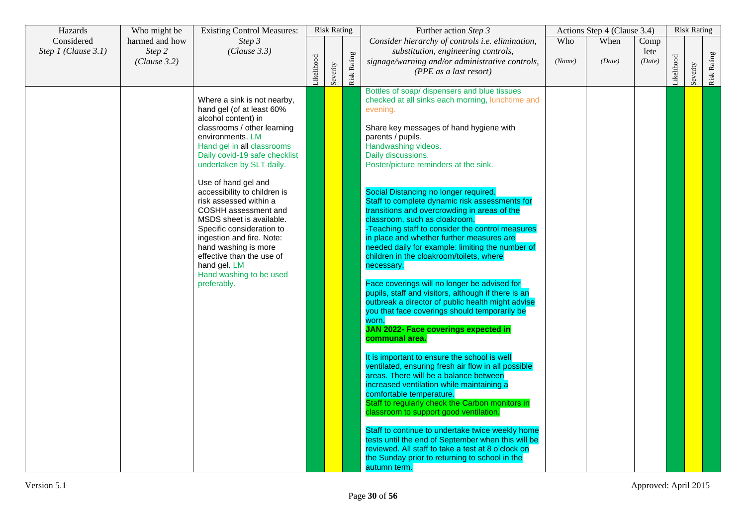| Hazards                           | Who might be                             | <b>Existing Control Measures:</b>                                                                                                                                                                                                                                                                                                                                                                                                                                                                                                           |           | <b>Risk Rating</b> |             | Further action Step 3                                                                                                                                                                                                                                                                                                                                                                                                                                                                                                                                                                                                                                                                                                                                                                                                                                                                                                                                                                                                                                                                                                                                                                                                                                                                                                                                                                                                                                                                                         |               | Actions Step 4 (Clause 3.4) |                        |           | <b>Risk Rating</b> |             |
|-----------------------------------|------------------------------------------|---------------------------------------------------------------------------------------------------------------------------------------------------------------------------------------------------------------------------------------------------------------------------------------------------------------------------------------------------------------------------------------------------------------------------------------------------------------------------------------------------------------------------------------------|-----------|--------------------|-------------|---------------------------------------------------------------------------------------------------------------------------------------------------------------------------------------------------------------------------------------------------------------------------------------------------------------------------------------------------------------------------------------------------------------------------------------------------------------------------------------------------------------------------------------------------------------------------------------------------------------------------------------------------------------------------------------------------------------------------------------------------------------------------------------------------------------------------------------------------------------------------------------------------------------------------------------------------------------------------------------------------------------------------------------------------------------------------------------------------------------------------------------------------------------------------------------------------------------------------------------------------------------------------------------------------------------------------------------------------------------------------------------------------------------------------------------------------------------------------------------------------------------|---------------|-----------------------------|------------------------|-----------|--------------------|-------------|
| Considered<br>Step 1 (Clause 3.1) | harmed and how<br>Step 2<br>(Clause 3.2) | Step 3<br>(Clause 3.3)                                                                                                                                                                                                                                                                                                                                                                                                                                                                                                                      | ikelihood | Severity           | Risk Rating | Consider hierarchy of controls i.e. elimination,<br>substitution, engineering controls,<br>signage/warning and/or administrative controls,<br>(PPE as a last resort)                                                                                                                                                                                                                                                                                                                                                                                                                                                                                                                                                                                                                                                                                                                                                                                                                                                                                                                                                                                                                                                                                                                                                                                                                                                                                                                                          | Who<br>(Name) | When<br>(Date)              | Comp<br>lete<br>(Date) | ikelihood | Severity           | Risk Rating |
|                                   |                                          | Where a sink is not nearby,<br>hand gel (of at least 60%<br>alcohol content) in<br>classrooms / other learning<br>environments, LM<br>Hand gel in all classrooms<br>Daily covid-19 safe checklist<br>undertaken by SLT daily.<br>Use of hand gel and<br>accessibility to children is<br>risk assessed within a<br>COSHH assessment and<br>MSDS sheet is available.<br>Specific consideration to<br>ingestion and fire. Note:<br>hand washing is more<br>effective than the use of<br>hand gel. LM<br>Hand washing to be used<br>preferably. |           |                    |             | Bottles of soap/ dispensers and blue tissues<br>checked at all sinks each morning, lunchtime and<br>evening.<br>Share key messages of hand hygiene with<br>parents / pupils.<br>Handwashing videos.<br>Daily discussions.<br>Poster/picture reminders at the sink.<br>Social Distancing no longer required.<br>Staff to complete dynamic risk assessments for<br>transitions and overcrowding in areas of the<br>classroom, such as cloakroom.<br>-Teaching staff to consider the control measures<br>in place and whether further measures are<br>needed daily for example: limiting the number of<br>children in the cloakroom/toilets, where<br>necessary.<br>Face coverings will no longer be advised for<br>pupils, staff and visitors, although if there is an<br>outbreak a director of public health might advise<br>you that face coverings should temporarily be<br>worn.<br><b>JAN 2022- Face coverings expected in</b><br>communal area.<br>It is important to ensure the school is well<br>ventilated, ensuring fresh air flow in all possible<br>areas. There will be a balance between<br>increased ventilation while maintaining a<br>comfortable temperature.<br>Staff to regularly check the Carbon monitors in<br>classroom to support good ventilation.<br>Staff to continue to undertake twice weekly home<br>tests until the end of September when this will be<br>reviewed. All staff to take a test at 8 o'clock on<br>the Sunday prior to returning to school in the<br>autumn term. |               |                             |                        |           |                    |             |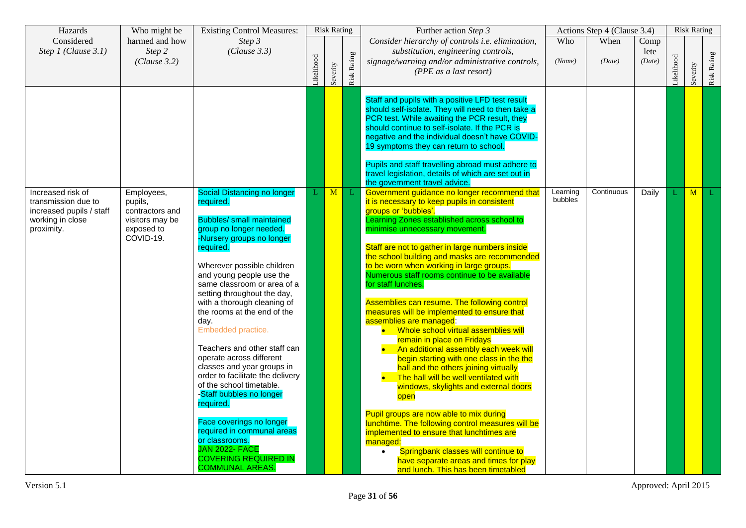| Hazards                                                                                                | Who might be                                                                           | <b>Existing Control Measures:</b>                                                                                                                                                                                                                                                                                                                                                                                                                                                                                                                                                                                                                                                                                                             |            | <b>Risk Rating</b> |             | Further action Step 3                                                                                                                                                                                                                                                                                                                                                                                                                                                                                                                                                                                                                                                                                                                                                                                                                                                                                                                                                                                                                                                                                                                              |                     | Actions Step 4 (Clause 3.4) |                        |           | <b>Risk Rating</b> |             |
|--------------------------------------------------------------------------------------------------------|----------------------------------------------------------------------------------------|-----------------------------------------------------------------------------------------------------------------------------------------------------------------------------------------------------------------------------------------------------------------------------------------------------------------------------------------------------------------------------------------------------------------------------------------------------------------------------------------------------------------------------------------------------------------------------------------------------------------------------------------------------------------------------------------------------------------------------------------------|------------|--------------------|-------------|----------------------------------------------------------------------------------------------------------------------------------------------------------------------------------------------------------------------------------------------------------------------------------------------------------------------------------------------------------------------------------------------------------------------------------------------------------------------------------------------------------------------------------------------------------------------------------------------------------------------------------------------------------------------------------------------------------------------------------------------------------------------------------------------------------------------------------------------------------------------------------------------------------------------------------------------------------------------------------------------------------------------------------------------------------------------------------------------------------------------------------------------------|---------------------|-----------------------------|------------------------|-----------|--------------------|-------------|
| Considered<br>Step 1 (Clause 3.1)                                                                      | harmed and how<br>Step 2<br>(Clause 3.2)                                               | Step 3<br>(Clause 3.3)                                                                                                                                                                                                                                                                                                                                                                                                                                                                                                                                                                                                                                                                                                                        | Likelihood | Severity           | Risk Rating | Consider hierarchy of controls i.e. elimination,<br>substitution, engineering controls,<br>signage/warning and/or administrative controls,<br>(PPE as a last resort)                                                                                                                                                                                                                                                                                                                                                                                                                                                                                                                                                                                                                                                                                                                                                                                                                                                                                                                                                                               | Who<br>(Name)       | When<br>(Date)              | Comp<br>lete<br>(Date) | ikelihood | Severity           | Risk Rating |
|                                                                                                        |                                                                                        |                                                                                                                                                                                                                                                                                                                                                                                                                                                                                                                                                                                                                                                                                                                                               |            |                    |             | Staff and pupils with a positive LFD test result<br>should self-isolate. They will need to then take a<br>PCR test. While awaiting the PCR result, they<br>should continue to self-isolate. If the PCR is<br>negative and the individual doesn't have COVID-<br>19 symptoms they can return to school.<br>Pupils and staff travelling abroad must adhere to<br>travel legislation, details of which are set out in<br>the government travel advice.                                                                                                                                                                                                                                                                                                                                                                                                                                                                                                                                                                                                                                                                                                |                     |                             |                        |           |                    |             |
| Increased risk of<br>transmission due to<br>increased pupils / staff<br>working in close<br>proximity. | Employees,<br>pupils,<br>contractors and<br>visitors may be<br>exposed to<br>COVID-19. | <b>Social Distancing no longer</b><br>required.<br><b>Bubbles/</b> small maintained<br>group no longer needed.<br>-Nursery groups no longer<br>required.<br>Wherever possible children<br>and young people use the<br>same classroom or area of a<br>setting throughout the day,<br>with a thorough cleaning of<br>the rooms at the end of the<br>day.<br>Embedded practice.<br>Teachers and other staff can<br>operate across different<br>classes and year groups in<br>order to facilitate the delivery<br>of the school timetable.<br>-Staff bubbles no longer<br>required.<br>Face coverings no longer<br>required in communal areas<br>or classrooms.<br><b>JAN 2022- FACE</b><br><b>COVERING REQUIRED IN</b><br><b>COMMUNAL AREAS.</b> | L          | M                  |             | Government guidance no longer recommend that<br>it is necessary to keep pupils in consistent<br>groups or 'bubbles'.<br>Learning Zones established across school to<br>minimise unnecessary movement.<br>Staff are not to gather in large numbers inside<br>the school building and masks are recommended<br>to be worn when working in large groups.<br>Numerous staff rooms continue to be available<br>for staff lunches.<br>Assemblies can resume. The following control<br>measures will be implemented to ensure that<br>assemblies are managed:<br>Whole school virtual assemblies will<br>remain in place on Fridays<br>An additional assembly each week will<br>begin starting with one class in the the<br>hall and the others joining virtually<br>The hall will be well ventilated with<br>windows, skylights and external doors<br>open<br>Pupil groups are now able to mix during<br>lunchtime. The following control measures will be<br>implemented to ensure that lunchtimes are<br>managed:<br>Springbank classes will continue to<br>$\bullet$<br>have separate areas and times for play<br>and lunch. This has been timetabled | Learning<br>bubbles | Continuous                  | Daily                  |           | M                  |             |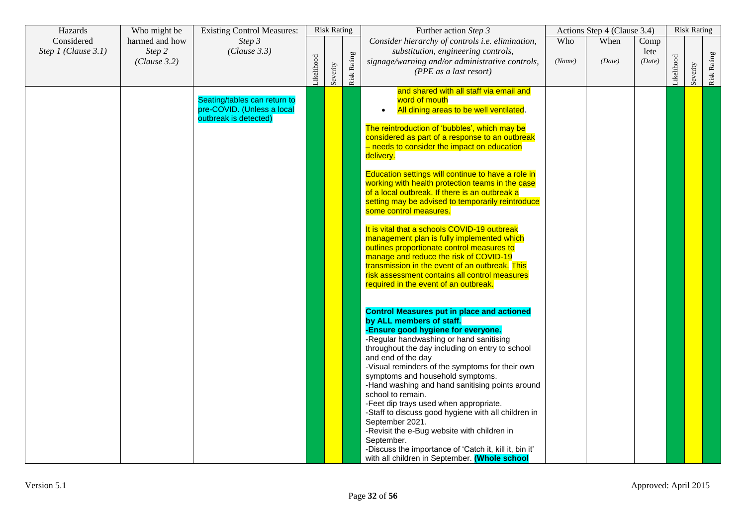| Hazards                           | Who might be                             | <b>Existing Control Measures:</b>                                                   |            | <b>Risk Rating</b> |             | Further action Step 3                                                                                                                                                                                                                                                                                                                                                                                                                                                                                                                                                                                                                                                                                                                                                                                                                                                                                                                                                                                                                                                                                                                                                                                                                                                                                                                                                                                                                                                                                                                                  |               | Actions Step 4 (Clause 3.4) |                        |            | <b>Risk Rating</b> |             |
|-----------------------------------|------------------------------------------|-------------------------------------------------------------------------------------|------------|--------------------|-------------|--------------------------------------------------------------------------------------------------------------------------------------------------------------------------------------------------------------------------------------------------------------------------------------------------------------------------------------------------------------------------------------------------------------------------------------------------------------------------------------------------------------------------------------------------------------------------------------------------------------------------------------------------------------------------------------------------------------------------------------------------------------------------------------------------------------------------------------------------------------------------------------------------------------------------------------------------------------------------------------------------------------------------------------------------------------------------------------------------------------------------------------------------------------------------------------------------------------------------------------------------------------------------------------------------------------------------------------------------------------------------------------------------------------------------------------------------------------------------------------------------------------------------------------------------------|---------------|-----------------------------|------------------------|------------|--------------------|-------------|
| Considered<br>Step 1 (Clause 3.1) | harmed and how<br>Step 2<br>(Clause 3.2) | Step 3<br>(Clause 3.3)                                                              | Likelihood | Severity           | Risk Rating | Consider hierarchy of controls i.e. elimination,<br>substitution, engineering controls,<br>signage/warning and/or administrative controls,<br>(PPE as a last resort)                                                                                                                                                                                                                                                                                                                                                                                                                                                                                                                                                                                                                                                                                                                                                                                                                                                                                                                                                                                                                                                                                                                                                                                                                                                                                                                                                                                   | Who<br>(Name) | When<br>(Date)              | Comp<br>lete<br>(Date) | Likelihood | Severity           | Risk Rating |
|                                   |                                          | Seating/tables can return to<br>pre-COVID. (Unless a local<br>outbreak is detected) |            |                    |             | and shared with all staff via email and<br>word of mouth<br>All dining areas to be well ventilated.<br>The reintroduction of 'bubbles', which may be<br>considered as part of a response to an outbreak<br>- needs to consider the impact on education<br>delivery.<br>Education settings will continue to have a role in<br>working with health protection teams in the case<br>of a local outbreak. If there is an outbreak a<br>setting may be advised to temporarily reintroduce<br>some control measures.<br>It is vital that a schools COVID-19 outbreak<br>management plan is fully implemented which<br>outlines proportionate control measures to<br>manage and reduce the risk of COVID-19<br>transmission in the event of an outbreak. This<br>risk assessment contains all control measures<br>required in the event of an outbreak.<br><b>Control Measures put in place and actioned</b><br>by ALL members of staff.<br>-Ensure good hygiene for everyone.<br>-Regular handwashing or hand sanitising<br>throughout the day including on entry to school<br>and end of the day<br>-Visual reminders of the symptoms for their own<br>symptoms and household symptoms.<br>-Hand washing and hand sanitising points around<br>school to remain.<br>-Feet dip trays used when appropriate.<br>-Staff to discuss good hygiene with all children in<br>September 2021.<br>-Revisit the e-Bug website with children in<br>September.<br>-Discuss the importance of 'Catch it, kill it, bin it'<br>with all children in September. (Whole school |               |                             |                        |            |                    |             |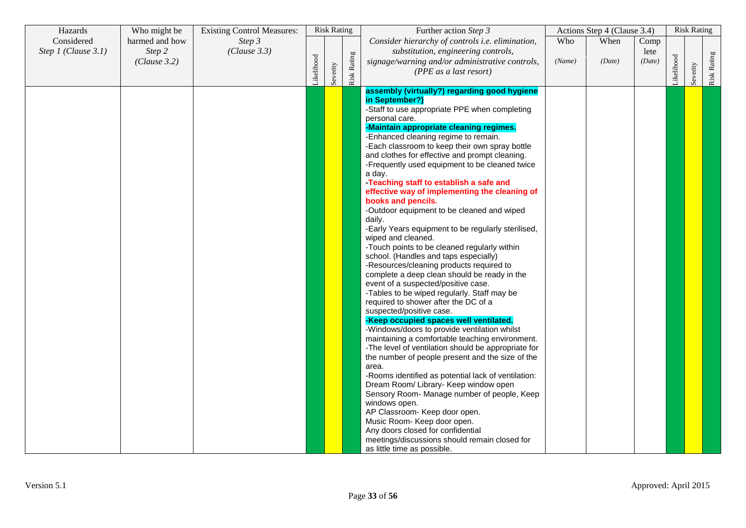| Hazards             | Who might be           | <b>Existing Control Measures:</b> |           | <b>Risk Rating</b> |                    | Further action Step 3                                                                                                                                                                                                                                                                                                                                                                                                                                                                                                                                                                                                                                                                                                                                                                                                                                                                                                                                                                                                                                                                                                                                                                                                                                                                                                                                                                                                                                                                                                                                                                                          |        | Actions Step 4 (Clause 3.4) |                |           | <b>Risk Rating</b> |             |
|---------------------|------------------------|-----------------------------------|-----------|--------------------|--------------------|----------------------------------------------------------------------------------------------------------------------------------------------------------------------------------------------------------------------------------------------------------------------------------------------------------------------------------------------------------------------------------------------------------------------------------------------------------------------------------------------------------------------------------------------------------------------------------------------------------------------------------------------------------------------------------------------------------------------------------------------------------------------------------------------------------------------------------------------------------------------------------------------------------------------------------------------------------------------------------------------------------------------------------------------------------------------------------------------------------------------------------------------------------------------------------------------------------------------------------------------------------------------------------------------------------------------------------------------------------------------------------------------------------------------------------------------------------------------------------------------------------------------------------------------------------------------------------------------------------------|--------|-----------------------------|----------------|-----------|--------------------|-------------|
| Considered          | harmed and how         | Step 3                            |           |                    |                    | Consider hierarchy of controls i.e. elimination,                                                                                                                                                                                                                                                                                                                                                                                                                                                                                                                                                                                                                                                                                                                                                                                                                                                                                                                                                                                                                                                                                                                                                                                                                                                                                                                                                                                                                                                                                                                                                               | Who    | When                        | Comp           |           |                    |             |
| Step 1 (Clause 3.1) | Step 2<br>(Clause 3.2) | (Clause 3.3)                      | ikelihood | Severity           | <b>Risk Rating</b> | substitution, engineering controls,<br>signage/warning and/or administrative controls,<br>(PPE as a last resort)                                                                                                                                                                                                                                                                                                                                                                                                                                                                                                                                                                                                                                                                                                                                                                                                                                                                                                                                                                                                                                                                                                                                                                                                                                                                                                                                                                                                                                                                                               | (Name) | (Date)                      | lete<br>(Date) | ikelihood | Severity           | Risk Rating |
|                     |                        |                                   |           |                    |                    | assembly (virtually?) regarding good hygiene<br>in September?)<br>-Staff to use appropriate PPE when completing<br>personal care.<br>-Maintain appropriate cleaning regimes.<br>-Enhanced cleaning regime to remain.<br>-Each classroom to keep their own spray bottle<br>and clothes for effective and prompt cleaning.<br>-Frequently used equipment to be cleaned twice<br>a day.<br>Teaching staff to establish a safe and<br>effective way of implementing the cleaning of<br>books and pencils.<br>-Outdoor equipment to be cleaned and wiped<br>daily.<br>-Early Years equipment to be regularly sterilised,<br>wiped and cleaned.<br>-Touch points to be cleaned regularly within<br>school. (Handles and taps especially)<br>-Resources/cleaning products required to<br>complete a deep clean should be ready in the<br>event of a suspected/positive case.<br>-Tables to be wiped regularly. Staff may be<br>required to shower after the DC of a<br>suspected/positive case.<br>-Keep occupied spaces well ventilated.<br>-Windows/doors to provide ventilation whilst<br>maintaining a comfortable teaching environment.<br>-The level of ventilation should be appropriate for<br>the number of people present and the size of the<br>area.<br>-Rooms identified as potential lack of ventilation:<br>Dream Room/ Library- Keep window open<br>Sensory Room- Manage number of people, Keep<br>windows open.<br>AP Classroom- Keep door open.<br>Music Room- Keep door open.<br>Any doors closed for confidential<br>meetings/discussions should remain closed for<br>as little time as possible. |        |                             |                |           |                    |             |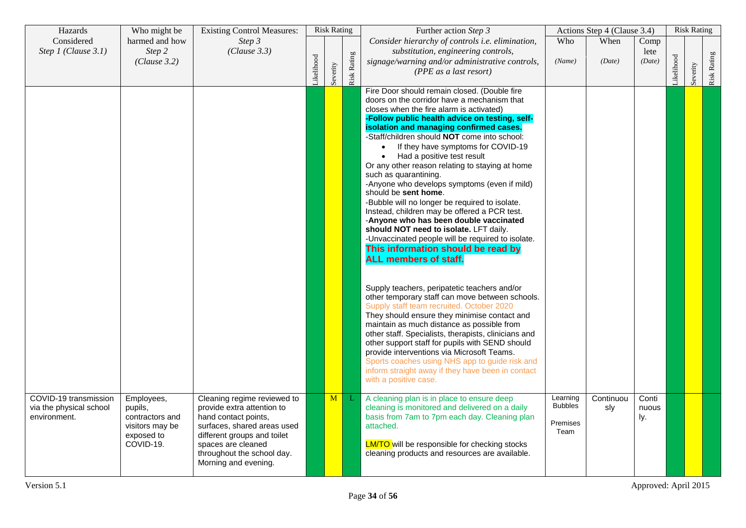| Hazards                                                          | Who might be                                                                           | <b>Existing Control Measures:</b>                                                                                                                                                                                           |           | <b>Risk Rating</b> |                    | Further action Step 3                                                                                                                                                                                                                                                                                                                                                                                                                                                                                                                                                                                                                                                                                                                                                                                                                                                                                                                                                                                                                                                                                                                                                                                                                                                                                                                                                             |                                                | Actions Step 4 (Clause 3.4) |                        |           | <b>Risk Rating</b> |             |
|------------------------------------------------------------------|----------------------------------------------------------------------------------------|-----------------------------------------------------------------------------------------------------------------------------------------------------------------------------------------------------------------------------|-----------|--------------------|--------------------|-----------------------------------------------------------------------------------------------------------------------------------------------------------------------------------------------------------------------------------------------------------------------------------------------------------------------------------------------------------------------------------------------------------------------------------------------------------------------------------------------------------------------------------------------------------------------------------------------------------------------------------------------------------------------------------------------------------------------------------------------------------------------------------------------------------------------------------------------------------------------------------------------------------------------------------------------------------------------------------------------------------------------------------------------------------------------------------------------------------------------------------------------------------------------------------------------------------------------------------------------------------------------------------------------------------------------------------------------------------------------------------|------------------------------------------------|-----------------------------|------------------------|-----------|--------------------|-------------|
| Considered<br>Step 1 (Clause 3.1)                                | harmed and how<br>Step 2<br>(Clause 3.2)                                               | Step 3<br>(Clause 3.3)                                                                                                                                                                                                      | ikelihood | Severity           | <b>Risk Rating</b> | Consider hierarchy of controls i.e. elimination,<br>substitution, engineering controls,<br>signage/warning and/or administrative controls,<br>(PPE as a last resort)                                                                                                                                                                                                                                                                                                                                                                                                                                                                                                                                                                                                                                                                                                                                                                                                                                                                                                                                                                                                                                                                                                                                                                                                              | Who<br>(Name)                                  | When<br>(Date)              | Comp<br>lete<br>(Date) | ikelihood | Severity           | Risk Rating |
|                                                                  |                                                                                        |                                                                                                                                                                                                                             |           |                    |                    | Fire Door should remain closed. (Double fire<br>doors on the corridor have a mechanism that<br>closes when the fire alarm is activated)<br>-Follow public health advice on testing, self-<br>isolation and managing confirmed cases.<br>-Staff/children should NOT come into school:<br>If they have symptoms for COVID-19<br>$\bullet$<br>Had a positive test result<br>Or any other reason relating to staying at home<br>such as quarantining.<br>-Anyone who develops symptoms (even if mild)<br>should be sent home.<br>-Bubble will no longer be required to isolate.<br>Instead, children may be offered a PCR test.<br>-Anyone who has been double vaccinated<br>should NOT need to isolate. LFT daily.<br>-Unvaccinated people will be required to isolate.<br>This information should be read by<br><b>ALL members of staff.</b><br>Supply teachers, peripatetic teachers and/or<br>other temporary staff can move between schools.<br>Supply staff team recruited. October 2020<br>They should ensure they minimise contact and<br>maintain as much distance as possible from<br>other staff. Specialists, therapists, clinicians and<br>other support staff for pupils with SEND should<br>provide interventions via Microsoft Teams.<br>Sports coaches using NHS app to guide risk and<br>inform straight away if they have been in contact<br>with a positive case. |                                                |                             |                        |           |                    |             |
| COVID-19 transmission<br>via the physical school<br>environment. | Employees,<br>pupils,<br>contractors and<br>visitors may be<br>exposed to<br>COVID-19. | Cleaning regime reviewed to<br>provide extra attention to<br>hand contact points,<br>surfaces, shared areas used<br>different groups and toilet<br>spaces are cleaned<br>throughout the school day.<br>Morning and evening. |           | M                  | L                  | A cleaning plan is in place to ensure deep<br>cleaning is monitored and delivered on a daily<br>basis from 7am to 7pm each day. Cleaning plan<br>attached.<br><b>LM/TO</b> will be responsible for checking stocks<br>cleaning products and resources are available.                                                                                                                                                                                                                                                                                                                                                                                                                                                                                                                                                                                                                                                                                                                                                                                                                                                                                                                                                                                                                                                                                                              | Learning<br><b>Bubbles</b><br>Premises<br>Team | Continuou<br>sly            | Conti<br>nuous<br>ly.  |           |                    |             |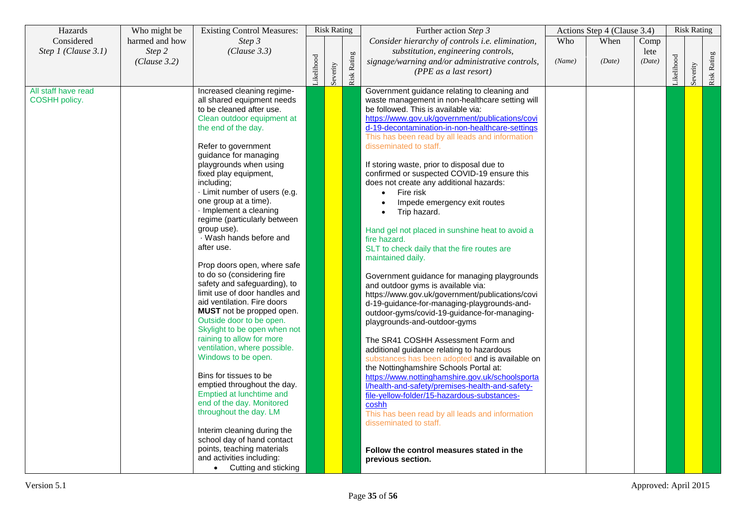| Hazards             | Who might be   | <b>Existing Control Measures:</b>                        |           | <b>Risk Rating</b> |             | Further action Step 3                            |        | Actions Step 4 (Clause 3.4) |        |           | <b>Risk Rating</b> |             |
|---------------------|----------------|----------------------------------------------------------|-----------|--------------------|-------------|--------------------------------------------------|--------|-----------------------------|--------|-----------|--------------------|-------------|
| Considered          | harmed and how | Step 3                                                   |           |                    |             | Consider hierarchy of controls i.e. elimination, | Who    | When                        | Comp   |           |                    |             |
| Step 1 (Clause 3.1) | Step 2         | (Clause 3.3)                                             |           |                    |             | substitution, engineering controls,              |        |                             | lete   |           |                    |             |
|                     | (Clause 3.2)   |                                                          |           |                    |             | signage/warning and/or administrative controls,  | (Name) | (Date)                      | (Date) |           |                    |             |
|                     |                |                                                          | ikelihood |                    |             | (PPE as a last resort)                           |        |                             |        | ikelihood | Severity           |             |
|                     |                |                                                          |           | Severity           | Risk Rating |                                                  |        |                             |        |           |                    | Risk Rating |
| All staff have read |                | Increased cleaning regime-                               |           |                    |             | Government guidance relating to cleaning and     |        |                             |        |           |                    |             |
| COSHH policy.       |                | all shared equipment needs                               |           |                    |             | waste management in non-healthcare setting will  |        |                             |        |           |                    |             |
|                     |                | to be cleaned after use.                                 |           |                    |             | be followed. This is available via:              |        |                             |        |           |                    |             |
|                     |                | Clean outdoor equipment at                               |           |                    |             | https://www.gov.uk/government/publications/covi  |        |                             |        |           |                    |             |
|                     |                | the end of the day.                                      |           |                    |             | d-19-decontamination-in-non-healthcare-settings  |        |                             |        |           |                    |             |
|                     |                |                                                          |           |                    |             | This has been read by all leads and information  |        |                             |        |           |                    |             |
|                     |                | Refer to government                                      |           |                    |             | disseminated to staff.                           |        |                             |        |           |                    |             |
|                     |                | guidance for managing<br>playgrounds when using          |           |                    |             | If storing waste, prior to disposal due to       |        |                             |        |           |                    |             |
|                     |                | fixed play equipment,                                    |           |                    |             | confirmed or suspected COVID-19 ensure this      |        |                             |        |           |                    |             |
|                     |                | including;                                               |           |                    |             | does not create any additional hazards:          |        |                             |        |           |                    |             |
|                     |                | · Limit number of users (e.g.                            |           |                    |             | Fire risk                                        |        |                             |        |           |                    |             |
|                     |                | one group at a time).                                    |           |                    |             | Impede emergency exit routes                     |        |                             |        |           |                    |             |
|                     |                | · Implement a cleaning                                   |           |                    |             | Trip hazard.                                     |        |                             |        |           |                    |             |
|                     |                | regime (particularly between                             |           |                    |             |                                                  |        |                             |        |           |                    |             |
|                     |                | group use).                                              |           |                    |             | Hand gel not placed in sunshine heat to avoid a  |        |                             |        |           |                    |             |
|                     |                | · Wash hands before and                                  |           |                    |             | fire hazard.                                     |        |                             |        |           |                    |             |
|                     |                | after use.                                               |           |                    |             | SLT to check daily that the fire routes are      |        |                             |        |           |                    |             |
|                     |                |                                                          |           |                    |             | maintained daily.                                |        |                             |        |           |                    |             |
|                     |                | Prop doors open, where safe                              |           |                    |             |                                                  |        |                             |        |           |                    |             |
|                     |                | to do so (considering fire                               |           |                    |             | Government guidance for managing playgrounds     |        |                             |        |           |                    |             |
|                     |                | safety and safeguarding), to                             |           |                    |             | and outdoor gyms is available via:               |        |                             |        |           |                    |             |
|                     |                | limit use of door handles and                            |           |                    |             | https://www.gov.uk/government/publications/covi  |        |                             |        |           |                    |             |
|                     |                | aid ventilation. Fire doors                              |           |                    |             | d-19-guidance-for-managing-playgrounds-and-      |        |                             |        |           |                    |             |
|                     |                | MUST not be propped open.                                |           |                    |             | outdoor-gyms/covid-19-guidance-for-managing-     |        |                             |        |           |                    |             |
|                     |                | Outside door to be open.<br>Skylight to be open when not |           |                    |             | playgrounds-and-outdoor-gyms                     |        |                             |        |           |                    |             |
|                     |                | raining to allow for more                                |           |                    |             | The SR41 COSHH Assessment Form and               |        |                             |        |           |                    |             |
|                     |                | ventilation, where possible.                             |           |                    |             | additional guidance relating to hazardous        |        |                             |        |           |                    |             |
|                     |                | Windows to be open.                                      |           |                    |             | substances has been adopted and is available on  |        |                             |        |           |                    |             |
|                     |                |                                                          |           |                    |             | the Nottinghamshire Schools Portal at:           |        |                             |        |           |                    |             |
|                     |                | Bins for tissues to be                                   |           |                    |             | https://www.nottinghamshire.gov.uk/schoolsporta  |        |                             |        |           |                    |             |
|                     |                | emptied throughout the day.                              |           |                    |             | Vhealth-and-safety/premises-health-and-safety-   |        |                             |        |           |                    |             |
|                     |                | Emptied at lunchtime and                                 |           |                    |             | file-yellow-folder/15-hazardous-substances-      |        |                             |        |           |                    |             |
|                     |                | end of the day. Monitored                                |           |                    |             | coshh                                            |        |                             |        |           |                    |             |
|                     |                | throughout the day. LM                                   |           |                    |             | This has been read by all leads and information  |        |                             |        |           |                    |             |
|                     |                |                                                          |           |                    |             | disseminated to staff.                           |        |                             |        |           |                    |             |
|                     |                | Interim cleaning during the                              |           |                    |             |                                                  |        |                             |        |           |                    |             |
|                     |                | school day of hand contact                               |           |                    |             |                                                  |        |                             |        |           |                    |             |
|                     |                | points, teaching materials                               |           |                    |             | Follow the control measures stated in the        |        |                             |        |           |                    |             |
|                     |                | and activities including:                                |           |                    |             | previous section.                                |        |                             |        |           |                    |             |
|                     |                | Cutting and sticking<br>$\bullet$                        |           |                    |             |                                                  |        |                             |        |           |                    |             |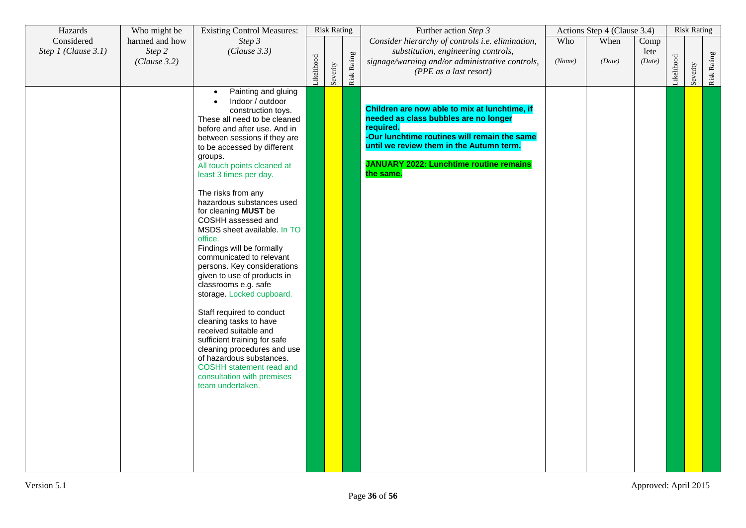| Hazards             | Who might be   | <b>Existing Control Measures:</b>                     |           | <b>Risk Rating</b> |             | Further action Step 3                            |        | Actions Step 4 (Clause 3.4) |        |           | <b>Risk Rating</b> |             |
|---------------------|----------------|-------------------------------------------------------|-----------|--------------------|-------------|--------------------------------------------------|--------|-----------------------------|--------|-----------|--------------------|-------------|
| Considered          | harmed and how | Step 3                                                |           |                    |             | Consider hierarchy of controls i.e. elimination, | Who    | When                        | Comp   |           |                    |             |
| Step 1 (Clause 3.1) | Step 2         | (Clause 3.3)                                          |           |                    |             | substitution, engineering controls,              |        |                             | lete   |           |                    |             |
|                     | (Clause 3.2)   |                                                       |           |                    |             | signage/warning and/or administrative controls,  | (Name) | (Date)                      | (Date) |           |                    |             |
|                     |                |                                                       | ikelihood | Severity           | Risk Rating | (PPE as a last resort)                           |        |                             |        | ikelihood | Severity           | Risk Rating |
|                     |                |                                                       |           |                    |             |                                                  |        |                             |        |           |                    |             |
|                     |                | Painting and gluing<br>$\bullet$<br>Indoor / outdoor  |           |                    |             |                                                  |        |                             |        |           |                    |             |
|                     |                | construction toys.                                    |           |                    |             | Children are now able to mix at lunchtime, if    |        |                             |        |           |                    |             |
|                     |                | These all need to be cleaned                          |           |                    |             | needed as class bubbles are no longer            |        |                             |        |           |                    |             |
|                     |                | before and after use. And in                          |           |                    |             | required.                                        |        |                             |        |           |                    |             |
|                     |                | between sessions if they are                          |           |                    |             | -Our lunchtime routines will remain the same     |        |                             |        |           |                    |             |
|                     |                | to be accessed by different                           |           |                    |             | until we review them in the Autumn term.         |        |                             |        |           |                    |             |
|                     |                | groups.<br>All touch points cleaned at                |           |                    |             | <b>JANUARY 2022: Lunchtime routine remains</b>   |        |                             |        |           |                    |             |
|                     |                | least 3 times per day.                                |           |                    |             | the same.                                        |        |                             |        |           |                    |             |
|                     |                |                                                       |           |                    |             |                                                  |        |                             |        |           |                    |             |
|                     |                | The risks from any                                    |           |                    |             |                                                  |        |                             |        |           |                    |             |
|                     |                | hazardous substances used<br>for cleaning MUST be     |           |                    |             |                                                  |        |                             |        |           |                    |             |
|                     |                | COSHH assessed and                                    |           |                    |             |                                                  |        |                             |        |           |                    |             |
|                     |                | MSDS sheet available. In TO                           |           |                    |             |                                                  |        |                             |        |           |                    |             |
|                     |                | office.                                               |           |                    |             |                                                  |        |                             |        |           |                    |             |
|                     |                | Findings will be formally<br>communicated to relevant |           |                    |             |                                                  |        |                             |        |           |                    |             |
|                     |                | persons. Key considerations                           |           |                    |             |                                                  |        |                             |        |           |                    |             |
|                     |                | given to use of products in                           |           |                    |             |                                                  |        |                             |        |           |                    |             |
|                     |                | classrooms e.g. safe                                  |           |                    |             |                                                  |        |                             |        |           |                    |             |
|                     |                | storage. Locked cupboard.                             |           |                    |             |                                                  |        |                             |        |           |                    |             |
|                     |                | Staff required to conduct                             |           |                    |             |                                                  |        |                             |        |           |                    |             |
|                     |                | cleaning tasks to have                                |           |                    |             |                                                  |        |                             |        |           |                    |             |
|                     |                | received suitable and<br>sufficient training for safe |           |                    |             |                                                  |        |                             |        |           |                    |             |
|                     |                | cleaning procedures and use                           |           |                    |             |                                                  |        |                             |        |           |                    |             |
|                     |                | of hazardous substances.                              |           |                    |             |                                                  |        |                             |        |           |                    |             |
|                     |                | COSHH statement read and                              |           |                    |             |                                                  |        |                             |        |           |                    |             |
|                     |                | consultation with premises                            |           |                    |             |                                                  |        |                             |        |           |                    |             |
|                     |                | team undertaken.                                      |           |                    |             |                                                  |        |                             |        |           |                    |             |
|                     |                |                                                       |           |                    |             |                                                  |        |                             |        |           |                    |             |
|                     |                |                                                       |           |                    |             |                                                  |        |                             |        |           |                    |             |
|                     |                |                                                       |           |                    |             |                                                  |        |                             |        |           |                    |             |
|                     |                |                                                       |           |                    |             |                                                  |        |                             |        |           |                    |             |
|                     |                |                                                       |           |                    |             |                                                  |        |                             |        |           |                    |             |
|                     |                |                                                       |           |                    |             |                                                  |        |                             |        |           |                    |             |
|                     |                |                                                       |           |                    |             |                                                  |        |                             |        |           |                    |             |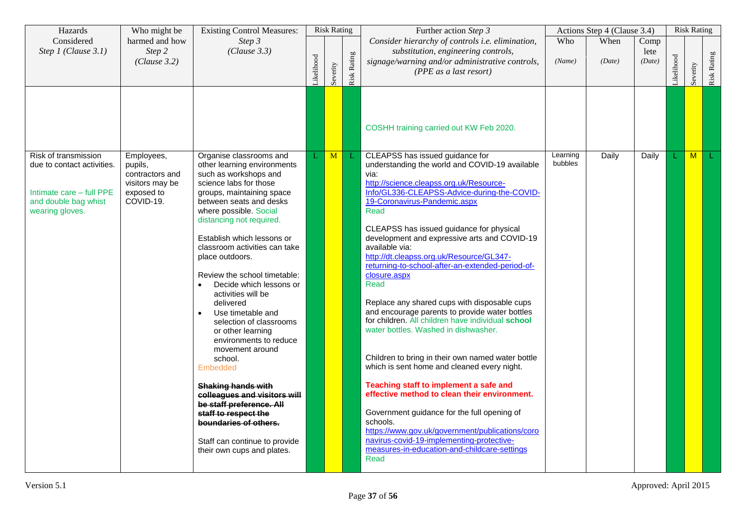| Hazards                                                                                                                   | Who might be                                                                           | <b>Existing Control Measures:</b>                                                                                                                                                                                                                                                                                                                                                                                                                                                                                                                                                                                                                                                                                                                                                       |           | <b>Risk Rating</b> |             | Further action Step 3                                                                                                                                                                                                                                                                                                                                                                                                                                                                                                                                                                                                                                                                                                                                                                                                                                                                                                                                                                                                                                                             |                     | Actions Step 4 (Clause 3.4) |                        |            | <b>Risk Rating</b> |             |
|---------------------------------------------------------------------------------------------------------------------------|----------------------------------------------------------------------------------------|-----------------------------------------------------------------------------------------------------------------------------------------------------------------------------------------------------------------------------------------------------------------------------------------------------------------------------------------------------------------------------------------------------------------------------------------------------------------------------------------------------------------------------------------------------------------------------------------------------------------------------------------------------------------------------------------------------------------------------------------------------------------------------------------|-----------|--------------------|-------------|-----------------------------------------------------------------------------------------------------------------------------------------------------------------------------------------------------------------------------------------------------------------------------------------------------------------------------------------------------------------------------------------------------------------------------------------------------------------------------------------------------------------------------------------------------------------------------------------------------------------------------------------------------------------------------------------------------------------------------------------------------------------------------------------------------------------------------------------------------------------------------------------------------------------------------------------------------------------------------------------------------------------------------------------------------------------------------------|---------------------|-----------------------------|------------------------|------------|--------------------|-------------|
| Considered<br>Step 1 (Clause 3.1)                                                                                         | harmed and how<br>Step 2<br>(Clause 3.2)                                               | Step 3<br>(Clause 3.3)                                                                                                                                                                                                                                                                                                                                                                                                                                                                                                                                                                                                                                                                                                                                                                  | ikelihood | Severity           | Risk Rating | Consider hierarchy of controls i.e. elimination,<br>substitution, engineering controls,<br>signage/warning and/or administrative controls,<br>(PPE as a last resort)                                                                                                                                                                                                                                                                                                                                                                                                                                                                                                                                                                                                                                                                                                                                                                                                                                                                                                              | Who<br>(Name)       | When<br>(Date)              | Comp<br>lete<br>(Date) | Likelihood | Severity           | Risk Rating |
|                                                                                                                           |                                                                                        |                                                                                                                                                                                                                                                                                                                                                                                                                                                                                                                                                                                                                                                                                                                                                                                         |           |                    |             | COSHH training carried out KW Feb 2020.                                                                                                                                                                                                                                                                                                                                                                                                                                                                                                                                                                                                                                                                                                                                                                                                                                                                                                                                                                                                                                           |                     |                             |                        |            |                    |             |
| Risk of transmission<br>due to contact activities.<br>Intimate care - full PPE<br>and double bag whist<br>wearing gloves. | Employees,<br>pupils,<br>contractors and<br>visitors may be<br>exposed to<br>COVID-19. | Organise classrooms and<br>other learning environments<br>such as workshops and<br>science labs for those<br>groups, maintaining space<br>between seats and desks<br>where possible. Social<br>distancing not required.<br>Establish which lessons or<br>classroom activities can take<br>place outdoors.<br>Review the school timetable:<br>Decide which lessons or<br>$\bullet$<br>activities will be<br>delivered<br>Use timetable and<br>$\bullet$<br>selection of classrooms<br>or other learning<br>environments to reduce<br>movement around<br>school.<br>Embedded<br><del>Shaking hands with</del><br>colleagues and visitors will<br>be staff preference. All<br>staff to respect the<br>boundaries of others.<br>Staff can continue to provide<br>their own cups and plates. | L         | M                  |             | CLEAPSS has issued guidance for<br>understanding the world and COVID-19 available<br>via:<br>http://science.cleapss.org.uk/Resource-<br>Info/GL336-CLEAPSS-Advice-during-the-COVID-<br>19-Coronavirus-Pandemic.aspx<br>Read<br>CLEAPSS has issued guidance for physical<br>development and expressive arts and COVID-19<br>available via:<br>http://dt.cleapss.org.uk/Resource/GL347-<br>returning-to-school-after-an-extended-period-of-<br>closure.aspx<br>Read<br>Replace any shared cups with disposable cups<br>and encourage parents to provide water bottles<br>for children. All children have individual school<br>water bottles. Washed in dishwasher.<br>Children to bring in their own named water bottle<br>which is sent home and cleaned every night.<br>Teaching staff to implement a safe and<br>effective method to clean their environment.<br>Government guidance for the full opening of<br>schools.<br>https://www.gov.uk/government/publications/coro<br>navirus-covid-19-implementing-protective-<br>measures-in-education-and-childcare-settings<br>Read | Learning<br>bubbles | Daily                       | Daily                  |            | $\overline{M}$     | L           |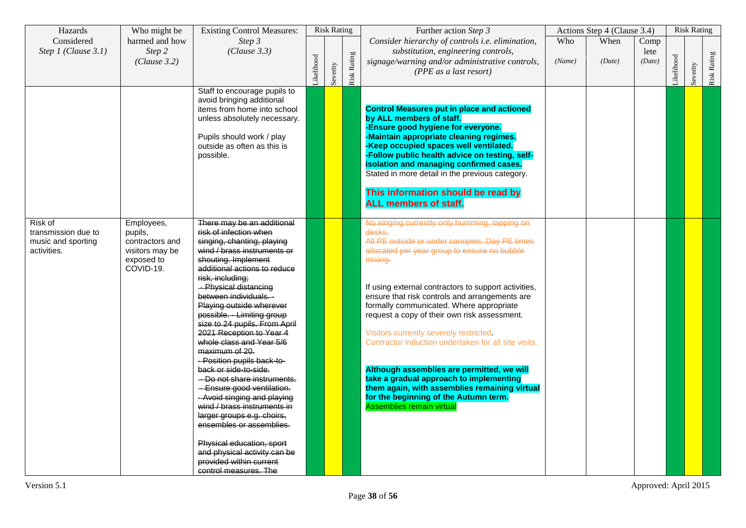| Hazards                                                             | Who might be                                                                           | <b>Existing Control Measures:</b>                                                                                                                                                                                                                                                                                                                                                                                                                                                                                                                                                                                                                                                                                                                                           |           |          | <b>Risk Rating</b> | Further action Step 3                                                                                                                                                                                                                                                                                                                                                                                                                                                                                                                                                                                                                                                                         |               | Actions Step 4 (Clause 3.4) |                        |           | <b>Risk Rating</b> |             |
|---------------------------------------------------------------------|----------------------------------------------------------------------------------------|-----------------------------------------------------------------------------------------------------------------------------------------------------------------------------------------------------------------------------------------------------------------------------------------------------------------------------------------------------------------------------------------------------------------------------------------------------------------------------------------------------------------------------------------------------------------------------------------------------------------------------------------------------------------------------------------------------------------------------------------------------------------------------|-----------|----------|--------------------|-----------------------------------------------------------------------------------------------------------------------------------------------------------------------------------------------------------------------------------------------------------------------------------------------------------------------------------------------------------------------------------------------------------------------------------------------------------------------------------------------------------------------------------------------------------------------------------------------------------------------------------------------------------------------------------------------|---------------|-----------------------------|------------------------|-----------|--------------------|-------------|
| Considered<br>Step 1 (Clause 3.1)                                   | harmed and how<br>Step 2<br>(Clause 3.2)                                               | Step 3<br>(Clause 3.3)                                                                                                                                                                                                                                                                                                                                                                                                                                                                                                                                                                                                                                                                                                                                                      | ikelihood | Severity | <b>Risk Rating</b> | Consider hierarchy of controls i.e. elimination,<br>substitution, engineering controls,<br>signage/warning and/or administrative controls,<br>(PPE as a last resort)                                                                                                                                                                                                                                                                                                                                                                                                                                                                                                                          | Who<br>(Name) | When<br>(Date)              | Comp<br>lete<br>(Date) | ikelihood | Severity           | Risk Rating |
|                                                                     |                                                                                        | Staff to encourage pupils to<br>avoid bringing additional<br>items from home into school<br>unless absolutely necessary.<br>Pupils should work / play<br>outside as often as this is<br>possible.                                                                                                                                                                                                                                                                                                                                                                                                                                                                                                                                                                           |           |          |                    | <b>Control Measures put in place and actioned</b><br>by ALL members of staff.<br>-Ensure good hygiene for everyone.<br>-Maintain appropriate cleaning regimes.<br>-Keep occupied spaces well ventilated.<br>-Follow public health advice on testing, self-<br>isolation and managing confirmed cases.<br>Stated in more detail in the previous category.<br>This information should be read by<br><b>ALL members of staff.</b>                                                                                                                                                                                                                                                                |               |                             |                        |           |                    |             |
| Risk of<br>transmission due to<br>music and sporting<br>activities. | Employees,<br>pupils,<br>contractors and<br>visitors may be<br>exposed to<br>COVID-19. | There may be an additional<br>risk of infection when<br>singing, chanting, playing<br>wind / brass instruments or<br>shouting. Implement<br>additional actions to reduce<br>risk, including;<br>- Physical distancing<br>between individuals.<br>Playing outside wherever<br>possible. Limiting group<br>size to 24 pupils. From April<br>2021 Reception to Year 4<br>whole class and Year 5/6<br>maximum of 20.<br>- Position pupils back-to-<br>back or side-to-side.<br>Do not share instruments.<br>- Ensure good ventilation.<br>- Avoid singing and playing<br>wind / brass instruments in<br>larger groups e.g. choirs,<br>ensembles or assemblies.<br>Physical education, sport<br>and physical activity can be<br>provided within current<br>control measures. The |           |          |                    | No singing currently only humming, tapping on<br>desks.<br>All PE outside or under canopies. Day PE times<br>allocated per year group to ensure no bubble<br>mixing.<br>If using external contractors to support activities,<br>ensure that risk controls and arrangements are<br>formally communicated. Where appropriate<br>request a copy of their own risk assessment.<br>Visitors currently severely restricted.<br>Contractor induction undertaken for all site visits.<br>Although assemblies are permitted, we will<br>take a gradual approach to implementing<br>them again, with assemblies remaining virtual<br>for the beginning of the Autumn term.<br>Assemblies remain virtual |               |                             |                        |           |                    |             |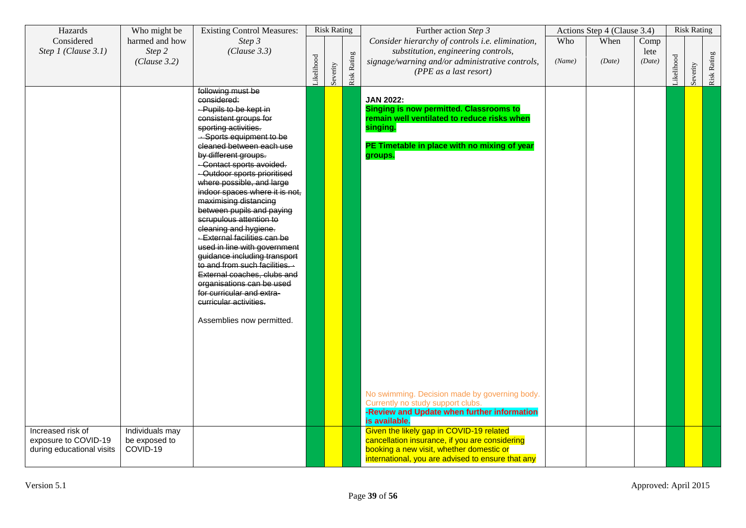| Hazards                   | Who might be    | <b>Existing Control Measures:</b>                            |           | <b>Risk Rating</b> |             | Further action Step 3                                                            |        | Actions Step 4 (Clause 3.4) |        |            | <b>Risk Rating</b> |             |
|---------------------------|-----------------|--------------------------------------------------------------|-----------|--------------------|-------------|----------------------------------------------------------------------------------|--------|-----------------------------|--------|------------|--------------------|-------------|
| Considered                | harmed and how  | Step 3                                                       |           |                    |             | Consider hierarchy of controls i.e. elimination,                                 | Who    | When                        | Comp   |            |                    |             |
| Step 1 (Clause 3.1)       | Step 2          | (Clause 3.3)                                                 |           |                    |             | substitution, engineering controls,                                              |        |                             | lete   |            |                    |             |
|                           | (Clause 3.2)    |                                                              |           |                    |             | signage/warning and/or administrative controls,                                  | (Name) | (Date)                      | (Date) |            |                    |             |
|                           |                 |                                                              | ikelihood | Severity           | Risk Rating | (PPE as a last resort)                                                           |        |                             |        | Likelihood | Severity           | Risk Rating |
|                           |                 | following must be                                            |           |                    |             |                                                                                  |        |                             |        |            |                    |             |
|                           |                 | considered:                                                  |           |                    |             | <b>JAN 2022:</b>                                                                 |        |                             |        |            |                    |             |
|                           |                 | - Pupils to be kept in                                       |           |                    |             | <b>Singing is now permitted. Classrooms to</b>                                   |        |                             |        |            |                    |             |
|                           |                 | consistent groups for                                        |           |                    |             | remain well ventilated to reduce risks when                                      |        |                             |        |            |                    |             |
|                           |                 | sporting activities.                                         |           |                    |             | singing.                                                                         |        |                             |        |            |                    |             |
|                           |                 | - Sports equipment to be<br>cleaned between each use         |           |                    |             |                                                                                  |        |                             |        |            |                    |             |
|                           |                 | by different groups.                                         |           |                    |             | PE Timetable in place with no mixing of year<br>groups.                          |        |                             |        |            |                    |             |
|                           |                 | -Contact sports avoided.                                     |           |                    |             |                                                                                  |        |                             |        |            |                    |             |
|                           |                 | -Outdoor sports prioritised                                  |           |                    |             |                                                                                  |        |                             |        |            |                    |             |
|                           |                 | where possible, and large                                    |           |                    |             |                                                                                  |        |                             |        |            |                    |             |
|                           |                 | indoor spaces where it is not,<br>maximising distancing      |           |                    |             |                                                                                  |        |                             |        |            |                    |             |
|                           |                 | between pupils and paying                                    |           |                    |             |                                                                                  |        |                             |        |            |                    |             |
|                           |                 | scrupulous attention to                                      |           |                    |             |                                                                                  |        |                             |        |            |                    |             |
|                           |                 | cleaning and hygiene.                                        |           |                    |             |                                                                                  |        |                             |        |            |                    |             |
|                           |                 | - External facilities can be                                 |           |                    |             |                                                                                  |        |                             |        |            |                    |             |
|                           |                 | used in line with government<br>guidance including transport |           |                    |             |                                                                                  |        |                             |        |            |                    |             |
|                           |                 | to and from such facilities. -                               |           |                    |             |                                                                                  |        |                             |        |            |                    |             |
|                           |                 | External coaches, clubs and                                  |           |                    |             |                                                                                  |        |                             |        |            |                    |             |
|                           |                 | organisations can be used                                    |           |                    |             |                                                                                  |        |                             |        |            |                    |             |
|                           |                 | for curricular and extra-                                    |           |                    |             |                                                                                  |        |                             |        |            |                    |             |
|                           |                 | curricular activities.                                       |           |                    |             |                                                                                  |        |                             |        |            |                    |             |
|                           |                 | Assemblies now permitted.                                    |           |                    |             |                                                                                  |        |                             |        |            |                    |             |
|                           |                 |                                                              |           |                    |             |                                                                                  |        |                             |        |            |                    |             |
|                           |                 |                                                              |           |                    |             |                                                                                  |        |                             |        |            |                    |             |
|                           |                 |                                                              |           |                    |             |                                                                                  |        |                             |        |            |                    |             |
|                           |                 |                                                              |           |                    |             |                                                                                  |        |                             |        |            |                    |             |
|                           |                 |                                                              |           |                    |             |                                                                                  |        |                             |        |            |                    |             |
|                           |                 |                                                              |           |                    |             |                                                                                  |        |                             |        |            |                    |             |
|                           |                 |                                                              |           |                    |             | No swimming. Decision made by governing body.                                    |        |                             |        |            |                    |             |
|                           |                 |                                                              |           |                    |             | Currently no study support clubs.<br>-Review and Update when further information |        |                             |        |            |                    |             |
|                           |                 |                                                              |           |                    |             | is available.                                                                    |        |                             |        |            |                    |             |
| Increased risk of         | Individuals may |                                                              |           |                    |             | Given the likely gap in COVID-19 related                                         |        |                             |        |            |                    |             |
| exposure to COVID-19      | be exposed to   |                                                              |           |                    |             | cancellation insurance, if you are considering                                   |        |                             |        |            |                    |             |
| during educational visits | COVID-19        |                                                              |           |                    |             | booking a new visit, whether domestic or                                         |        |                             |        |            |                    |             |
|                           |                 |                                                              |           |                    |             | international, you are advised to ensure that any                                |        |                             |        |            |                    |             |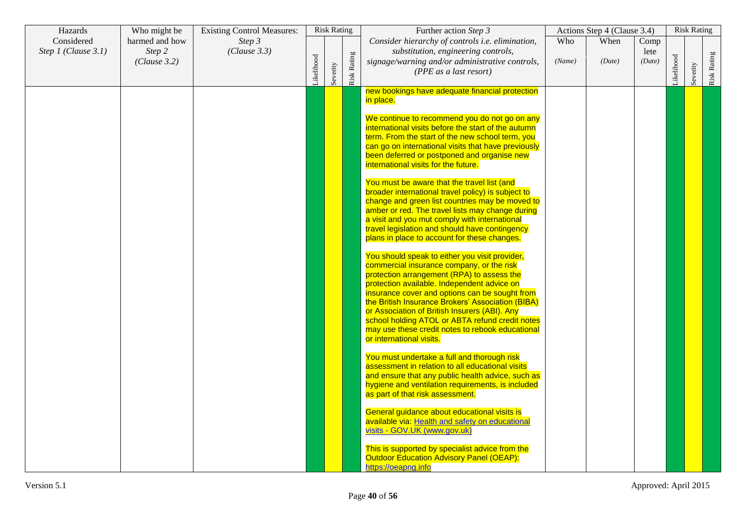| Hazards                           | Who might be                             | <b>Existing Control Measures:</b> |           | <b>Risk Rating</b> |                    | Further action Step 3                                                                                                                                                                                                                                                                                                                                                                                                                                                               |               | Actions Step 4 (Clause 3.4) |                        |           | <b>Risk Rating</b> |             |
|-----------------------------------|------------------------------------------|-----------------------------------|-----------|--------------------|--------------------|-------------------------------------------------------------------------------------------------------------------------------------------------------------------------------------------------------------------------------------------------------------------------------------------------------------------------------------------------------------------------------------------------------------------------------------------------------------------------------------|---------------|-----------------------------|------------------------|-----------|--------------------|-------------|
| Considered<br>Step 1 (Clause 3.1) | harmed and how<br>Step 2<br>(Clause 3.2) | Step 3<br>(Clause 3.3)            | ikelihood | Severity           | <b>Risk Rating</b> | Consider hierarchy of controls i.e. elimination,<br>substitution, engineering controls,<br>signage/warning and/or administrative controls,<br>(PPE as a last resort)                                                                                                                                                                                                                                                                                                                | Who<br>(Name) | When<br>(Date)              | Comp<br>lete<br>(Date) | ikelihood | Severity           | Risk Rating |
|                                   |                                          |                                   |           |                    |                    | new bookings have adequate financial protection<br>in place.                                                                                                                                                                                                                                                                                                                                                                                                                        |               |                             |                        |           |                    |             |
|                                   |                                          |                                   |           |                    |                    | We continue to recommend you do not go on any<br>international visits before the start of the autumn<br>term. From the start of the new school term, you<br>can go on international visits that have previously<br>been deferred or postponed and organise new<br>international visits for the future.                                                                                                                                                                              |               |                             |                        |           |                    |             |
|                                   |                                          |                                   |           |                    |                    | You must be aware that the travel list (and<br>broader international travel policy) is subject to<br>change and green list countries may be moved to<br>amber or red. The travel lists may change during<br>a visit and you mut comply with international<br>travel legislation and should have contingency<br>plans in place to account for these changes.                                                                                                                         |               |                             |                        |           |                    |             |
|                                   |                                          |                                   |           |                    |                    | You should speak to either you visit provider,<br>commercial insurance company, or the risk<br>protection arrangement (RPA) to assess the<br>protection available. Independent advice on<br>insurance cover and options can be sought from<br>the British Insurance Brokers' Association (BIBA)<br>or Association of British Insurers (ABI). Any<br>school holding ATOL or ABTA refund credit notes<br>may use these credit notes to rebook educational<br>or international visits. |               |                             |                        |           |                    |             |
|                                   |                                          |                                   |           |                    |                    | You must undertake a full and thorough risk<br>assessment in relation to all educational visits<br>and ensure that any public health advice, such as<br>hygiene and ventilation requirements, is included<br>as part of that risk assessment.                                                                                                                                                                                                                                       |               |                             |                        |           |                    |             |
|                                   |                                          |                                   |           |                    |                    | General guidance about educational visits is<br>available via: Health and safety on educational<br>visits - GOV.UK (www.gov.uk)                                                                                                                                                                                                                                                                                                                                                     |               |                             |                        |           |                    |             |
|                                   |                                          |                                   |           |                    |                    | This is supported by specialist advice from the<br><b>Outdoor Education Advisory Panel (OEAP):</b><br>https://oeapng.info                                                                                                                                                                                                                                                                                                                                                           |               |                             |                        |           |                    |             |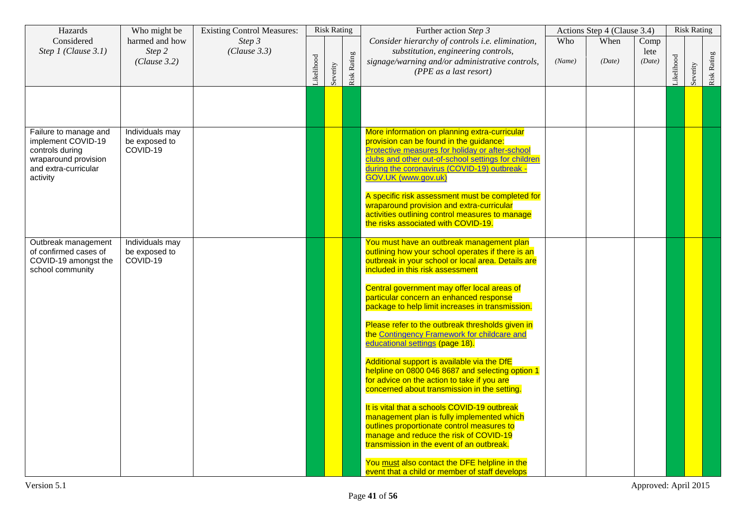| Hazards                                                                                                                    | Who might be                                 | <b>Existing Control Measures:</b> |           | <b>Risk Rating</b> |             | Further action Step 3                                                                                                                                                                                                                                                     |               | Actions Step 4 (Clause 3.4) |                        |           | <b>Risk Rating</b> |             |
|----------------------------------------------------------------------------------------------------------------------------|----------------------------------------------|-----------------------------------|-----------|--------------------|-------------|---------------------------------------------------------------------------------------------------------------------------------------------------------------------------------------------------------------------------------------------------------------------------|---------------|-----------------------------|------------------------|-----------|--------------------|-------------|
| Considered<br>Step 1 (Clause 3.1)                                                                                          | harmed and how<br>Step 2<br>(Clause 3.2)     | Step 3<br>(Clause 3.3)            | ikelihood | Severity           | Risk Rating | Consider hierarchy of controls i.e. elimination,<br>substitution, engineering controls,<br>signage/warning and/or administrative controls,<br>(PPE as a last resort)                                                                                                      | Who<br>(Name) | When<br>(Date)              | Comp<br>lete<br>(Date) | ikelihood | Severity           | Risk Rating |
|                                                                                                                            |                                              |                                   |           |                    |             |                                                                                                                                                                                                                                                                           |               |                             |                        |           |                    |             |
| Failure to manage and<br>implement COVID-19<br>controls during<br>wraparound provision<br>and extra-curricular<br>activity | Individuals may<br>be exposed to<br>COVID-19 |                                   |           |                    |             | More information on planning extra-curricular<br>provision can be found in the guidance:<br>Protective measures for holiday or after-school<br>clubs and other out-of-school settings for children<br>during the coronavirus (COVID-19) outbreak -<br>GOV.UK (www.gov.uk) |               |                             |                        |           |                    |             |
|                                                                                                                            |                                              |                                   |           |                    |             | A specific risk assessment must be completed for<br>wraparound provision and extra-curricular<br>activities outlining control measures to manage<br>the risks associated with COVID-19.                                                                                   |               |                             |                        |           |                    |             |
| Outbreak management<br>of confirmed cases of<br>COVID-19 amongst the<br>school community                                   | Individuals may<br>be exposed to<br>COVID-19 |                                   |           |                    |             | You must have an outbreak management plan<br>outlining how your school operates if there is an<br>outbreak in your school or local area. Details are<br>included in this risk assessment                                                                                  |               |                             |                        |           |                    |             |
|                                                                                                                            |                                              |                                   |           |                    |             | Central government may offer local areas of<br>particular concern an enhanced response<br>package to help limit increases in transmission.                                                                                                                                |               |                             |                        |           |                    |             |
|                                                                                                                            |                                              |                                   |           |                    |             | Please refer to the outbreak thresholds given in<br>the Contingency Framework for childcare and<br>educational settings (page 18).<br>Additional support is available via the DfE                                                                                         |               |                             |                        |           |                    |             |
|                                                                                                                            |                                              |                                   |           |                    |             | helpline on 0800 046 8687 and selecting option 1<br>for advice on the action to take if you are<br>concerned about transmission in the setting.                                                                                                                           |               |                             |                        |           |                    |             |
|                                                                                                                            |                                              |                                   |           |                    |             | It is vital that a schools COVID-19 outbreak<br>management plan is fully implemented which<br>outlines proportionate control measures to<br>manage and reduce the risk of COVID-19<br>transmission in the event of an outbreak.                                           |               |                             |                        |           |                    |             |
|                                                                                                                            |                                              |                                   |           |                    |             | You must also contact the DFE helpline in the<br>event that a child or member of staff develops                                                                                                                                                                           |               |                             |                        |           |                    |             |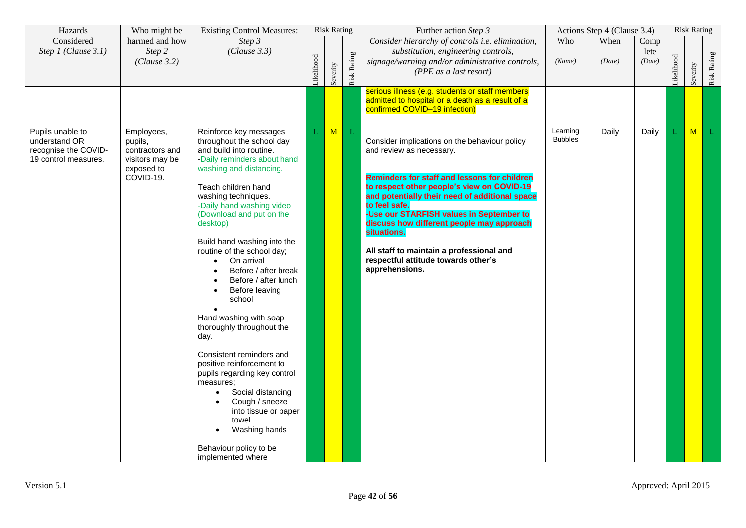| Hazards                                                                           | Who might be                                                                           | <b>Existing Control Measures:</b>                                                                                                                                                                                                                                                                                                                                                                                                                                                                                                                                                                                                                                                                                                            |           | <b>Risk Rating</b> |             | Further action Step 3                                                                                                                                                                                                                                                                                                                                                                                                                                          |                            | Actions Step 4 (Clause 3.4) |                        |            | <b>Risk Rating</b> |             |
|-----------------------------------------------------------------------------------|----------------------------------------------------------------------------------------|----------------------------------------------------------------------------------------------------------------------------------------------------------------------------------------------------------------------------------------------------------------------------------------------------------------------------------------------------------------------------------------------------------------------------------------------------------------------------------------------------------------------------------------------------------------------------------------------------------------------------------------------------------------------------------------------------------------------------------------------|-----------|--------------------|-------------|----------------------------------------------------------------------------------------------------------------------------------------------------------------------------------------------------------------------------------------------------------------------------------------------------------------------------------------------------------------------------------------------------------------------------------------------------------------|----------------------------|-----------------------------|------------------------|------------|--------------------|-------------|
| Considered<br>Step 1 (Clause 3.1)                                                 | harmed and how<br>Step 2<br>(Clause 3.2)                                               | Step 3<br>(Clause 3.3)                                                                                                                                                                                                                                                                                                                                                                                                                                                                                                                                                                                                                                                                                                                       | ikelihood | Severity           | Risk Rating | Consider hierarchy of controls i.e. elimination,<br>substitution, engineering controls,<br>signage/warning and/or administrative controls,<br>(PPE as a last resort)                                                                                                                                                                                                                                                                                           | Who<br>(Name)              | When<br>(Date)              | Comp<br>lete<br>(Date) | Likelihood | Severity           | Risk Rating |
|                                                                                   |                                                                                        |                                                                                                                                                                                                                                                                                                                                                                                                                                                                                                                                                                                                                                                                                                                                              |           |                    |             | serious illness (e.g. students or staff members<br>admitted to hospital or a death as a result of a<br>confirmed COVID-19 infection)                                                                                                                                                                                                                                                                                                                           |                            |                             |                        |            |                    |             |
| Pupils unable to<br>understand OR<br>recognise the COVID-<br>19 control measures. | Employees,<br>pupils,<br>contractors and<br>visitors may be<br>exposed to<br>COVID-19. | Reinforce key messages<br>throughout the school day<br>and build into routine.<br>-Daily reminders about hand<br>washing and distancing.<br>Teach children hand<br>washing techniques.<br>-Daily hand washing video<br>(Download and put on the<br>desktop)<br>Build hand washing into the<br>routine of the school day;<br>On arrival<br>Before / after break<br>Before / after lunch<br>Before leaving<br>school<br>Hand washing with soap<br>thoroughly throughout the<br>day.<br>Consistent reminders and<br>positive reinforcement to<br>pupils regarding key control<br>measures;<br>Social distancing<br>$\bullet$<br>Cough / sneeze<br>into tissue or paper<br>towel<br>Washing hands<br>Behaviour policy to be<br>implemented where | L         | M                  |             | Consider implications on the behaviour policy<br>and review as necessary.<br><b>Reminders for staff and lessons for children</b><br>to respect other people's view on COVID-19<br>and potentially their need of additional space<br>to feel safe.<br>-Use our STARFISH values in September to<br>discuss how different people may approach<br>situations.<br>All staff to maintain a professional and<br>respectful attitude towards other's<br>apprehensions. | Learning<br><b>Bubbles</b> | Daily                       | Daily                  |            | M                  |             |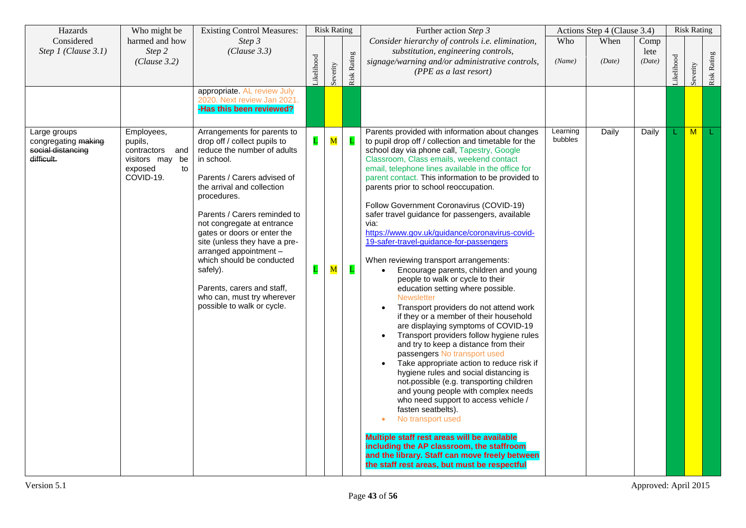| Hazards                                                                           | Who might be                                                                              | <b>Existing Control Measures:</b>                                                                                                                                                                                                                                                                                                                                                                                                                                               |                  | <b>Risk Rating</b>                     |                   | Further action Step 3                                                                                                                                                                                                                                                                                                                                                                                                                                                                                                                                                                                                                                                                                                                                                                                                                                                                                                                                                                                                                                                                                                                                                                                                                                                                                                                                                                                                                                                |                     | Actions Step 4 (Clause 3.4) |                        |           | <b>Risk Rating</b> |             |
|-----------------------------------------------------------------------------------|-------------------------------------------------------------------------------------------|---------------------------------------------------------------------------------------------------------------------------------------------------------------------------------------------------------------------------------------------------------------------------------------------------------------------------------------------------------------------------------------------------------------------------------------------------------------------------------|------------------|----------------------------------------|-------------------|----------------------------------------------------------------------------------------------------------------------------------------------------------------------------------------------------------------------------------------------------------------------------------------------------------------------------------------------------------------------------------------------------------------------------------------------------------------------------------------------------------------------------------------------------------------------------------------------------------------------------------------------------------------------------------------------------------------------------------------------------------------------------------------------------------------------------------------------------------------------------------------------------------------------------------------------------------------------------------------------------------------------------------------------------------------------------------------------------------------------------------------------------------------------------------------------------------------------------------------------------------------------------------------------------------------------------------------------------------------------------------------------------------------------------------------------------------------------|---------------------|-----------------------------|------------------------|-----------|--------------------|-------------|
| Considered<br>Step 1 (Clause 3.1)                                                 | harmed and how<br>Step 2<br>(Clause 3.2)                                                  | Step 3<br>(Clause 3.3)                                                                                                                                                                                                                                                                                                                                                                                                                                                          | ikelihood        | Severity                               | Risk Rating       | Consider hierarchy of controls i.e. elimination,<br>substitution, engineering controls,<br>signage/warning and/or administrative controls,<br>(PPE as a last resort)                                                                                                                                                                                                                                                                                                                                                                                                                                                                                                                                                                                                                                                                                                                                                                                                                                                                                                                                                                                                                                                                                                                                                                                                                                                                                                 | Who<br>(Name)       | When<br>(Date)              | Comp<br>lete<br>(Date) | ikelihood | Severity           | Risk Rating |
|                                                                                   |                                                                                           | appropriate. AL review July<br>2020. Next review Jan 2021.<br><b>-Has this been reviewed?</b>                                                                                                                                                                                                                                                                                                                                                                                   |                  |                                        |                   |                                                                                                                                                                                                                                                                                                                                                                                                                                                                                                                                                                                                                                                                                                                                                                                                                                                                                                                                                                                                                                                                                                                                                                                                                                                                                                                                                                                                                                                                      |                     |                             |                        |           |                    |             |
| Large groups<br>congregating <del>making</del><br>social distancing<br>difficult. | Employees,<br>pupils,<br>contractors and<br>visitors may be<br>exposed<br>to<br>COVID-19. | Arrangements for parents to<br>drop off / collect pupils to<br>reduce the number of adults<br>in school.<br>Parents / Carers advised of<br>the arrival and collection<br>procedures.<br>Parents / Carers reminded to<br>not congregate at entrance<br>gates or doors or enter the<br>site (unless they have a pre-<br>arranged appointment -<br>which should be conducted<br>safely).<br>Parents, carers and staff,<br>who can, must try wherever<br>possible to walk or cycle. | L<br>$\mathbf L$ | $\overline{\mathbf{M}}$<br>$\mathbf M$ | L<br>$\mathbf{L}$ | Parents provided with information about changes<br>to pupil drop off / collection and timetable for the<br>school day via phone call, Tapestry, Google<br>Classroom, Class emails, weekend contact<br>email, telephone lines available in the office for<br>parent contact. This information to be provided to<br>parents prior to school reoccupation.<br>Follow Government Coronavirus (COVID-19)<br>safer travel guidance for passengers, available<br>via:<br>https://www.gov.uk/guidance/coronavirus-covid-<br>19-safer-travel-guidance-for-passengers<br>When reviewing transport arrangements:<br>Encourage parents, children and young<br>$\bullet$<br>people to walk or cycle to their<br>education setting where possible.<br><b>Newsletter</b><br>Transport providers do not attend work<br>if they or a member of their household<br>are displaying symptoms of COVID-19<br>Transport providers follow hygiene rules<br>and try to keep a distance from their<br>passengers No transport used<br>Take appropriate action to reduce risk if<br>hygiene rules and social distancing is<br>not-possible (e.g. transporting children<br>and young people with complex needs<br>who need support to access vehicle /<br>fasten seatbelts).<br>No transport used<br>Multiple staff rest areas will be available<br>including the AP classroom, the staffroom<br>and the library. Staff can move freely between<br>the staff rest areas, but must be respectful | Learning<br>bubbles | Daily                       | Daily                  |           | M                  |             |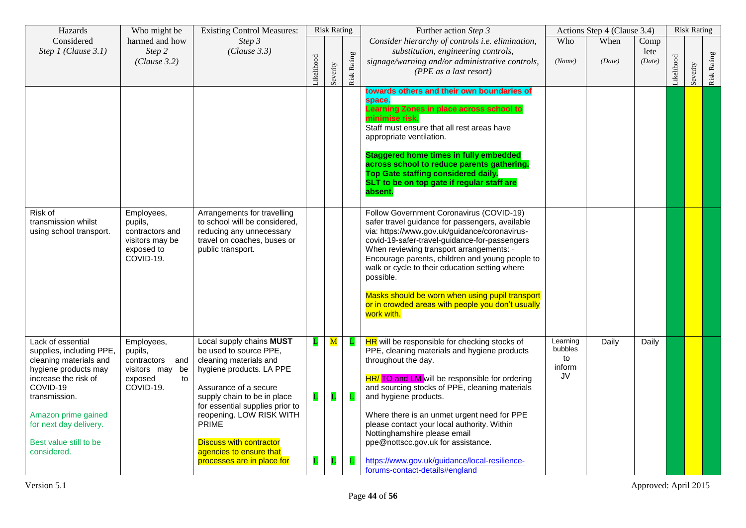| Hazards                                                                                                                                                                                                                                        | Who might be                                                                              | <b>Existing Control Measures:</b>                                                                                                                                                                                                                                                                                                          |                        | <b>Risk Rating</b>                       |                        | Further action Step 3                                                                                                                                                                                                                                                                                                                                                                                                                                                             |                                           | Actions Step 4 (Clause 3.4) |                        |           | <b>Risk Rating</b> |             |
|------------------------------------------------------------------------------------------------------------------------------------------------------------------------------------------------------------------------------------------------|-------------------------------------------------------------------------------------------|--------------------------------------------------------------------------------------------------------------------------------------------------------------------------------------------------------------------------------------------------------------------------------------------------------------------------------------------|------------------------|------------------------------------------|------------------------|-----------------------------------------------------------------------------------------------------------------------------------------------------------------------------------------------------------------------------------------------------------------------------------------------------------------------------------------------------------------------------------------------------------------------------------------------------------------------------------|-------------------------------------------|-----------------------------|------------------------|-----------|--------------------|-------------|
| Considered<br>Step 1 (Clause 3.1)                                                                                                                                                                                                              | harmed and how<br>Step 2<br>(Clause 3.2)                                                  | Step 3<br>(Clause 3.3)                                                                                                                                                                                                                                                                                                                     | ikelihood              | Severity                                 | <b>Risk Rating</b>     | Consider hierarchy of controls i.e. elimination,<br>substitution, engineering controls,<br>signage/warning and/or administrative controls,<br>(PPE as a last resort)                                                                                                                                                                                                                                                                                                              | Who<br>(Name)                             | When<br>(Date)              | Comp<br>lete<br>(Date) | ikelihood | Severity           | Risk Rating |
|                                                                                                                                                                                                                                                |                                                                                           |                                                                                                                                                                                                                                                                                                                                            |                        |                                          |                        | towards others and their own boundaries of<br>space.<br>Learning Zones in place across school to<br>minimise risk.<br>Staff must ensure that all rest areas have<br>appropriate ventilation.<br><b>Staggered home times in fully embedded</b><br>across school to reduce parents gathering.<br>Top Gate staffing considered daily.<br>SLT to be on top gate if regular staff are<br>absent.                                                                                       |                                           |                             |                        |           |                    |             |
| Risk of<br>transmission whilst<br>using school transport.                                                                                                                                                                                      | Employees,<br>pupils,<br>contractors and<br>visitors may be<br>exposed to<br>COVID-19.    | Arrangements for travelling<br>to school will be considered,<br>reducing any unnecessary<br>travel on coaches, buses or<br>public transport.                                                                                                                                                                                               |                        |                                          |                        | Follow Government Coronavirus (COVID-19)<br>safer travel guidance for passengers, available<br>via: https://www.gov.uk/guidance/coronavirus-<br>covid-19-safer-travel-guidance-for-passengers<br>When reviewing transport arrangements: .<br>Encourage parents, children and young people to<br>walk or cycle to their education setting where<br>possible.<br>Masks should be worn when using pupil transport<br>or in crowded areas with people you don't usually<br>work with. |                                           |                             |                        |           |                    |             |
| Lack of essential<br>supplies, including PPE,<br>cleaning materials and<br>hygiene products may<br>increase the risk of<br>COVID-19<br>transmission.<br>Amazon prime gained<br>for next day delivery.<br>Best value still to be<br>considered. | Employees,<br>pupils,<br>contractors and<br>visitors may be<br>exposed<br>to<br>COVID-19. | Local supply chains MUST<br>be used to source PPE.<br>cleaning materials and<br>hygiene products. LA PPE<br>Assurance of a secure<br>supply chain to be in place<br>for essential supplies prior to<br>reopening. LOW RISK WITH<br><b>PRIME</b><br><b>Discuss with contractor</b><br>agencies to ensure that<br>processes are in place for | L<br>$\mathbf{L}$<br>L | ${\bf M}$<br>$\mathbf{L}$<br>$\mathbf L$ | Ц<br>$\mathbf{L}$<br>L | HR will be responsible for checking stocks of<br>PPE, cleaning materials and hygiene products<br>throughout the day.<br>HR/ TO and LM will be responsible for ordering<br>and sourcing stocks of PPE, cleaning materials<br>and hygiene products.<br>Where there is an unmet urgent need for PPE<br>please contact your local authority. Within<br>Nottinghamshire please email<br>ppe@nottscc.gov.uk for assistance.<br>https://www.gov.uk/guidance/local-resilience-            | Learning<br>bubbles<br>to<br>inform<br>JV | Daily                       | Daily                  |           |                    |             |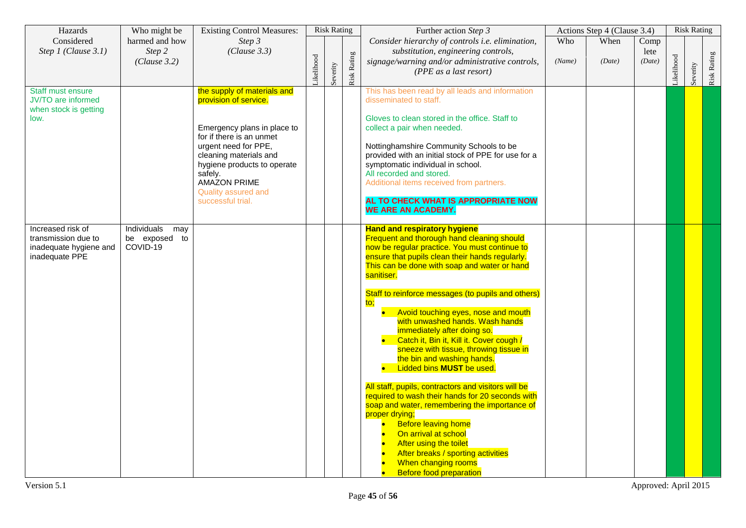| Hazards                                                                              | Who might be                                    | <b>Existing Control Measures:</b>                                                                                                                                                                                                                                              |           | <b>Risk Rating</b> |             | Further action Step 3                                                                                                                                                                                                                                                                                                                                                                                                                                                                                                                                                                                                                                                                                                                                                                                                                                                                                                                   |               | Actions Step 4 (Clause 3.4) |                        |           | <b>Risk Rating</b> |             |
|--------------------------------------------------------------------------------------|-------------------------------------------------|--------------------------------------------------------------------------------------------------------------------------------------------------------------------------------------------------------------------------------------------------------------------------------|-----------|--------------------|-------------|-----------------------------------------------------------------------------------------------------------------------------------------------------------------------------------------------------------------------------------------------------------------------------------------------------------------------------------------------------------------------------------------------------------------------------------------------------------------------------------------------------------------------------------------------------------------------------------------------------------------------------------------------------------------------------------------------------------------------------------------------------------------------------------------------------------------------------------------------------------------------------------------------------------------------------------------|---------------|-----------------------------|------------------------|-----------|--------------------|-------------|
| Considered<br>Step 1 (Clause 3.1)                                                    | harmed and how<br>Step 2<br>(Clause 3.2)        | Step 3<br>(Clause 3.3)                                                                                                                                                                                                                                                         | ikelihood | Severity           | Risk Rating | Consider hierarchy of controls i.e. elimination,<br>substitution, engineering controls,<br>signage/warning and/or administrative controls,<br>(PPE as a last resort)                                                                                                                                                                                                                                                                                                                                                                                                                                                                                                                                                                                                                                                                                                                                                                    | Who<br>(Name) | When<br>(Date)              | Comp<br>lete<br>(Date) | ikelihood | Severity           | Risk Rating |
| Staff must ensure<br>JV/TO are informed<br>when stock is getting<br>low.             |                                                 | the supply of materials and<br>provision of service.<br>Emergency plans in place to<br>for if there is an unmet<br>urgent need for PPE,<br>cleaning materials and<br>hygiene products to operate<br>safely.<br><b>AMAZON PRIME</b><br>Quality assured and<br>successful trial. |           |                    |             | This has been read by all leads and information<br>disseminated to staff.<br>Gloves to clean stored in the office. Staff to<br>collect a pair when needed.<br>Nottinghamshire Community Schools to be<br>provided with an initial stock of PPE for use for a<br>symptomatic individual in school.<br>All recorded and stored.<br>Additional items received from partners.<br>AL TO CHECK WHAT IS APPROPRIATE NOW<br><b>WE ARE AN ACADEMY.</b>                                                                                                                                                                                                                                                                                                                                                                                                                                                                                           |               |                             |                        |           |                    |             |
| Increased risk of<br>transmission due to<br>inadequate hygiene and<br>inadequate PPE | Individuals<br>may<br>be exposed to<br>COVID-19 |                                                                                                                                                                                                                                                                                |           |                    |             | <b>Hand and respiratory hygiene</b><br>Frequent and thorough hand cleaning should<br>now be regular practice. You must continue to<br>ensure that pupils clean their hands regularly.<br>This can be done with soap and water or hand<br>sanitiser.<br>Staff to reinforce messages (to pupils and others)<br>to:<br>Avoid touching eyes, nose and mouth<br>with unwashed hands. Wash hands<br>immediately after doing so.<br>Catch it, Bin it, Kill it. Cover cough /<br>sneeze with tissue, throwing tissue in<br>the bin and washing hands.<br>Lidded bins MUST be used.<br>All staff, pupils, contractors and visitors will be<br>required to wash their hands for 20 seconds with<br>soap and water, remembering the importance of<br>proper drying;<br><b>Before leaving home</b><br>On arrival at school<br>After using the toilet<br>After breaks / sporting activities<br>When changing rooms<br><b>Before food preparation</b> |               |                             |                        |           |                    |             |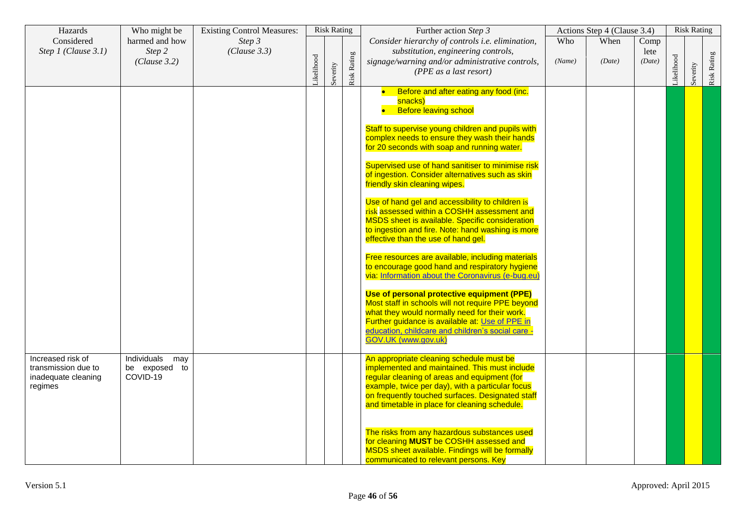| Hazards                                                                    | Who might be                                    | <b>Existing Control Measures:</b> |           | <b>Risk Rating</b> |             | Further action Step 3                                                                                                                                                                                                                                                                                                                                                                                                                                                                                                                                                                                                                                                                                                                                                                                                                                                                                                                                                                                                                                                                                 |               | Actions Step 4 (Clause 3.4) |                        |           | <b>Risk Rating</b> |             |
|----------------------------------------------------------------------------|-------------------------------------------------|-----------------------------------|-----------|--------------------|-------------|-------------------------------------------------------------------------------------------------------------------------------------------------------------------------------------------------------------------------------------------------------------------------------------------------------------------------------------------------------------------------------------------------------------------------------------------------------------------------------------------------------------------------------------------------------------------------------------------------------------------------------------------------------------------------------------------------------------------------------------------------------------------------------------------------------------------------------------------------------------------------------------------------------------------------------------------------------------------------------------------------------------------------------------------------------------------------------------------------------|---------------|-----------------------------|------------------------|-----------|--------------------|-------------|
| Considered<br>Step 1 (Clause 3.1)                                          | harmed and how<br>Step 2<br>(Clause 3.2)        | Step 3<br>(Clause 3.3)            | ikelihood | Severity           | Risk Rating | Consider hierarchy of controls i.e. elimination,<br>substitution, engineering controls,<br>signage/warning and/or administrative controls,<br>(PPE as a last resort)                                                                                                                                                                                                                                                                                                                                                                                                                                                                                                                                                                                                                                                                                                                                                                                                                                                                                                                                  | Who<br>(Name) | When<br>(Date)              | Comp<br>lete<br>(Date) | ikelihood | Severity           | Risk Rating |
|                                                                            |                                                 |                                   |           |                    |             | Before and after eating any food (inc.<br>$\bullet$<br>snacks)<br><b>Before leaving school</b><br>Staff to supervise young children and pupils with<br>complex needs to ensure they wash their hands<br>for 20 seconds with soap and running water.<br>Supervised use of hand sanitiser to minimise risk<br>of ingestion. Consider alternatives such as skin<br>friendly skin cleaning wipes.<br>Use of hand gel and accessibility to children is<br>risk assessed within a COSHH assessment and<br><b>MSDS</b> sheet is available. Specific consideration<br>to ingestion and fire. Note: hand washing is more<br>effective than the use of hand gel.<br>Free resources are available, including materials<br>to encourage good hand and respiratory hygiene<br>via: Information about the Coronavirus (e-bug.eu)<br>Use of personal protective equipment (PPE)<br>Most staff in schools will not require PPE beyond<br>what they would normally need for their work.<br>Further guidance is available at: Use of PPE in<br>education, childcare and children's social care -<br>GOV.UK (www.gov.uk) |               |                             |                        |           |                    |             |
| Increased risk of<br>transmission due to<br>inadequate cleaning<br>regimes | Individuals<br>may<br>be exposed to<br>COVID-19 |                                   |           |                    |             | An appropriate cleaning schedule must be<br>implemented and maintained. This must include<br>regular cleaning of areas and equipment (for<br>example, twice per day), with a particular focus<br>on frequently touched surfaces. Designated staff<br>and timetable in place for cleaning schedule.<br>The risks from any hazardous substances used<br>for cleaning MUST be COSHH assessed and<br>MSDS sheet available. Findings will be formally<br>communicated to relevant persons. Key                                                                                                                                                                                                                                                                                                                                                                                                                                                                                                                                                                                                             |               |                             |                        |           |                    |             |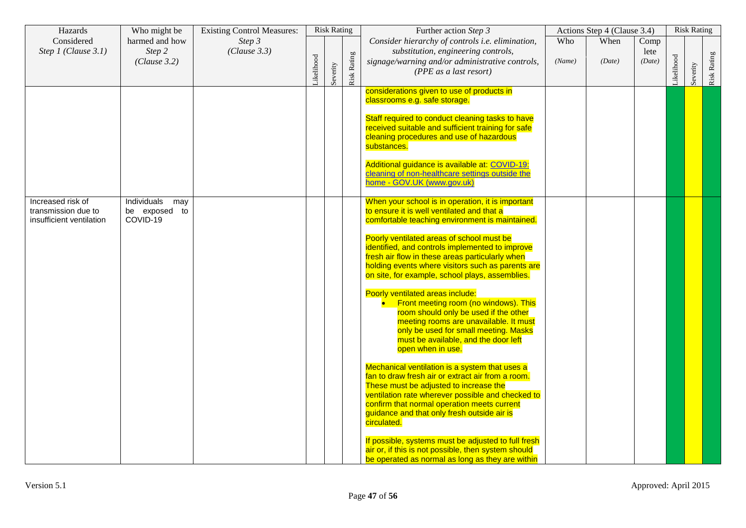| Hazards                                                              | Who might be                                    | <b>Existing Control Measures:</b> |           | <b>Risk Rating</b> |                    | Further action Step 3                                                                                                                                                                                                                                                                                                                                                                                                                                                                                                                                                                                                                                                                                                                                                                                                                                                                                                                                                                                                                                                                                                                                                    |               | Actions Step 4 (Clause 3.4) |                        |            | <b>Risk Rating</b> |             |
|----------------------------------------------------------------------|-------------------------------------------------|-----------------------------------|-----------|--------------------|--------------------|--------------------------------------------------------------------------------------------------------------------------------------------------------------------------------------------------------------------------------------------------------------------------------------------------------------------------------------------------------------------------------------------------------------------------------------------------------------------------------------------------------------------------------------------------------------------------------------------------------------------------------------------------------------------------------------------------------------------------------------------------------------------------------------------------------------------------------------------------------------------------------------------------------------------------------------------------------------------------------------------------------------------------------------------------------------------------------------------------------------------------------------------------------------------------|---------------|-----------------------------|------------------------|------------|--------------------|-------------|
| Considered<br>Step $1$ (Clause 3.1)                                  | harmed and how<br>Step 2<br>(Clause 3.2)        | Step 3<br>(Clause 3.3)            | ikelihood | Severity           | <b>Risk Rating</b> | Consider hierarchy of controls i.e. elimination,<br>substitution, engineering controls,<br>signage/warning and/or administrative controls,<br>(PPE as a last resort)                                                                                                                                                                                                                                                                                                                                                                                                                                                                                                                                                                                                                                                                                                                                                                                                                                                                                                                                                                                                     | Who<br>(Name) | When<br>(Date)              | Comp<br>lete<br>(Date) | Likelihood | Severity           | Risk Rating |
|                                                                      |                                                 |                                   |           |                    |                    | considerations given to use of products in<br>classrooms e.g. safe storage.<br>Staff required to conduct cleaning tasks to have<br>received suitable and sufficient training for safe<br>cleaning procedures and use of hazardous<br>substances.<br>Additional guidance is available at: COVID-19:<br>cleaning of non-healthcare settings outside the<br>home - GOV.UK (www.gov.uk)                                                                                                                                                                                                                                                                                                                                                                                                                                                                                                                                                                                                                                                                                                                                                                                      |               |                             |                        |            |                    |             |
| Increased risk of<br>transmission due to<br>insufficient ventilation | Individuals<br>may<br>be exposed to<br>COVID-19 |                                   |           |                    |                    | When your school is in operation, it is important<br>to ensure it is well ventilated and that a<br>comfortable teaching environment is maintained.<br>Poorly ventilated areas of school must be<br>identified, and controls implemented to improve<br>fresh air flow in these areas particularly when<br>holding events where visitors such as parents are<br>on site, for example, school plays, assemblies.<br>Poorly ventilated areas include:<br>Front meeting room (no windows). This<br>room should only be used if the other<br>meeting rooms are unavailable. It must<br>only be used for small meeting. Masks<br>must be available, and the door left<br>open when in use.<br>Mechanical ventilation is a system that uses a<br>fan to draw fresh air or extract air from a room.<br>These must be adjusted to increase the<br>ventilation rate wherever possible and checked to<br>confirm that normal operation meets current<br>guidance and that only fresh outside air is<br>circulated.<br>If possible, systems must be adjusted to full fresh<br>air or, if this is not possible, then system should<br>be operated as normal as long as they are within |               |                             |                        |            |                    |             |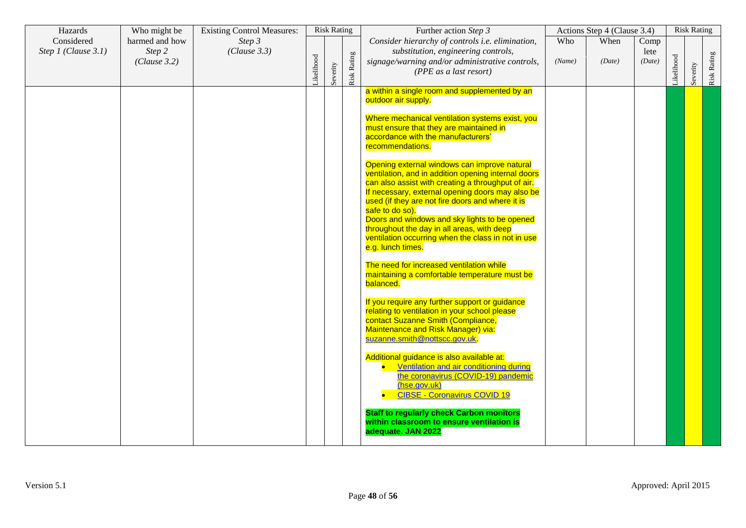| Hazards             | Who might be           | <b>Existing Control Measures:</b> |           | <b>Risk Rating</b> |             | Further action Step 3                                                                                                                                                                                                                                                                                                                                                                                                                                          | Actions Step 4 (Clause 3.4) |        |                |           | <b>Risk Rating</b> |             |
|---------------------|------------------------|-----------------------------------|-----------|--------------------|-------------|----------------------------------------------------------------------------------------------------------------------------------------------------------------------------------------------------------------------------------------------------------------------------------------------------------------------------------------------------------------------------------------------------------------------------------------------------------------|-----------------------------|--------|----------------|-----------|--------------------|-------------|
| Considered          | harmed and how         | Step 3                            |           |                    |             | Consider hierarchy of controls i.e. elimination,                                                                                                                                                                                                                                                                                                                                                                                                               | Who                         | When   | Comp           |           |                    |             |
| Step 1 (Clause 3.1) | Step 2<br>(Clause 3.2) | (Clause 3.3)                      | ikelihood | Severity           | Risk Rating | substitution, engineering controls,<br>signage/warning and/or administrative controls,<br>(PPE as a last resort)                                                                                                                                                                                                                                                                                                                                               | (Name)                      | (Date) | lete<br>(Date) | ikelihood | Severity           | Risk Rating |
|                     |                        |                                   |           |                    |             | a within a single room and supplemented by an<br>outdoor air supply.                                                                                                                                                                                                                                                                                                                                                                                           |                             |        |                |           |                    |             |
|                     |                        |                                   |           |                    |             | Where mechanical ventilation systems exist, you<br>must ensure that they are maintained in<br>accordance with the manufacturers'<br>recommendations.                                                                                                                                                                                                                                                                                                           |                             |        |                |           |                    |             |
|                     |                        |                                   |           |                    |             | Opening external windows can improve natural<br>ventilation, and in addition opening internal doors<br>can also assist with creating a throughput of air.<br>If necessary, external opening doors may also be<br>used (if they are not fire doors and where it is<br>safe to do so).<br>Doors and windows and sky lights to be opened<br>throughout the day in all areas, with deep<br>ventilation occurring when the class in not in use<br>e.g. lunch times. |                             |        |                |           |                    |             |
|                     |                        |                                   |           |                    |             | The need for increased ventilation while<br>maintaining a comfortable temperature must be<br>balanced.                                                                                                                                                                                                                                                                                                                                                         |                             |        |                |           |                    |             |
|                     |                        |                                   |           |                    |             | If you require any further support or guidance<br>relating to ventilation in your school please<br>contact Suzanne Smith (Compliance,<br>Maintenance and Risk Manager) via:<br>suzanne.smith@nottscc.gov.uk                                                                                                                                                                                                                                                    |                             |        |                |           |                    |             |
|                     |                        |                                   |           |                    |             | Additional guidance is also available at:<br>Ventilation and air conditioning during<br>the coronavirus (COVID-19) pandemic<br>(hse.gov.uk)<br><b>CIBSE - Coronavirus COVID 19</b>                                                                                                                                                                                                                                                                             |                             |        |                |           |                    |             |
|                     |                        |                                   |           |                    |             | <b>Staff to regularly check Carbon monitors</b><br>within classroom to ensure ventilation is<br>adequate. JAN 2022                                                                                                                                                                                                                                                                                                                                             |                             |        |                |           |                    |             |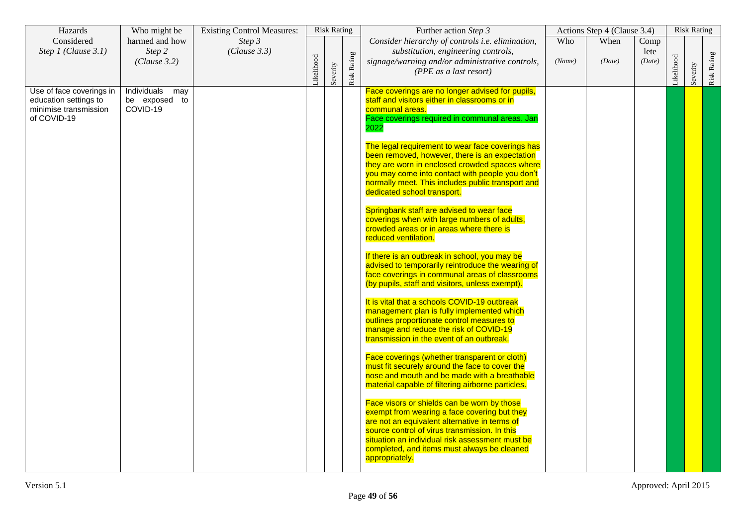| Hazards                                                                                   | Who might be                                    | <b>Existing Control Measures:</b> |           | <b>Risk Rating</b> |             | Further action Step 3                                                                                                                                                                                                                                                                                                                                                                                                                                                                                                                                                                                                                                                                                                                                                                                                                                                                                                                                                                                                                                                                                                                                                                                                                                                                                                                                                                                                                                                                                                                                                                                                     | Actions Step 4 (Clause 3.4) |                |                        |           | <b>Risk Rating</b> |             |
|-------------------------------------------------------------------------------------------|-------------------------------------------------|-----------------------------------|-----------|--------------------|-------------|---------------------------------------------------------------------------------------------------------------------------------------------------------------------------------------------------------------------------------------------------------------------------------------------------------------------------------------------------------------------------------------------------------------------------------------------------------------------------------------------------------------------------------------------------------------------------------------------------------------------------------------------------------------------------------------------------------------------------------------------------------------------------------------------------------------------------------------------------------------------------------------------------------------------------------------------------------------------------------------------------------------------------------------------------------------------------------------------------------------------------------------------------------------------------------------------------------------------------------------------------------------------------------------------------------------------------------------------------------------------------------------------------------------------------------------------------------------------------------------------------------------------------------------------------------------------------------------------------------------------------|-----------------------------|----------------|------------------------|-----------|--------------------|-------------|
| Considered<br>Step 1 (Clause 3.1)                                                         | harmed and how<br>Step 2<br>(Clause 3.2)        | Step 3<br>(Clause 3.3)            | ikelihood | Severity           | Risk Rating | Consider hierarchy of controls i.e. elimination,<br>substitution, engineering controls,<br>signage/warning and/or administrative controls,<br>(PPE as a last resort)                                                                                                                                                                                                                                                                                                                                                                                                                                                                                                                                                                                                                                                                                                                                                                                                                                                                                                                                                                                                                                                                                                                                                                                                                                                                                                                                                                                                                                                      | Who<br>(Name)               | When<br>(Date) | Comp<br>lete<br>(Date) | ikelihood | Severity           | Risk Rating |
| Use of face coverings in<br>education settings to<br>minimise transmission<br>of COVID-19 | Individuals<br>may<br>be exposed to<br>COVID-19 |                                   |           |                    |             | Face coverings are no longer advised for pupils,<br>staff and visitors either in classrooms or in<br>communal areas.<br>Face coverings required in communal areas. Jan<br>2022<br>The legal requirement to wear face coverings has<br>been removed, however, there is an expectation<br>they are worn in enclosed crowded spaces where<br>you may come into contact with people you don't<br>normally meet. This includes public transport and<br>dedicated school transport.<br>Springbank staff are advised to wear face<br>coverings when with large numbers of adults,<br>crowded areas or in areas where there is<br>reduced ventilation.<br>If there is an outbreak in school, you may be<br>advised to temporarily reintroduce the wearing of<br>face coverings in communal areas of classrooms<br>(by pupils, staff and visitors, unless exempt).<br>It is vital that a schools COVID-19 outbreak<br>management plan is fully implemented which<br>outlines proportionate control measures to<br>manage and reduce the risk of COVID-19<br>transmission in the event of an outbreak.<br>Face coverings (whether transparent or cloth)<br>must fit securely around the face to cover the<br>nose and mouth and be made with a breathable<br>material capable of filtering airborne particles.<br>Face visors or shields can be worn by those<br>exempt from wearing a face covering but they<br>are not an equivalent alternative in terms of<br>source control of virus transmission. In this<br>situation an individual risk assessment must be<br>completed, and items must always be cleaned<br>appropriately. |                             |                |                        |           |                    |             |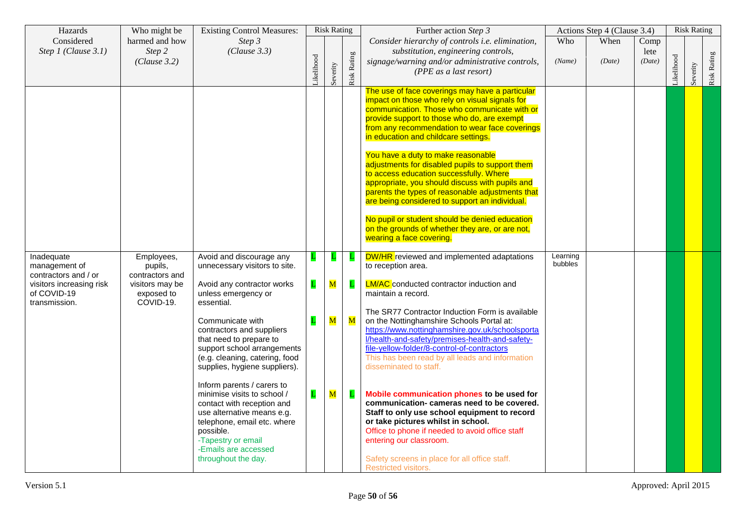| Hazards                                                  | Who might be                               | <b>Existing Control Measures:</b>                                                                                                                                                                                                      |              | <b>Risk Rating</b>      |                         | Further action Step 3                                                                                                                                                                                                                                                                                                                                                                                                                                                                                                                                                                                                                                                                                                    | Actions Step 4 (Clause 3.4) |                |                        |           | <b>Risk Rating</b> |                    |
|----------------------------------------------------------|--------------------------------------------|----------------------------------------------------------------------------------------------------------------------------------------------------------------------------------------------------------------------------------------|--------------|-------------------------|-------------------------|--------------------------------------------------------------------------------------------------------------------------------------------------------------------------------------------------------------------------------------------------------------------------------------------------------------------------------------------------------------------------------------------------------------------------------------------------------------------------------------------------------------------------------------------------------------------------------------------------------------------------------------------------------------------------------------------------------------------------|-----------------------------|----------------|------------------------|-----------|--------------------|--------------------|
| Considered<br>Step 1 (Clause 3.1)                        | harmed and how<br>Step 2<br>(Clause 3.2)   | Step 3<br>(Clause 3.3)                                                                                                                                                                                                                 | ikelihood    | Severity                | Risk Rating             | Consider hierarchy of controls i.e. elimination,<br>substitution, engineering controls,<br>signage/warning and/or administrative controls,<br>(PPE as a last resort)                                                                                                                                                                                                                                                                                                                                                                                                                                                                                                                                                     | Who<br>(Name)               | When<br>(Date) | Comp<br>lete<br>(Date) | ikelihood | Severity           | <b>Risk Rating</b> |
|                                                          |                                            |                                                                                                                                                                                                                                        |              |                         |                         | The use of face coverings may have a particular<br>impact on those who rely on visual signals for<br>communication. Those who communicate with or<br>provide support to those who do, are exempt<br>from any recommendation to wear face coverings<br>in education and childcare settings.<br>You have a duty to make reasonable<br>adjustments for disabled pupils to support them<br>to access education successfully. Where<br>appropriate, you should discuss with pupils and<br>parents the types of reasonable adjustments that<br>are being considered to support an individual.<br>No pupil or student should be denied education<br>on the grounds of whether they are, or are not,<br>wearing a face covering. |                             |                |                        |           |                    |                    |
| Inadequate<br>management of<br>contractors and / or      | Employees,<br>pupils,<br>contractors and   | Avoid and discourage any<br>unnecessary visitors to site.                                                                                                                                                                              | Ц            | L                       | L                       | <b>DW/HR</b> reviewed and implemented adaptations<br>to reception area.                                                                                                                                                                                                                                                                                                                                                                                                                                                                                                                                                                                                                                                  | Learning<br>bubbles         |                |                        |           |                    |                    |
| visitors increasing risk<br>of COVID-19<br>transmission. | visitors may be<br>exposed to<br>COVID-19. | Avoid any contractor works<br>unless emergency or<br>essential.                                                                                                                                                                        | $\mathbf{L}$ | $\overline{\mathbf{M}}$ | $\mathbf{L}$            | <b>LM/AC</b> conducted contractor induction and<br>maintain a record.                                                                                                                                                                                                                                                                                                                                                                                                                                                                                                                                                                                                                                                    |                             |                |                        |           |                    |                    |
|                                                          |                                            | Communicate with<br>contractors and suppliers<br>that need to prepare to<br>support school arrangements<br>(e.g. cleaning, catering, food<br>supplies, hygiene suppliers).                                                             | $\mathbf{L}$ | $\overline{\mathbf{M}}$ | $\overline{\mathbf{M}}$ | The SR77 Contractor Induction Form is available<br>on the Nottinghamshire Schools Portal at:<br>https://www.nottinghamshire.gov.uk/schoolsporta<br>l/health-and-safety/premises-health-and-safety-<br>file-yellow-folder/8-control-of-contractors<br>This has been read by all leads and information<br>disseminated to staff.                                                                                                                                                                                                                                                                                                                                                                                           |                             |                |                        |           |                    |                    |
|                                                          |                                            | Inform parents / carers to<br>minimise visits to school /<br>contact with reception and<br>use alternative means e.g.<br>telephone, email etc. where<br>possible.<br>-Tapestry or email<br>-Emails are accessed<br>throughout the day. | L            | $\overline{\mathbf{M}}$ | L                       | Mobile communication phones to be used for<br>communication-cameras need to be covered.<br>Staff to only use school equipment to record<br>or take pictures whilst in school.<br>Office to phone if needed to avoid office staff<br>entering our classroom.<br>Safety screens in place for all office staff.<br>Restricted visitors.                                                                                                                                                                                                                                                                                                                                                                                     |                             |                |                        |           |                    |                    |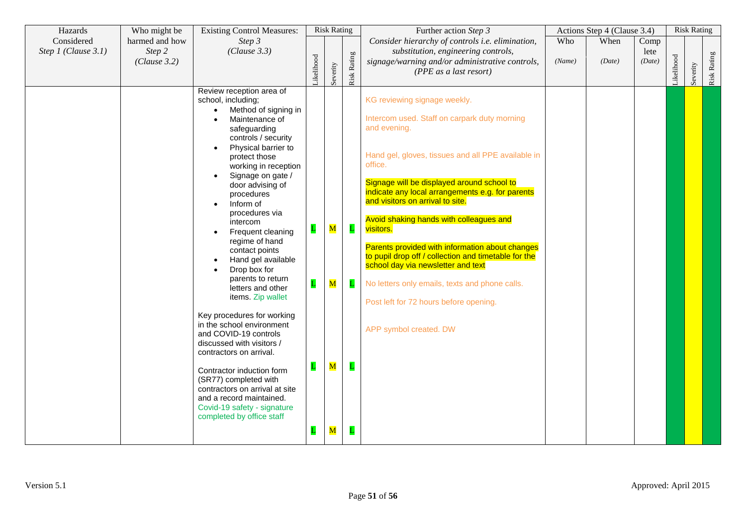| Hazards                           | Who might be             | <b>Existing Control Measures:</b>                                                                                                                                            |              | <b>Risk Rating</b>      |              | Further action Step 3                                                                                                                         |        | Actions Step 4 (Clause 3.4) |              | <b>Risk Rating</b> |          |             |
|-----------------------------------|--------------------------|------------------------------------------------------------------------------------------------------------------------------------------------------------------------------|--------------|-------------------------|--------------|-----------------------------------------------------------------------------------------------------------------------------------------------|--------|-----------------------------|--------------|--------------------|----------|-------------|
| Considered<br>Step 1 (Clause 3.1) | harmed and how<br>Step 2 | Step 3<br>(Clause 3.3)                                                                                                                                                       |              |                         |              | Consider hierarchy of controls i.e. elimination,<br>substitution, engineering controls,                                                       | Who    | When                        | Comp<br>lete |                    |          |             |
|                                   | (Clause 3.2)             |                                                                                                                                                                              | ikelihood    | Severity                | Risk Rating  | signage/warning and/or administrative controls,<br>(PPE as a last resort)                                                                     | (Name) | (Date)                      | (Date)       | ikelihood          | Severity | Risk Rating |
|                                   |                          | Review reception area of<br>school, including;<br>Method of signing in<br>$\bullet$                                                                                          |              |                         |              | KG reviewing signage weekly.                                                                                                                  |        |                             |              |                    |          |             |
|                                   |                          | Maintenance of<br>safeguarding<br>controls / security                                                                                                                        |              |                         |              | Intercom used. Staff on carpark duty morning<br>and evening.                                                                                  |        |                             |              |                    |          |             |
|                                   |                          | Physical barrier to<br>$\bullet$<br>protect those<br>working in reception<br>Signage on gate /<br>$\bullet$                                                                  |              |                         |              | Hand gel, gloves, tissues and all PPE available in<br>office.                                                                                 |        |                             |              |                    |          |             |
|                                   |                          | door advising of<br>procedures<br>Inform of<br>$\bullet$                                                                                                                     |              |                         |              | Signage will be displayed around school to<br>indicate any local arrangements e.g. for parents<br>and visitors on arrival to site.            |        |                             |              |                    |          |             |
|                                   |                          | procedures via<br>intercom<br>Frequent cleaning<br>$\bullet$<br>regime of hand                                                                                               | $\mathbf{L}$ | $\mathbf M$             | $\mathbf{L}$ | Avoid shaking hands with colleagues and<br>visitors.                                                                                          |        |                             |              |                    |          |             |
|                                   |                          | contact points<br>Hand gel available<br>Drop box for<br>parents to return                                                                                                    |              |                         |              | Parents provided with information about changes<br>to pupil drop off / collection and timetable for the<br>school day via newsletter and text |        |                             |              |                    |          |             |
|                                   |                          | letters and other<br>items. Zip wallet                                                                                                                                       | $\mathbf{L}$ | ${\bf M}$               | L            | No letters only emails, texts and phone calls.<br>Post left for 72 hours before opening.                                                      |        |                             |              |                    |          |             |
|                                   |                          | Key procedures for working<br>in the school environment<br>and COVID-19 controls<br>discussed with visitors /<br>contractors on arrival.                                     |              |                         |              | APP symbol created. DW                                                                                                                        |        |                             |              |                    |          |             |
|                                   |                          | Contractor induction form<br>(SR77) completed with<br>contractors on arrival at site<br>and a record maintained.<br>Covid-19 safety - signature<br>completed by office staff | $\mathbf L$  | $\mathbf M$             |              |                                                                                                                                               |        |                             |              |                    |          |             |
|                                   |                          |                                                                                                                                                                              | $\mathbf{L}$ | $\overline{\mathbf{M}}$ |              |                                                                                                                                               |        |                             |              |                    |          |             |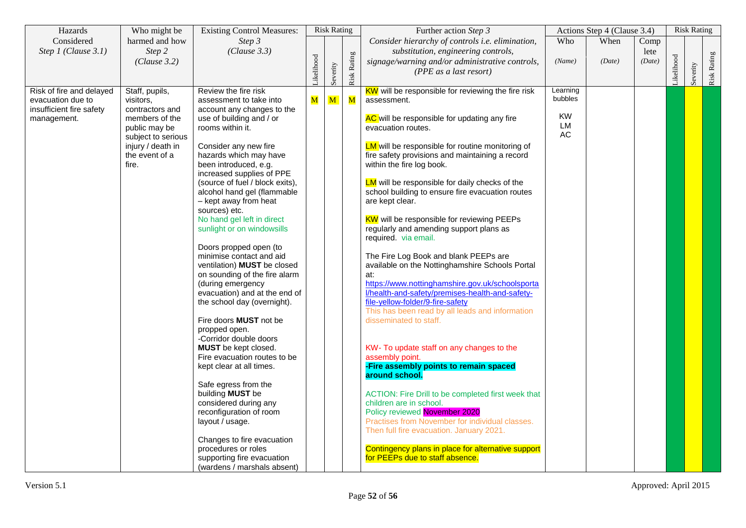| Hazards                                       | Who might be                 | <b>Existing Control Measures:</b>                        | <b>Risk Rating</b> |              |                    | Further action Step 3                                                                        | Actions Step 4 (Clause 3.4) |        |        |            | <b>Risk Rating</b> |             |
|-----------------------------------------------|------------------------------|----------------------------------------------------------|--------------------|--------------|--------------------|----------------------------------------------------------------------------------------------|-----------------------------|--------|--------|------------|--------------------|-------------|
| Considered                                    | harmed and how               | Step 3                                                   |                    |              |                    | Consider hierarchy of controls i.e. elimination,                                             | Who                         | When   | Comp   |            |                    |             |
| Step 1 (Clause 3.1)                           | Step 2                       | (Clause 3.3)                                             |                    |              |                    | substitution, engineering controls,                                                          |                             |        | lete   |            |                    |             |
|                                               | (Clause 3.2)                 |                                                          |                    |              |                    | signage/warning and/or administrative controls,                                              | (Name)                      | (Date) | (Date) |            |                    |             |
|                                               |                              |                                                          | ikelihood          | Severity     | <b>Risk Rating</b> | (PPE as a last resort)                                                                       |                             |        |        | Likelihood | Severity           | Risk Rating |
|                                               |                              |                                                          |                    |              |                    |                                                                                              |                             |        |        |            |                    |             |
| Risk of fire and delayed<br>evacuation due to | Staff, pupils,               | Review the fire risk<br>assessment to take into          |                    | $\mathbf{M}$ | $\mathbf M$        | <b>KW</b> will be responsible for reviewing the fire risk<br>assessment.                     | Learning<br>bubbles         |        |        |            |                    |             |
| insufficient fire safety                      | visitors.<br>contractors and | account any changes to the                               | ${\bf M}$          |              |                    |                                                                                              |                             |        |        |            |                    |             |
| management.                                   | members of the               | use of building and / or                                 |                    |              |                    | AC will be responsible for updating any fire                                                 | KW                          |        |        |            |                    |             |
|                                               | public may be                | rooms within it.                                         |                    |              |                    | evacuation routes.                                                                           | LM                          |        |        |            |                    |             |
|                                               | subject to serious           |                                                          |                    |              |                    |                                                                                              | АC                          |        |        |            |                    |             |
|                                               | injury / death in            | Consider any new fire                                    |                    |              |                    | <b>LM</b> will be responsible for routine monitoring of                                      |                             |        |        |            |                    |             |
|                                               | the event of a<br>fire.      | hazards which may have<br>been introduced, e.g.          |                    |              |                    | fire safety provisions and maintaining a record<br>within the fire log book.                 |                             |        |        |            |                    |             |
|                                               |                              | increased supplies of PPE                                |                    |              |                    |                                                                                              |                             |        |        |            |                    |             |
|                                               |                              | (source of fuel / block exits),                          |                    |              |                    | <b>LM</b> will be responsible for daily checks of the                                        |                             |        |        |            |                    |             |
|                                               |                              | alcohol hand gel (flammable                              |                    |              |                    | school building to ensure fire evacuation routes                                             |                             |        |        |            |                    |             |
|                                               |                              | - kept away from heat                                    |                    |              |                    | are kept clear.                                                                              |                             |        |        |            |                    |             |
|                                               |                              | sources) etc.                                            |                    |              |                    |                                                                                              |                             |        |        |            |                    |             |
|                                               |                              | No hand gel left in direct<br>sunlight or on windowsills |                    |              |                    | <b>KW</b> will be responsible for reviewing PEEPs<br>regularly and amending support plans as |                             |        |        |            |                    |             |
|                                               |                              |                                                          |                    |              |                    | required. via email.                                                                         |                             |        |        |            |                    |             |
|                                               |                              | Doors propped open (to                                   |                    |              |                    |                                                                                              |                             |        |        |            |                    |             |
|                                               |                              | minimise contact and aid                                 |                    |              |                    | The Fire Log Book and blank PEEPs are                                                        |                             |        |        |            |                    |             |
|                                               |                              | ventilation) <b>MUST</b> be closed                       |                    |              |                    | available on the Nottinghamshire Schools Portal                                              |                             |        |        |            |                    |             |
|                                               |                              | on sounding of the fire alarm<br>(during emergency       |                    |              |                    | at:<br>https://www.nottinghamshire.gov.uk/schoolsporta                                       |                             |        |        |            |                    |             |
|                                               |                              | evacuation) and at the end of                            |                    |              |                    | Vhealth-and-safety/premises-health-and-safety-                                               |                             |        |        |            |                    |             |
|                                               |                              | the school day (overnight).                              |                    |              |                    | file-yellow-folder/9-fire-safety                                                             |                             |        |        |            |                    |             |
|                                               |                              |                                                          |                    |              |                    | This has been read by all leads and information                                              |                             |        |        |            |                    |             |
|                                               |                              | Fire doors MUST not be                                   |                    |              |                    | disseminated to staff.                                                                       |                             |        |        |            |                    |             |
|                                               |                              | propped open.<br>-Corridor double doors                  |                    |              |                    |                                                                                              |                             |        |        |            |                    |             |
|                                               |                              | MUST be kept closed.                                     |                    |              |                    | KW- To update staff on any changes to the                                                    |                             |        |        |            |                    |             |
|                                               |                              | Fire evacuation routes to be                             |                    |              |                    | assembly point.                                                                              |                             |        |        |            |                    |             |
|                                               |                              | kept clear at all times.                                 |                    |              |                    | -Fire assembly points to remain spaced                                                       |                             |        |        |            |                    |             |
|                                               |                              |                                                          |                    |              |                    | around school.                                                                               |                             |        |        |            |                    |             |
|                                               |                              | Safe egress from the<br>building MUST be                 |                    |              |                    |                                                                                              |                             |        |        |            |                    |             |
|                                               |                              | considered during any                                    |                    |              |                    | ACTION: Fire Drill to be completed first week that<br>children are in school.                |                             |        |        |            |                    |             |
|                                               |                              | reconfiguration of room                                  |                    |              |                    | Policy reviewed November 2020                                                                |                             |        |        |            |                    |             |
|                                               |                              | layout / usage.                                          |                    |              |                    | Practises from November for individual classes.                                              |                             |        |        |            |                    |             |
|                                               |                              |                                                          |                    |              |                    | Then full fire evacuation. January 2021.                                                     |                             |        |        |            |                    |             |
|                                               |                              | Changes to fire evacuation                               |                    |              |                    |                                                                                              |                             |        |        |            |                    |             |
|                                               |                              | procedures or roles<br>supporting fire evacuation        |                    |              |                    | Contingency plans in place for alternative support<br>for PEEPs due to staff absence.        |                             |        |        |            |                    |             |
|                                               |                              | (wardens / marshals absent)                              |                    |              |                    |                                                                                              |                             |        |        |            |                    |             |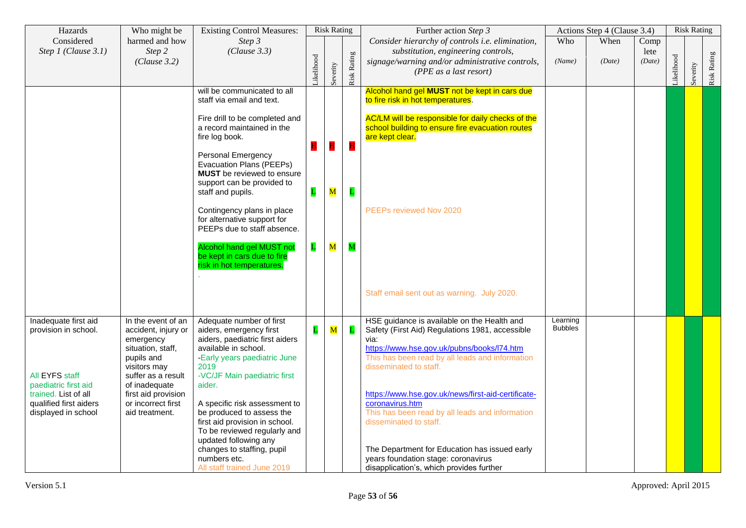| Hazards                                        | Who might be                              | <b>Existing Control Measures:</b>                                                                                        |              | <b>Risk Rating</b>      |                         | Further action Step 3                                                                                                    |                            | Actions Step 4 (Clause 3.4) |                |           | <b>Risk Rating</b> |             |
|------------------------------------------------|-------------------------------------------|--------------------------------------------------------------------------------------------------------------------------|--------------|-------------------------|-------------------------|--------------------------------------------------------------------------------------------------------------------------|----------------------------|-----------------------------|----------------|-----------|--------------------|-------------|
| Considered                                     | harmed and how                            | Step 3                                                                                                                   |              |                         |                         | Consider hierarchy of controls i.e. elimination,                                                                         | Who                        | When                        | Comp           |           |                    |             |
| Step 1 (Clause 3.1)                            | Step 2<br>(Clause 3.2)                    | (Clause 3.3)                                                                                                             | ikelihood    | Severity                | <b>Risk Rating</b>      | substitution, engineering controls,<br>signage/warning and/or administrative controls,<br>(PPE as a last resort)         | (Name)                     | (Date)                      | lete<br>(Date) | ikelihood | Severity           | Risk Rating |
|                                                |                                           | will be communicated to all<br>staff via email and text.                                                                 |              |                         |                         | Alcohol hand gel MUST not be kept in cars due<br>to fire risk in hot temperatures.                                       |                            |                             |                |           |                    |             |
|                                                |                                           | Fire drill to be completed and<br>a record maintained in the<br>fire log book.                                           | н            | $\mathbf H$             | H                       | AC/LM will be responsible for daily checks of the<br>school building to ensure fire evacuation routes<br>are kept clear. |                            |                             |                |           |                    |             |
|                                                |                                           | <b>Personal Emergency</b><br>Evacuation Plans (PEEPs)<br><b>MUST</b> be reviewed to ensure<br>support can be provided to |              |                         |                         |                                                                                                                          |                            |                             |                |           |                    |             |
|                                                |                                           | staff and pupils.                                                                                                        | $\mathbf L$  | $\overline{\mathbf{M}}$ | L                       |                                                                                                                          |                            |                             |                |           |                    |             |
|                                                |                                           | Contingency plans in place<br>for alternative support for<br>PEEPs due to staff absence.                                 |              |                         |                         | PEEPs reviewed Nov 2020                                                                                                  |                            |                             |                |           |                    |             |
|                                                |                                           | <b>Alcohol hand gel MUST not</b><br>be kept in cars due to fire<br>risk in hot temperatures.                             | $\mathbf{L}$ | $\overline{\mathbf{M}}$ | $\overline{\mathbf{M}}$ |                                                                                                                          |                            |                             |                |           |                    |             |
|                                                |                                           |                                                                                                                          |              |                         |                         | Staff email sent out as warning. July 2020.                                                                              |                            |                             |                |           |                    |             |
| Inadequate first aid<br>provision in school.   | In the event of an<br>accident, injury or | Adequate number of first<br>aiders, emergency first                                                                      | L            | $\overline{\mathbf{M}}$ | $\mathbf{L}$            | HSE guidance is available on the Health and<br>Safety (First Aid) Regulations 1981, accessible                           | Learning<br><b>Bubbles</b> |                             |                |           |                    |             |
|                                                | emergency                                 | aiders, paediatric first aiders                                                                                          |              |                         |                         | via:                                                                                                                     |                            |                             |                |           |                    |             |
|                                                | situation, staff,<br>pupils and           | available in school.<br>-Early years paediatric June                                                                     |              |                         |                         | https://www.hse.gov.uk/pubns/books/l74.htm<br>This has been read by all leads and information                            |                            |                             |                |           |                    |             |
| All EYFS staff                                 | visitors may<br>suffer as a result        | 2019<br>-VC/JF Main paediatric first                                                                                     |              |                         |                         | disseminated to staff.                                                                                                   |                            |                             |                |           |                    |             |
| paediatric first aid                           | of inadequate                             | aider.                                                                                                                   |              |                         |                         |                                                                                                                          |                            |                             |                |           |                    |             |
| trained. List of all<br>qualified first aiders | first aid provision<br>or incorrect first | A specific risk assessment to                                                                                            |              |                         |                         | https://www.hse.gov.uk/news/first-aid-certificate-<br>coronavirus.htm                                                    |                            |                             |                |           |                    |             |
| displayed in school                            | aid treatment.                            | be produced to assess the                                                                                                |              |                         |                         | This has been read by all leads and information                                                                          |                            |                             |                |           |                    |             |
|                                                |                                           | first aid provision in school.                                                                                           |              |                         |                         | disseminated to staff.                                                                                                   |                            |                             |                |           |                    |             |
|                                                |                                           | To be reviewed regularly and<br>updated following any                                                                    |              |                         |                         |                                                                                                                          |                            |                             |                |           |                    |             |
|                                                |                                           | changes to staffing, pupil                                                                                               |              |                         |                         | The Department for Education has issued early                                                                            |                            |                             |                |           |                    |             |
|                                                |                                           | numbers etc.<br>All staff trained June 2019                                                                              |              |                         |                         | years foundation stage: coronavirus<br>disapplication's, which provides further                                          |                            |                             |                |           |                    |             |
|                                                |                                           |                                                                                                                          |              |                         |                         |                                                                                                                          |                            |                             |                |           |                    |             |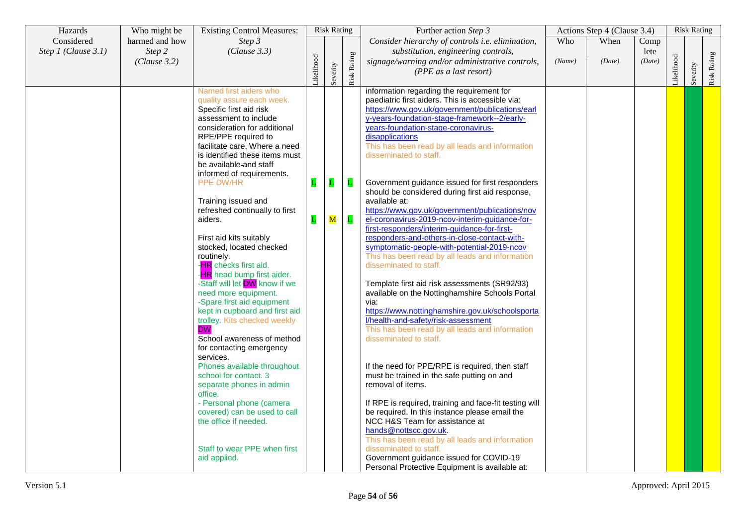| Hazards                           | Who might be             | <b>Existing Control Measures:</b>                                                                                                                                                                                                                                                                                                                                                                                                                                                                                                                                                                                                                                                                                                                                                                                                                                                                                                                                                                      |                              | <b>Risk Rating</b> |                                         | Further action Step 3                                                                                                                                                                                                                                                                                                                                                                                                                                                                                                                                                                                                                                                                                                                                                                                                                                                                                                                                                                                                                                                                                                                                                                                                                                                                                                                                                                                                                                                                                                                                    |        |        |                | Actions Step 4 (Clause 3.4) |          |             | <b>Risk Rating</b> |
|-----------------------------------|--------------------------|--------------------------------------------------------------------------------------------------------------------------------------------------------------------------------------------------------------------------------------------------------------------------------------------------------------------------------------------------------------------------------------------------------------------------------------------------------------------------------------------------------------------------------------------------------------------------------------------------------------------------------------------------------------------------------------------------------------------------------------------------------------------------------------------------------------------------------------------------------------------------------------------------------------------------------------------------------------------------------------------------------|------------------------------|--------------------|-----------------------------------------|----------------------------------------------------------------------------------------------------------------------------------------------------------------------------------------------------------------------------------------------------------------------------------------------------------------------------------------------------------------------------------------------------------------------------------------------------------------------------------------------------------------------------------------------------------------------------------------------------------------------------------------------------------------------------------------------------------------------------------------------------------------------------------------------------------------------------------------------------------------------------------------------------------------------------------------------------------------------------------------------------------------------------------------------------------------------------------------------------------------------------------------------------------------------------------------------------------------------------------------------------------------------------------------------------------------------------------------------------------------------------------------------------------------------------------------------------------------------------------------------------------------------------------------------------------|--------|--------|----------------|-----------------------------|----------|-------------|--------------------|
| Considered<br>Step 1 (Clause 3.1) | harmed and how<br>Step 2 | Step 3<br>(Clause 3.3)                                                                                                                                                                                                                                                                                                                                                                                                                                                                                                                                                                                                                                                                                                                                                                                                                                                                                                                                                                                 |                              |                    |                                         | Consider hierarchy of controls i.e. elimination,<br>substitution, engineering controls,                                                                                                                                                                                                                                                                                                                                                                                                                                                                                                                                                                                                                                                                                                                                                                                                                                                                                                                                                                                                                                                                                                                                                                                                                                                                                                                                                                                                                                                                  | Who    | When   | Comp           |                             |          |             |                    |
|                                   | (Clause 3.2)             |                                                                                                                                                                                                                                                                                                                                                                                                                                                                                                                                                                                                                                                                                                                                                                                                                                                                                                                                                                                                        | ikelihood                    | Severity           | <b>Risk Rating</b>                      | signage/warning and/or administrative controls,<br>(PPE as a last resort)                                                                                                                                                                                                                                                                                                                                                                                                                                                                                                                                                                                                                                                                                                                                                                                                                                                                                                                                                                                                                                                                                                                                                                                                                                                                                                                                                                                                                                                                                | (Name) | (Date) | lete<br>(Date) | ikelihood                   | Severity | Risk Rating |                    |
|                                   |                          | Named first aiders who<br>quality assure each week.<br>Specific first aid risk<br>assessment to include<br>consideration for additional<br>RPE/PPE required to<br>facilitate care. Where a need<br>is identified these items must<br>be available and staff<br>informed of requirements.<br>PPE DW/HR<br>Training issued and<br>refreshed continually to first<br>aiders.<br>First aid kits suitably<br>stocked, located checked<br>routinely.<br>- <b>HR</b> checks first aid.<br>- <b>HR</b> head bump first aider.<br>-Staff will let DW know if we<br>need more equipment.<br>-Spare first aid equipment<br>kept in cupboard and first aid<br>trolley. Kits checked weekly<br><b>DW</b><br>School awareness of method<br>for contacting emergency<br>services.<br>Phones available throughout<br>school for contact. 3<br>separate phones in admin<br>office.<br>- Personal phone (camera<br>covered) can be used to call<br>the office if needed.<br>Staff to wear PPE when first<br>aid applied. | $\mathbf{L}$<br>$\mathbf{L}$ | L<br>${\bf M}$     | $\mathbf{L}$<br>$\overline{\mathbf{L}}$ | information regarding the requirement for<br>paediatric first aiders. This is accessible via:<br>https://www.gov.uk/government/publications/earl<br>y-years-foundation-stage-framework--2/early-<br>years-foundation-stage-coronavirus-<br>disapplications<br>This has been read by all leads and information<br>disseminated to staff.<br>Government guidance issued for first responders<br>should be considered during first aid response,<br>available at:<br>https://www.gov.uk/government/publications/nov<br>el-coronavirus-2019-ncov-interim-guidance-for-<br>first-responders/interim-guidance-for-first-<br>responders-and-others-in-close-contact-with-<br>symptomatic-people-with-potential-2019-ncov<br>This has been read by all leads and information<br>disseminated to staff.<br>Template first aid risk assessments (SR92/93)<br>available on the Nottinghamshire Schools Portal<br>via:<br>https://www.nottinghamshire.gov.uk/schoolsporta<br>l/health-and-safety/risk-assessment<br>This has been read by all leads and information<br>disseminated to staff.<br>If the need for PPE/RPE is required, then staff<br>must be trained in the safe putting on and<br>removal of items.<br>If RPE is required, training and face-fit testing will<br>be required. In this instance please email the<br>NCC H&S Team for assistance at<br>hands@nottscc.gov.uk.<br>This has been read by all leads and information<br>disseminated to staff.<br>Government guidance issued for COVID-19<br>Personal Protective Equipment is available at: |        |        |                |                             |          |             |                    |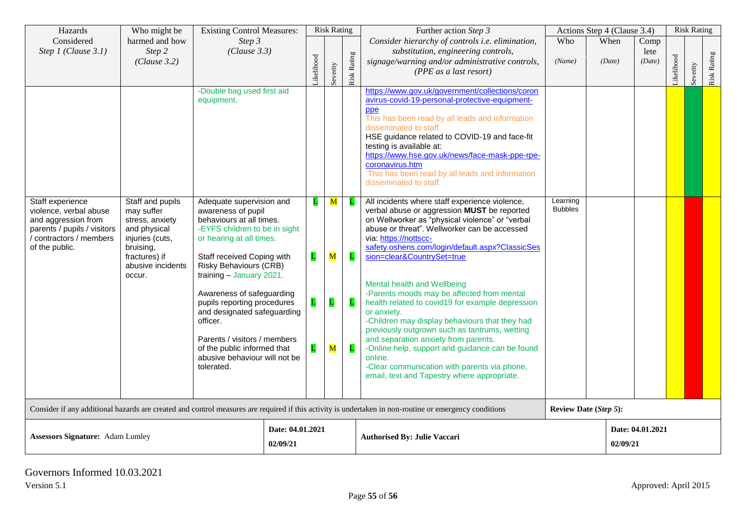| Hazards                                                                                                                                                | Who might be                                                                                                                            |                                                                                                                                                                                                                                               | <b>Existing Control Measures:</b> |                              | <b>Risk Rating</b>                     |                    | Further action Step 3                                                                                                                                                                                                                                                                                                                                                                                                                                | Actions Step 4 (Clause 3.4) |                              |                              | <b>Risk Rating</b> |          |             |
|--------------------------------------------------------------------------------------------------------------------------------------------------------|-----------------------------------------------------------------------------------------------------------------------------------------|-----------------------------------------------------------------------------------------------------------------------------------------------------------------------------------------------------------------------------------------------|-----------------------------------|------------------------------|----------------------------------------|--------------------|------------------------------------------------------------------------------------------------------------------------------------------------------------------------------------------------------------------------------------------------------------------------------------------------------------------------------------------------------------------------------------------------------------------------------------------------------|-----------------------------|------------------------------|------------------------------|--------------------|----------|-------------|
| Considered<br>Step 1 (Clause 3.1)                                                                                                                      | harmed and how<br>Step 2<br>(Clause 3.2)                                                                                                | Step 3<br>(Clause 3.3)                                                                                                                                                                                                                        |                                   | ikelihood                    | Severity                               | <b>Risk Rating</b> | Consider hierarchy of controls i.e. elimination,<br>substitution, engineering controls,<br>signage/warning and/or administrative controls,<br>(PPE as a last resort)                                                                                                                                                                                                                                                                                 | Who<br>(Name)               | When<br>(Date)               | Comp<br>lete<br>(Date)       | ikelihood          | Severity | Risk Rating |
|                                                                                                                                                        |                                                                                                                                         | -Double bag used first aid<br>equipment.                                                                                                                                                                                                      |                                   |                              |                                        |                    | https://www.gov.uk/government/collections/coron<br>avirus-covid-19-personal-protective-equipment-<br>ppe<br>This has been read by all leads and information<br>disseminated to staff.<br>HSE guidance related to COVID-19 and face-fit<br>testing is available at:<br>https://www.hse.gov.uk/news/face-mask-ppe-rpe-<br>coronavirus.htm<br>This has been read by all leads and information<br>disseminated to staff.                                 |                             |                              |                              |                    |          |             |
| Staff experience<br>violence, verbal abuse<br>and aggression from<br>parents / pupils / visitors<br>contractors / members<br>of the public.            | Staff and pupils<br>may suffer<br>stress, anxiety<br>and physical<br>injuries (cuts,<br>bruising,<br>fractures) if<br>abusive incidents | Adequate supervision and<br>awareness of pupil<br>behaviours at all times.<br>-EYFS children to be in sight<br>or hearing at all times.<br>Staff received Coping with<br><b>Risky Behaviours (CRB)</b>                                        |                                   | L<br>$\mathbf{L}$            | $\mathbf M$<br>$\overline{\mathbf{M}}$ |                    | All incidents where staff experience violence,<br>verbal abuse or aggression MUST be reported<br>on Wellworker as "physical violence" or "verbal<br>abuse or threat". Wellworker can be accessed<br>via: https://nottscc-<br>safety.oshens.com/login/default.aspx?ClassicSes<br>sion=clear&CountrySet=true                                                                                                                                           | Learning<br><b>Bubbles</b>  |                              |                              |                    |          |             |
|                                                                                                                                                        | occur.                                                                                                                                  | training - January 2021.<br>Awareness of safeguarding<br>pupils reporting procedures<br>and designated safeguarding<br>officer.<br>Parents / visitors / members<br>of the public informed that<br>abusive behaviour will not be<br>tolerated. |                                   | $\mathbf{L}$<br>$\mathbf{L}$ | $\overline{\mathbf{M}}$                | L<br>L             | Mental health and Wellbeing<br>-Parents moods may be affected from mental<br>health related to covid19 for example depression<br>or anxiety.<br>-Children may display behaviours that they had<br>previously outgrown such as tantrums, wetting<br>and separation anxiety from parents.<br>-Online help, support and guidance can be found<br>online.<br>-Clear communication with parents via phone,<br>email, text and Tapestry where appropriate. |                             |                              |                              |                    |          |             |
| Consider if any additional hazards are created and control measures are required if this activity is undertaken in non-routine or emergency conditions |                                                                                                                                         |                                                                                                                                                                                                                                               |                                   |                              |                                        |                    |                                                                                                                                                                                                                                                                                                                                                                                                                                                      |                             | <b>Review Date (Step 5):</b> |                              |                    |          |             |
| <b>Assessors Signature:</b> Adam Lumley                                                                                                                |                                                                                                                                         |                                                                                                                                                                                                                                               | Date: 04.01.2021<br>02/09/21      |                              |                                        |                    | <b>Authorised By: Julie Vaccari</b>                                                                                                                                                                                                                                                                                                                                                                                                                  |                             |                              | Date: 04.01.2021<br>02/09/21 |                    |          |             |